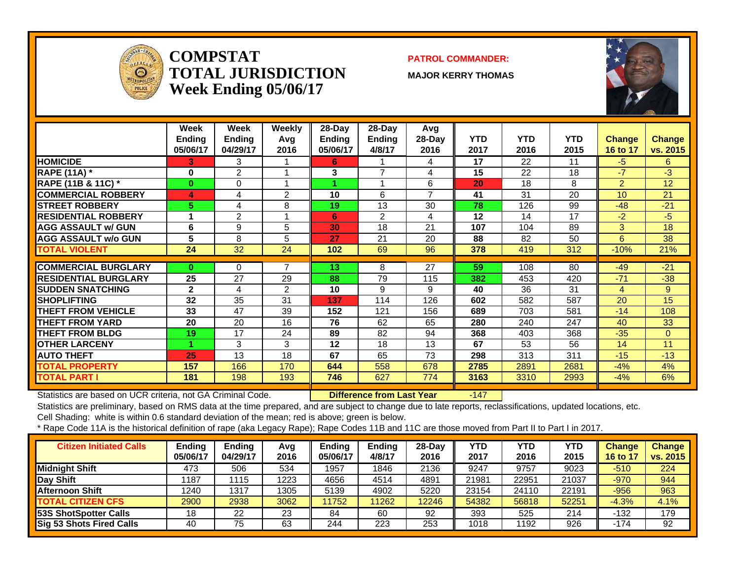

#### **COMPSTATTOTAL JURISDICTIONWeek Ending 05/06/17**

#### **PATROL COMMANDER:**

**MAJOR KERRY THOMAS**



|                               | Week<br><b>Ending</b><br>05/06/17 | Week<br><b>Ending</b><br>04/29/17 | Weekly<br>Avg<br>2016 | 28-Day<br><b>Ending</b><br>05/06/17 | $28$ -Day<br>Ending<br>4/8/17 | Avg<br>$28-Day$<br>2016 | <b>YTD</b><br>2017 | <b>YTD</b><br>2016 | <b>YTD</b><br>2015 | <b>Change</b><br>16 to 17 | <b>Change</b><br>vs. 2015 |
|-------------------------------|-----------------------------------|-----------------------------------|-----------------------|-------------------------------------|-------------------------------|-------------------------|--------------------|--------------------|--------------------|---------------------------|---------------------------|
| <b>HOMICIDE</b>               | 3                                 | 3                                 |                       | 6                                   |                               | 4                       | 17                 | 22                 | 11                 | $-5$                      | 6.                        |
| <b>RAPE (11A)</b> *           | 0                                 | $\overline{2}$                    |                       | 3                                   | $\overline{7}$                | 4                       | 15                 | 22                 | 18                 | $-7$                      | $-3$                      |
| <b>RAPE (11B &amp; 11C)</b> * | $\bf{0}$                          | $\Omega$                          |                       |                                     |                               | 6                       | 20                 | 18                 | 8                  | 2                         | 12                        |
| <b>COMMERCIAL ROBBERY</b>     | 4                                 | 4                                 | 2                     | 10                                  | 6                             | $\overline{ }$          | 41                 | 31                 | 20                 | 10                        | 21                        |
| <b>ISTREET ROBBERY</b>        | 5.                                | 4                                 | 8                     | 19                                  | 13                            | 30                      | 78                 | 126                | 99                 | $-48$                     | $-21$                     |
| <b>RESIDENTIAL ROBBERY</b>    |                                   | 2                                 |                       | 6                                   | 2                             | 4                       | 12                 | 14                 | 17                 | $-2$                      | $-5$                      |
| <b>AGG ASSAULT w/ GUN</b>     | 6                                 | 9                                 | 5                     | 30                                  | 18                            | 21                      | 107                | 104                | 89                 | 3                         | 18                        |
| <b>IAGG ASSAULT w/o GUN</b>   | 5                                 | 8                                 | 5                     | 27                                  | 21                            | 20                      | 88                 | 82                 | 50                 | 6                         | 38                        |
| <b>TOTAL VIOLENT</b>          | 24                                | 32                                | 24                    | 102                                 | 69                            | 96                      | 378                | 419                | 312                | $-10%$                    | 21%                       |
|                               |                                   |                                   |                       |                                     |                               |                         |                    |                    |                    |                           |                           |
| <b>COMMERCIAL BURGLARY</b>    | $\mathbf{0}$                      | $\Omega$                          | 7                     | 13                                  | 8                             | 27                      | 59                 | 108                | 80                 | $-49$                     | $-21$                     |
| <b>RESIDENTIAL BURGLARY</b>   | 25                                | 27                                | 29                    | 88                                  | 79                            | 115                     | 382                | 453                | 420                | $-71$                     | $-38$                     |
| <b>SUDDEN SNATCHING</b>       | $\mathbf{2}$                      | 4                                 | 2                     | 10                                  | 9                             | 9                       | 40                 | 36                 | 31                 | 4                         | 9                         |
| <b>SHOPLIFTING</b>            | 32                                | 35                                | 31                    | 137                                 | 114                           | 126                     | 602                | 582                | 587                | 20                        | 15                        |
| <b>THEFT FROM VEHICLE</b>     | 33                                | 47                                | 39                    | 152                                 | 121                           | 156                     | 689                | 703                | 581                | $-14$                     | 108                       |
| <b>THEFT FROM YARD</b>        | 20                                | 20                                | 16                    | 76                                  | 62                            | 65                      | 280                | 240                | 247                | 40                        | 33                        |
| <b>THEFT FROM BLDG</b>        | 19                                | 17                                | 24                    | 89                                  | 82                            | 94                      | 368                | 403                | 368                | $-35$                     | $\Omega$                  |
| <b>OTHER LARCENY</b>          |                                   | 3                                 | 3                     | $12 \,$                             | 18                            | 13                      | 67                 | 53                 | 56                 | 14                        | 11                        |
| <b>AUTO THEFT</b>             | 25                                | 13                                | 18                    | 67                                  | 65                            | 73                      | 298                | 313                | 311                | $-15$                     | $-13$                     |
| <b>TOTAL PROPERTY</b>         | 157                               | 166                               | 170                   | 644                                 | 558                           | 678                     | 2785               | 2891               | 2681               | $-4%$                     | 4%                        |
| <b>TOTAL PART I</b>           | 181                               | 198                               | 193                   | 746                                 | 627                           | 774                     | 3163               | 3310               | 2993               | $-4%$                     | 6%                        |

Statistics are based on UCR criteria, not GA Criminal Code. **Difference from Last Year** -147

Statistics are preliminary, based on RMS data at the time prepared, and are subject to change due to late reports, reclassifications, updated locations, etc.

Cell Shading: white is within 0.6 standard deviation of the mean; red is above; green is below.

| <b>Citizen Initiated Calls</b> | Ending<br>05/06/17 | <b>Ending</b><br>04/29/17 | Avg<br>2016 | Endina<br>05/06/17 | <b>Ending</b><br>4/8/17 | 28-Dav<br>2016 | YTD<br>2017 | YTD<br>2016 | YTD<br>2015 | <b>Change</b><br><b>16 to 17</b> | <b>Change</b><br>vs. 2015 |
|--------------------------------|--------------------|---------------------------|-------------|--------------------|-------------------------|----------------|-------------|-------------|-------------|----------------------------------|---------------------------|
| Midnight Shift                 | 473                | 506                       | 534         | 1957               | 1846                    | 2136           | 9247        | 9757        | 9023        | $-510$                           | 224                       |
| Day Shift                      | 1187               | 115                       | 1223        | 4656               | 4514                    | 4891           | 21981       | 22951       | 21037       | $-970$                           | 944                       |
| <b>Afternoon Shift</b>         | 1240               | 1317                      | 1305        | 5139               | 4902                    | 5220           | 23154       | 24110       | 22191       | $-956$                           | 963                       |
| <b>TOTAL CITIZEN CFS</b>       | 2900               | 2938                      | 3062        | 11752              | 1262                    | 12246          | 54382       | 56818       | 52251       | $-4.3%$                          | 4.1%                      |
| <b>53S ShotSpotter Calls</b>   | 18                 | 22                        | 23          | 84                 | 60                      | 92             | 393         | 525         | 214         | $-132$                           | 179                       |
| Sig 53 Shots Fired Calls       | 40                 | 75                        | 63          | 244                | 223                     | 253            | 1018        | 1192        | 926         | -174                             | 92                        |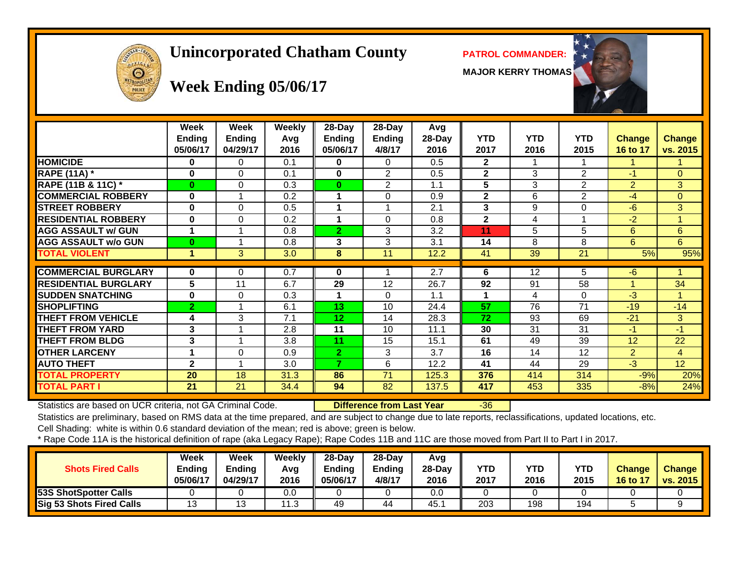# **Unincorporated Chatham County PATROL COMMANDER:**

**MAJOR KERRY THOMAS**





# **Week Ending 05/06/17**

|                             | Week<br><b>Ending</b><br>05/06/17 | Week<br><b>Ending</b><br>04/29/17 | Weekly<br>Avg<br>2016 | 28-Day<br>Ending<br>05/06/17 | 28-Day<br>Ending<br>4/8/17 | Avg<br>28-Day<br>2016 | <b>YTD</b><br>2017 | <b>YTD</b><br>2016 | <b>YTD</b><br>2015 | <b>Change</b><br>16 to 17 | <b>Change</b><br>vs. 2015 |
|-----------------------------|-----------------------------------|-----------------------------------|-----------------------|------------------------------|----------------------------|-----------------------|--------------------|--------------------|--------------------|---------------------------|---------------------------|
| <b>HOMICIDE</b>             | 0                                 | 0                                 | 0.1                   | 0                            | $\Omega$                   | 0.5                   | $\mathbf{2}$       |                    |                    |                           |                           |
| <b>RAPE (11A) *</b>         | 0                                 | 0                                 | 0.1                   | 0                            | 2                          | 0.5                   | $\mathbf{2}$       | 3                  | $\overline{2}$     | $-1$                      | $\Omega$                  |
| RAPE (11B & 11C) *          | $\bf{0}$                          | 0                                 | 0.3                   | $\bf{0}$                     | $\overline{2}$             | 1.1                   | 5                  | 3                  | $\overline{2}$     | $\overline{2}$            | 3                         |
| <b>COMMERCIAL ROBBERY</b>   | $\bf{0}$                          |                                   | 0.2                   |                              | $\Omega$                   | 0.9                   | $\mathbf{2}$       | 6                  | $\overline{2}$     | -4                        | $\overline{0}$            |
| <b>STREET ROBBERY</b>       | $\bf{0}$                          | 0                                 | 0.5                   |                              | 4                          | 2.1                   | 3                  | 9                  | $\Omega$           | -6                        | 3                         |
| <b>RESIDENTIAL ROBBERY</b>  | 0                                 | 0                                 | 0.2                   |                              | $\Omega$                   | 0.8                   | $\mathbf{2}$       | 4                  |                    | $-2$                      |                           |
| <b>AGG ASSAULT w/ GUN</b>   | 1                                 |                                   | 0.8                   | $\overline{2}$               | 3                          | 3.2                   | 11                 | 5                  | 5                  | 6                         | 6                         |
| <b>AGG ASSAULT w/o GUN</b>  | $\bf{0}$                          |                                   | 0.8                   | 3                            | 3                          | 3.1                   | 14                 | 8                  | 8                  | 6                         | 6 <sup>1</sup>            |
| <b>TOTAL VIOLENT</b>        | 1                                 | 3                                 | 3.0                   | 8                            | 11                         | 12.2                  | 41                 | 39                 | $\overline{21}$    | 5%                        | 95%                       |
|                             |                                   |                                   |                       |                              |                            |                       |                    |                    |                    |                           |                           |
| <b>COMMERCIAL BURGLARY</b>  | $\bf{0}$                          | 0                                 | 0.7                   | 0                            |                            | 2.7                   | 6                  | 12                 | 5                  | $-6$                      |                           |
| <b>RESIDENTIAL BURGLARY</b> | 5                                 | 11                                | 6.7                   | 29                           | 12                         | 26.7                  | 92                 | 91                 | 58                 |                           | 34                        |
| <b>SUDDEN SNATCHING</b>     | $\bf{0}$                          | 0                                 | 0.3                   |                              | 0                          | 1.1                   | 1                  | 4                  | $\Omega$           | $-3$                      |                           |
| <b>SHOPLIFTING</b>          | 2                                 |                                   | 6.1                   | 13                           | 10                         | 24.4                  | 57                 | 76                 | 71                 | $-19$                     | $-14$                     |
| <b>THEFT FROM VEHICLE</b>   | 4                                 | 3                                 | 7.1                   | 12 <sub>2</sub>              | 14                         | 28.3                  | 72                 | 93                 | 69                 | $-21$                     | 3                         |
| <b>THEFT FROM YARD</b>      | 3                                 |                                   | 2.8                   | 11                           | 10                         | 11.1                  | 30                 | 31                 | 31                 | $-1$                      | $-1$                      |
| <b>THEFT FROM BLDG</b>      | 3                                 |                                   | 3.8                   | 11                           | 15                         | 15.1                  | 61                 | 49                 | 39                 | 12                        | 22                        |
| <b>OTHER LARCENY</b>        | 1                                 | 0                                 | 0.9                   | $\overline{2}$               | 3                          | 3.7                   | 16                 | 14                 | 12                 | $\overline{2}$            | $\overline{4}$            |
| <b>AUTO THEFT</b>           | $\mathbf{2}$                      | 4                                 | 3.0                   | 7                            | 6                          | 12.2                  | 41                 | 44                 | 29                 | $-3$                      | 12 <sup>2</sup>           |
| <b>TOTAL PROPERTY</b>       | 20                                | 18                                | 31.3                  | 86                           | 71                         | 125.3                 | 376                | 414                | 314                | $-9%$                     | 20%                       |
| <b>TOTAL PART I</b>         | 21                                | 21                                | 34.4                  | 94                           | 82                         | 137.5                 | 417                | 453                | 335                | $-8%$                     | 24%                       |

Statistics are based on UCR criteria, not GA Criminal Code. **Difference from Last Year** -36

Statistics are preliminary, based on RMS data at the time prepared, and are subject to change due to late reports, reclassifications, updated locations, etc. Cell Shading: white is within 0.6 standard deviation of the mean; red is above; green is below.

| <b>Shots Fired Calls</b>     | Week<br><b>Ending</b><br>05/06/17 | <b>Week</b><br><b>Ending</b><br>04/29/17 | <b>Weekly</b><br>Avg<br>2016 | $28$ -Dav<br>Ending<br>05/06/17 | $28-Dav$<br>Ending<br>4/8/17 | Avg<br>$28-Dav$<br>2016 | <b>YTD</b><br>2017 | YTD<br>2016 | <b>YTD</b><br>2015 | <b>Change</b><br>16 to 17 | <b>Change</b><br>vs. 2015 |
|------------------------------|-----------------------------------|------------------------------------------|------------------------------|---------------------------------|------------------------------|-------------------------|--------------------|-------------|--------------------|---------------------------|---------------------------|
| <b>53S ShotSpotter Calls</b> |                                   |                                          | 0.0                          |                                 |                              | 0.0                     |                    |             |                    |                           |                           |
| Sig 53 Shots Fired Calls     |                                   | ں ا                                      | 11.3                         | 49                              | 44                           | 45.                     | 203                | 198         | 194                |                           |                           |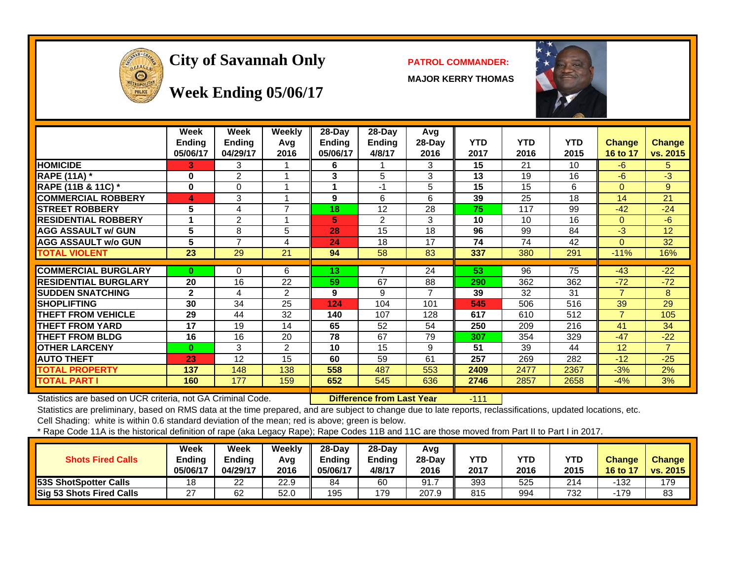

# City of Savannah Only **PATROL COMMANDER:**

**MAJOR KERRY THOMAS**



#### **Week Ending 05/06/17**

|                             | <b>Week</b><br><b>Ending</b><br>05/06/17 | <b>Week</b><br><b>Ending</b><br>04/29/17 | Weekly<br>Avg<br>2016 | 28-Day<br><b>Ending</b><br>05/06/17 | 28-Day<br><b>Ending</b><br>4/8/17 | Avg<br>28-Day<br>2016 | <b>YTD</b><br>2017 | <b>YTD</b><br>2016 | <b>YTD</b><br>2015 | <b>Change</b><br>16 to 17 | <b>Change</b><br>vs. 2015 |
|-----------------------------|------------------------------------------|------------------------------------------|-----------------------|-------------------------------------|-----------------------------------|-----------------------|--------------------|--------------------|--------------------|---------------------------|---------------------------|
| <b>HOMICIDE</b>             | 3.                                       | 3                                        |                       | 6                                   |                                   | 3                     | 15                 | 21                 | 10                 | $-6$                      | 5.                        |
| <b>RAPE (11A) *</b>         | 0                                        | $\overline{2}$                           |                       | 3                                   | 5                                 | 3                     | 13                 | 19                 | 16                 | $-6$                      | $-3$                      |
| RAPE (11B & 11C) *          | $\bf{0}$                                 | $\Omega$                                 |                       |                                     | $-1$                              | 5                     | 15                 | 15                 | 6                  | $\Omega$                  | 9                         |
| <b>COMMERCIAL ROBBERY</b>   | 4                                        | 3                                        |                       | 9                                   | 6                                 | 6                     | 39                 | 25                 | 18                 | 14                        | 21                        |
| <b>STREET ROBBERY</b>       | 5                                        | 4                                        | 7                     | 18                                  | 12                                | 28                    | 75                 | 117                | 99                 | $-42$                     | $-24$                     |
| <b>RESIDENTIAL ROBBERY</b>  |                                          | $\overline{2}$                           |                       | 5                                   | 2                                 | 3                     | 10                 | 10                 | 16                 | $\Omega$                  | $-6$                      |
| <b>AGG ASSAULT w/ GUN</b>   | 5                                        | 8                                        | 5                     | 28                                  | 15                                | 18                    | 96                 | 99                 | 84                 | -3                        | 12                        |
| <b>AGG ASSAULT w/o GUN</b>  | 5                                        | $\overline{ }$                           | 4                     | 24                                  | 18                                | 17                    | 74                 | 74                 | 42                 | $\Omega$                  | 32                        |
| <b>TOTAL VIOLENT</b>        | 23                                       | 29                                       | 21                    | 94                                  | 58                                | 83                    | 337                | 380                | 291                | $-11%$                    | 16%                       |
|                             |                                          |                                          |                       |                                     |                                   |                       |                    |                    |                    |                           |                           |
| <b>COMMERCIAL BURGLARY</b>  | $\bf{0}$                                 | $\Omega$                                 | 6                     | 13                                  | $\overline{ }$                    | 24                    | 53                 | 96                 | 75                 | $-43$                     | $-22$                     |
| <b>RESIDENTIAL BURGLARY</b> | 20                                       | 16                                       | 22                    | 59                                  | 67                                | 88                    | 290                | 362                | 362                | $-72$                     | $-72$                     |
| <b>SUDDEN SNATCHING</b>     | $\mathbf{2}$                             | 4                                        | $\mathfrak{p}$        | 9                                   | 9                                 | $\overline{7}$        | 39                 | 32                 | 31                 | $\overline{7}$            | 8                         |
| <b>SHOPLIFTING</b>          | 30                                       | 34                                       | 25                    | 124                                 | 104                               | 101                   | 545                | 506                | 516                | 39                        | 29                        |
| <b>THEFT FROM VEHICLE</b>   | 29                                       | 44                                       | 32                    | 140                                 | 107                               | 128                   | 617                | 610                | 512                | $\overline{7}$            | 105                       |
| <b>THEFT FROM YARD</b>      | 17                                       | 19                                       | 14                    | 65                                  | 52                                | 54                    | 250                | 209                | 216                | 41                        | 34                        |
| <b>THEFT FROM BLDG</b>      | 16                                       | 16                                       | 20                    | 78                                  | 67                                | 79                    | 307                | 354                | 329                | $-47$                     | $-22$                     |
| <b>OTHER LARCENY</b>        | $\bf{0}$                                 | 3                                        | 2                     | 10                                  | 15                                | 9                     | 51                 | 39                 | 44                 | 12                        | $\overline{7}$            |
| <b>AUTO THEFT</b>           | 23                                       | 12                                       | 15                    | 60                                  | 59                                | 61                    | 257                | 269                | 282                | $-12$                     | $-25$                     |
| <b>TOTAL PROPERTY</b>       | 137                                      | 148                                      | 138                   | 558                                 | 487                               | 553                   | 2409               | 2477               | 2367               | $-3%$                     | 2%                        |
| <b>TOTAL PART I</b>         | 160                                      | 177                                      | 159                   | 652                                 | 545                               | 636                   | 2746               | 2857               | 2658               | $-4%$                     | 3%                        |

Statistics are based on UCR criteria, not GA Criminal Code. **Difference from Last Year** -111

Statistics are preliminary, based on RMS data at the time prepared, and are subject to change due to late reports, reclassifications, updated locations, etc.

Cell Shading: white is within 0.6 standard deviation of the mean; red is above; green is below.

| <b>Shots Fired Calls</b>     | Week<br>Ending<br>05/06/17 | Week<br>Ending<br>04/29/17 | Weekly<br>Avg<br>2016 | $28-Dav$<br><b>Endina</b><br>05/06/17 | $28-Dav$<br>Ending<br>4/8/17 | Avg<br>$28-Dav$<br>2016 | <b>YTD</b><br>2017 | YTD<br>2016 | <b>YTD</b><br>2015 | <b>Change</b><br>16 to 17 | <b>Change</b><br><b>vs. 2015</b> |
|------------------------------|----------------------------|----------------------------|-----------------------|---------------------------------------|------------------------------|-------------------------|--------------------|-------------|--------------------|---------------------------|----------------------------------|
| <b>53S ShotSpotter Calls</b> | 18                         | 22                         | 22.9                  | 84                                    | 60                           | 91.                     | 393                | 525         | 214                | -132                      | 179                              |
| Sig 53 Shots Fired Calls     | $\sim$<br>∼                | 62                         | 52.0                  | 195                                   | 179                          | 207.9                   | 815                | 994         | 732                | -179                      | 83                               |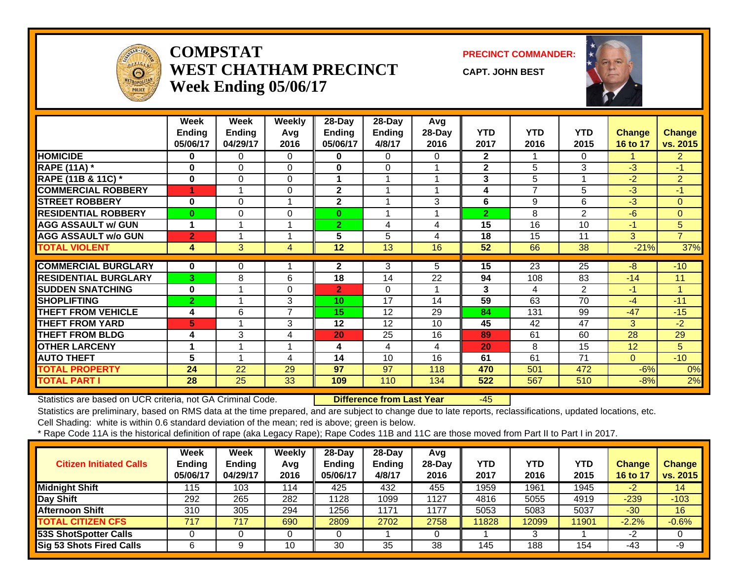

#### **COMPSTATWEST CHATHAM PRECINCTWeek Ending 05/06/17**

**PRECINCT COMMANDER:**

**CAPT. JOHN BEST**



|                             | Week           | Week           | Weekly         | 28-Day         | 28-Day                  | Avg      |                |                |                |               |                |
|-----------------------------|----------------|----------------|----------------|----------------|-------------------------|----------|----------------|----------------|----------------|---------------|----------------|
|                             | <b>Ending</b>  | <b>Ending</b>  | Avg            | Ending         | Ending                  | $28-Day$ | YTD            | <b>YTD</b>     | <b>YTD</b>     | <b>Change</b> | <b>Change</b>  |
|                             | 05/06/17       | 04/29/17       | 2016           | 05/06/17       | 4/8/17                  | 2016     | 2017           | 2016           | 2015           | 16 to 17      | vs. 2015       |
| <b>HOMICIDE</b>             | 0              | 0              | 0              | 0              | $\Omega$                | $\Omega$ | $\overline{2}$ |                | $\Omega$       |               | $\overline{2}$ |
| <b>RAPE (11A) *</b>         | 0              | $\Omega$       | 0              | 0              | $\Omega$                |          | $\mathbf{2}$   | 5              | 3              | $-3$          | $-1$           |
| RAPE (11B & 11C) *          | $\bf{0}$       | $\Omega$       | 0              | 1              | 1                       |          | 3              | 5              |                | $-2$          | $\overline{2}$ |
| <b>COMMERCIAL ROBBERY</b>   | 4              |                | $\Omega$       | 2              |                         |          | 4              | $\overline{7}$ | 5              | $-3$          | -1             |
| <b>STREET ROBBERY</b>       | $\bf{0}$       | $\Omega$       |                | $\mathbf{2}$   |                         | 3        | 6              | 9              | 6              | $-3$          | $\Omega$       |
| <b>RESIDENTIAL ROBBERY</b>  | 0              | $\Omega$       | $\Omega$       | $\bf{0}$       | $\overline{\mathbf{A}}$ |          | $\overline{2}$ | 8              | $\overline{2}$ | $-6$          | $\Omega$       |
| <b>AGG ASSAULT w/ GUN</b>   | 1              | 1              |                | $\overline{2}$ | 4                       | 4        | 15             | 16             | 10             | $-1$          | 5 <sup>5</sup> |
| <b>AGG ASSAULT w/o GUN</b>  | $\overline{2}$ |                |                | 5              | 5                       | 4        | 18             | 15             | 11             | 3             | $\overline{7}$ |
| <b>TOTAL VIOLENT</b>        | 4              | 3              | 4              | 12             | 13                      | 16       | 52             | 66             | 38             | $-21%$        | 37%            |
|                             |                |                |                |                |                         |          |                |                |                |               |                |
| <b>COMMERCIAL BURGLARY</b>  | $\bf{0}$       | 0              |                | $\mathbf{2}$   | 3                       | 5.       | 15             | 23             | 25             | -8            | $-10$          |
| <b>RESIDENTIAL BURGLARY</b> | 3              | 8              | 6              | 18             | 14                      | 22       | 94             | 108            | 83             | $-14$         | 11             |
| <b>SUDDEN SNATCHING</b>     | 0              |                | $\Omega$       | $\overline{2}$ | $\Omega$                |          | 3              | 4              | 2              | $-1$          | 1              |
| <b>SHOPLIFTING</b>          | $\overline{2}$ | 1              | 3              | 10             | 17                      | 14       | 59             | 63             | 70             | $-4$          | $-11$          |
| <b>THEFT FROM VEHICLE</b>   | 4              | 6              | $\overline{7}$ | 15             | 12                      | 29       | 84             | 131            | 99             | $-47$         | $-15$          |
| <b>THEFT FROM YARD</b>      | 5              | $\overline{A}$ | 3              | 12             | 12                      | 10       | 45             | 42             | 47             | 3             | $-2$           |
| <b>THEFT FROM BLDG</b>      | 4              | 3              | 4              | 20             | 25                      | 16       | 89             | 61             | 60             | 28            | 29             |
| <b>OTHER LARCENY</b>        | 1              | 1              | 1              | 4              | 4                       | 4        | 20             | 8              | 15             | 12            | 5              |
| <b>AUTO THEFT</b>           | 5              | $\overline{ }$ | 4              | 14             | 10                      | 16       | 61             | 61             | 71             | $\Omega$      | $-10$          |
| <b>TOTAL PROPERTY</b>       | 24             | 22             | 29             | 97             | 97                      | 118      | 470            | 501            | 472            | $-6%$         | 0%             |
| <b>TOTAL PART I</b>         | 28             | 25             | 33             | 109            | 110                     | 134      | 522            | 567            | 510            | $-8%$         | 2%             |

Statistics are based on UCR criteria, not GA Criminal Code. **Difference from Last Year** -45

Statistics are preliminary, based on RMS data at the time prepared, and are subject to change due to late reports, reclassifications, updated locations, etc.

Cell Shading: white is within 0.6 standard deviation of the mean; red is above; green is below.

| <b>Citizen Initiated Calls</b> | Week<br><b>Ending</b><br>05/06/17 | Week<br><b>Ending</b><br>04/29/17 | Weekly<br>Avg<br>2016 | $28$ -Day<br>Ending<br>05/06/17 | 28-Day<br><b>Ending</b><br>4/8/17 | Avg<br>$28-Day$<br>2016 | YTD<br>2017 | <b>YTD</b><br>2016 | YTD<br>2015 | <b>Change</b><br>16 to 17 | <b>Change</b><br>vs. 2015 |
|--------------------------------|-----------------------------------|-----------------------------------|-----------------------|---------------------------------|-----------------------------------|-------------------------|-------------|--------------------|-------------|---------------------------|---------------------------|
| <b>Midnight Shift</b>          | 115                               | 103                               | 114                   | 425                             | 432                               | 455                     | 1959        | 1961               | 1945        | $-2$                      | 14                        |
| Day Shift                      | 292                               | 265                               | 282                   | 1128                            | 1099                              | 1127                    | 4816        | 5055               | 4919        | $-239$                    | $-103$                    |
| <b>Afternoon Shift</b>         | 310                               | 305                               | 294                   | 1256                            | 1171                              | 1177                    | 5053        | 5083               | 5037        | $-30$                     | 16                        |
| <b>TOTAL CITIZEN CFS</b>       | 717                               | 717                               | 690                   | 2809                            | 2702                              | 2758                    | 11828       | 12099              | 11901       | $-2.2%$                   | $-0.6%$                   |
| <b>53S ShotSpotter Calls</b>   |                                   |                                   |                       |                                 |                                   |                         |             | 3                  |             | -2                        |                           |
| Sig 53 Shots Fired Calls       |                                   | 9                                 | 10                    | 30                              | 35                                | 38                      | 145         | 188                | 154         | -43                       | -9                        |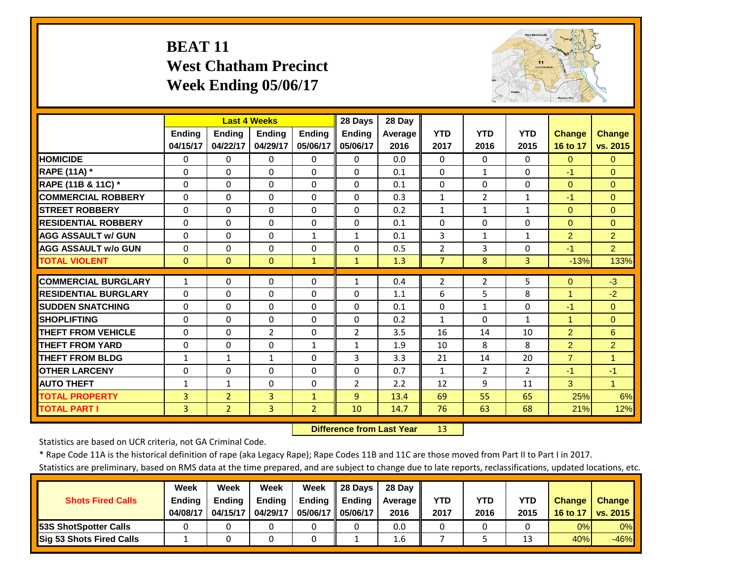# **BEAT 11 West Chatham Precinct Week Ending 05/06/17**



|                             |               | <b>Last 4 Weeks</b> |                |                | 28 Days        | 28 Day  |                |                |                |                |                |
|-----------------------------|---------------|---------------------|----------------|----------------|----------------|---------|----------------|----------------|----------------|----------------|----------------|
|                             | <b>Endina</b> | <b>Endina</b>       | <b>Endina</b>  | <b>Endina</b>  | <b>Endina</b>  | Average | <b>YTD</b>     | <b>YTD</b>     | <b>YTD</b>     | <b>Change</b>  | <b>Change</b>  |
|                             | 04/15/17      | 04/22/17            | 04/29/17       | 05/06/17       | 05/06/17       | 2016    | 2017           | 2016           | 2015           | 16 to 17       | vs. 2015       |
| <b>HOMICIDE</b>             | $\Omega$      | $\Omega$            | $\Omega$       | $\Omega$       | 0              | 0.0     | $\Omega$       | 0              | $\Omega$       | $\Omega$       | $\Omega$       |
| RAPE (11A) *                | $\Omega$      | $\Omega$            | $\Omega$       | $\Omega$       | 0              | 0.1     | $\Omega$       | $\mathbf{1}$   | $\Omega$       | $-1$           | $\Omega$       |
| RAPE (11B & 11C) *          | $\mathbf 0$   | $\Omega$            | $\Omega$       | $\Omega$       | $\Omega$       | 0.1     | $\Omega$       | $\Omega$       | $\Omega$       | $\mathbf{0}$   | $\Omega$       |
| <b>COMMERCIAL ROBBERY</b>   | $\Omega$      | $\Omega$            | $\Omega$       | $\Omega$       | $\Omega$       | 0.3     | $\mathbf{1}$   | $\overline{2}$ | $\mathbf{1}$   | $-1$           | $\Omega$       |
| <b>STREET ROBBERY</b>       | $\Omega$      | $\Omega$            | $\Omega$       | $\Omega$       | $\Omega$       | 0.2     | $\mathbf{1}$   | 1              | $\mathbf{1}$   | $\Omega$       | $\Omega$       |
| <b>RESIDENTIAL ROBBERY</b>  | $\Omega$      | $\Omega$            | $\Omega$       | $\Omega$       | $\Omega$       | 0.1     | $\Omega$       | $\Omega$       | 0              | $\Omega$       | $\Omega$       |
| <b>AGG ASSAULT W/ GUN</b>   | $\Omega$      | $\Omega$            | $\Omega$       | $\mathbf{1}$   | $\mathbf{1}$   | 0.1     | 3              | $\mathbf{1}$   | 1              | $\overline{2}$ | $\overline{2}$ |
| <b>AGG ASSAULT w/o GUN</b>  | $\Omega$      | $\Omega$            | $\Omega$       | $\Omega$       | 0              | 0.5     | $\overline{2}$ | 3              | 0              | $-1$           | $\overline{2}$ |
| <b>TOTAL VIOLENT</b>        | $\mathbf{0}$  | $\Omega$            | $\Omega$       | $\mathbf{1}$   | $\mathbf{1}$   | 1.3     | $\overline{7}$ | 8              | 3              | $-13%$         | 133%           |
| <b>COMMERCIAL BURGLARY</b>  | 1             | $\Omega$            | 0              | 0              | 1              | 0.4     | $\overline{2}$ | $\overline{2}$ | 5              | $\Omega$       | $-3$           |
| <b>RESIDENTIAL BURGLARY</b> | $\Omega$      | $\Omega$            | $\Omega$       | $\Omega$       | $\Omega$       | 1.1     | 6              | 5              | 8              | $\mathbf{1}$   | $-2$           |
| <b>SUDDEN SNATCHING</b>     | $\Omega$      | $\Omega$            | $\Omega$       | $\Omega$       | 0              | 0.1     | $\Omega$       | 1              | 0              | $-1$           | $\Omega$       |
| <b>SHOPLIFTING</b>          | $\Omega$      | $\Omega$            | $\Omega$       | $\Omega$       | 0              | 0.2     | $\mathbf{1}$   | $\Omega$       | $\mathbf{1}$   | $\mathbf 1$    | $\Omega$       |
| <b>THEFT FROM VEHICLE</b>   | $\Omega$      | $\Omega$            | 2              | $\Omega$       | $\overline{2}$ | 3.5     | 16             | 14             | 10             | $\overline{2}$ | 6              |
| <b>THEFT FROM YARD</b>      | $\Omega$      | $\Omega$            | $\Omega$       | 1              | $\mathbf{1}$   | 1.9     | 10             | 8              | 8              | $\overline{2}$ | $\overline{2}$ |
| <b>THEFT FROM BLDG</b>      | 1             | 1                   | $\mathbf{1}$   | 0              | 3              | 3.3     | 21             | 14             | 20             | $\overline{7}$ | 1              |
| <b>OTHER LARCENY</b>        | 0             | $\Omega$            | $\Omega$       | $\Omega$       | $\Omega$       | 0.7     | $\mathbf{1}$   | $\overline{2}$ | $\overline{2}$ | $-1$           | $-1$           |
| <b>AUTO THEFT</b>           | $\mathbf{1}$  | $\mathbf{1}$        | $\Omega$       | $\Omega$       | $\overline{2}$ | 2.2     | 12             | 9              | 11             | 3              | $\mathbf{1}$   |
| <b>TOTAL PROPERTY</b>       | 3             | $\overline{2}$      | 3              | $\mathbf{1}$   | 9              | 13.4    | 69             | 55             | 65             | 25%            | 6%             |
| <b>TOTAL PART I</b>         | 3             | $\overline{2}$      | $\overline{3}$ | $\overline{2}$ | 10             | 14.7    | 76             | 63             | 68             | 21%            | 12%            |

 **Difference from Last Year**r 13

Statistics are based on UCR criteria, not GA Criminal Code.

\* Rape Code 11A is the historical definition of rape (aka Legacy Rape); Rape Codes 11B and 11C are those moved from Part II to Part I in 2017.

|                                 | Week          | Week          | Week          | Week                | 28 Davs       | 28 Dav     |      |      |        |               |               |
|---------------------------------|---------------|---------------|---------------|---------------------|---------------|------------|------|------|--------|---------------|---------------|
| <b>Shots Fired Calls</b>        | <b>Ending</b> | <b>Ending</b> | <b>Ending</b> | <b>Ending</b>       | <b>Ending</b> | Average II | YTD  | YTD  | YTD    | <b>Change</b> | <b>Change</b> |
|                                 | 04/08/17      | 04/15/17      | 04/29/17      | 05/06/17   05/06/17 |               | 2016       | 2017 | 2016 | 2015   | 16 to 17      | vs. 2015      |
| <b>153S ShotSpotter Calls</b>   |               |               |               |                     |               | 0.0        |      |      |        | 0%            | $0\%$         |
| <b>Sig 53 Shots Fired Calls</b> |               |               |               |                     |               | $1.6\,$    |      |      | $\sim$ | 40%           | $-46%$        |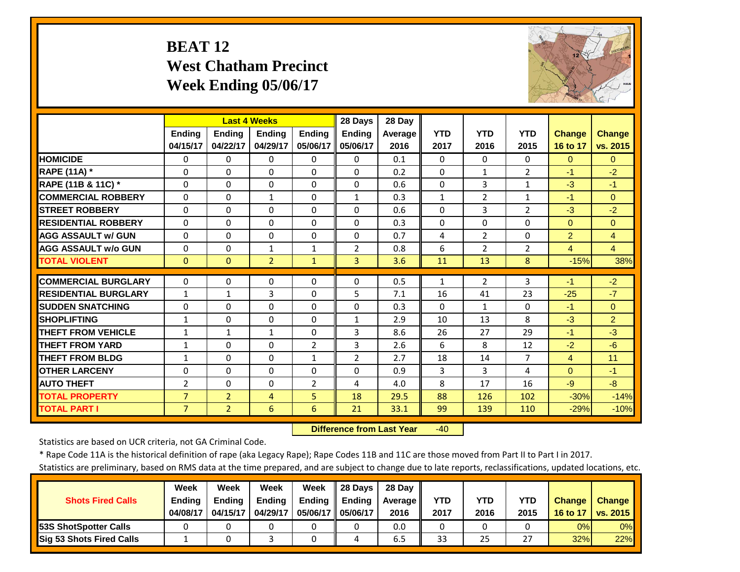# **BEAT 12 West Chatham Precinct Week Ending 05/06/17**



|                             |                |                | <b>Last 4 Weeks</b>  |                | 28 Days        | 28 Day  |              |                |                |                |                |
|-----------------------------|----------------|----------------|----------------------|----------------|----------------|---------|--------------|----------------|----------------|----------------|----------------|
|                             | <b>Ending</b>  | <b>Endina</b>  | <b>Endina</b>        | <b>Endina</b>  | <b>Endina</b>  | Average | <b>YTD</b>   | <b>YTD</b>     | <b>YTD</b>     | <b>Change</b>  | <b>Change</b>  |
|                             | 04/15/17       | 04/22/17       | 04/29/17             | 05/06/17       | 05/06/17       | 2016    | 2017         | 2016           | 2015           | 16 to 17       | vs. 2015       |
| <b>HOMICIDE</b>             | $\Omega$       | 0              | $\Omega$             | $\Omega$       | $\Omega$       | 0.1     | $\Omega$     | $\Omega$       | 0              | $\Omega$       | $\Omega$       |
| RAPE (11A) *                | $\Omega$       | $\Omega$       | $\Omega$             | $\Omega$       | $\Omega$       | 0.2     | $\Omega$     | $\mathbf{1}$   | $\overline{2}$ | $-1$           | $-2$           |
| RAPE (11B & 11C) *          | $\Omega$       | $\Omega$       | $\Omega$             | $\Omega$       | $\Omega$       | 0.6     | $\mathbf 0$  | 3              | $\mathbf{1}$   | $-3$           | $-1$           |
| <b>COMMERCIAL ROBBERY</b>   | $\Omega$       | $\Omega$       | $\mathbf{1}$         | $\Omega$       | $\mathbf{1}$   | 0.3     | $\mathbf{1}$ | $\overline{2}$ | $\mathbf{1}$   | $-1$           | $\Omega$       |
| <b>STREET ROBBERY</b>       | $\Omega$       | $\Omega$       | $\Omega$             | $\Omega$       | $\Omega$       | 0.6     | $\Omega$     | 3              | $\overline{2}$ | $-3$           | $-2$           |
| <b>RESIDENTIAL ROBBERY</b>  | $\Omega$       | $\Omega$       | $\Omega$             | $\Omega$       | $\Omega$       | 0.3     | $\Omega$     | $\Omega$       | 0              | $\Omega$       | $\Omega$       |
| <b>AGG ASSAULT W/ GUN</b>   | $\Omega$       | $\Omega$       | $\Omega$             | $\Omega$       | $\Omega$       | 0.7     | 4            | $\overline{2}$ | 0              | $\overline{2}$ | $\overline{4}$ |
| <b>AGG ASSAULT w/o GUN</b>  | $\Omega$       | $\Omega$       | 1                    | $\mathbf{1}$   | $\overline{2}$ | 0.8     | 6            | $\overline{2}$ | $\overline{2}$ | $\overline{4}$ | $\overline{4}$ |
| <b>TOTAL VIOLENT</b>        | $\mathbf{0}$   | $\Omega$       | $\overline{2}$       | $\mathbf{1}$   | 3              | 3.6     | 11           | 13             | 8              | $-15%$         | 38%            |
| <b>COMMERCIAL BURGLARY</b>  | $\Omega$       | 0              | 0                    | 0              | $\Omega$       | 0.5     | 1            | $\overline{2}$ | 3              | $-1$           | $-2$           |
| <b>RESIDENTIAL BURGLARY</b> | $\mathbf{1}$   | $\mathbf{1}$   | 3                    | $\Omega$       | 5              | 7.1     | 16           | 41             | 23             | $-25$          | $-7$           |
| <b>SUDDEN SNATCHING</b>     | $\Omega$       | $\Omega$       | $\Omega$             | $\Omega$       | $\Omega$       | 0.3     | $\Omega$     | $\mathbf{1}$   | 0              | $-1$           | $\Omega$       |
| <b>SHOPLIFTING</b>          | $\mathbf{1}$   | $\Omega$       | $\Omega$             | 0              | $\mathbf{1}$   | 2.9     | 10           | 13             | 8              | $-3$           | $\overline{2}$ |
| <b>THEFT FROM VEHICLE</b>   | $\mathbf{1}$   | $\mathbf{1}$   | $\mathbf{1}$         | $\Omega$       | 3              | 8.6     | 26           | 27             | 29             | $-1$           | $-3$           |
| <b>THEFT FROM YARD</b>      | $\mathbf{1}$   | 0              | $\Omega$             | $\overline{2}$ | 3              | 2.6     | 6            | 8              | 12             | $-2$           | $-6$           |
| <b>THEFT FROM BLDG</b>      | 1              | 0              | $\Omega$             | $\mathbf{1}$   | $\overline{2}$ | 2.7     | 18           | 14             | $\overline{7}$ | $\overline{4}$ | 11             |
| <b>OTHER LARCENY</b>        | $\Omega$       | $\Omega$       |                      | $\Omega$       | $\Omega$       | 0.9     | 3            | 3              | 4              | $\Omega$       | $-1$           |
| <b>AUTO THEFT</b>           |                | $\Omega$       | $\Omega$<br>$\Omega$ | $\overline{2}$ | 4              | 4.0     | 8            | 17             | 16             | $-9$           | $-8$           |
|                             | $\overline{2}$ |                |                      |                |                |         |              |                |                |                |                |
| <b>TOTAL PROPERTY</b>       | $\overline{7}$ | $\overline{2}$ | $\overline{4}$       | 5              | 18             | 29.5    | 88           | 126            | 102            | $-30%$         | $-14%$         |
| <b>TOTAL PART I</b>         | $\overline{7}$ | $\overline{2}$ | 6                    | 6              | 21             | 33.1    | 99           | 139            | 110            | $-29%$         | $-10%$         |

 **Difference from Last Year**‐40

Statistics are based on UCR criteria, not GA Criminal Code.

\* Rape Code 11A is the historical definition of rape (aka Legacy Rape); Rape Codes 11B and 11C are those moved from Part II to Part I in 2017.

|                                 | Week          | Week          | Week          | Week          | 28 Davs  | 28 Dav     |            |      |            |               |               |
|---------------------------------|---------------|---------------|---------------|---------------|----------|------------|------------|------|------------|---------------|---------------|
| <b>Shots Fired Calls</b>        | <b>Ending</b> | <b>Ending</b> | <b>Ending</b> | <b>Ending</b> | Endina   | Average II | <b>YTD</b> | YTD  | <b>YTD</b> | <b>Change</b> | <b>Change</b> |
|                                 | 04/08/17      | 04/15/17      | 04/29/17      | 05/06/17 II   | 05/06/17 | 2016       | 2017       | 2016 | 2015       | 16 to 17      | vs. 2015      |
| 53S ShotSpotter Calls           |               |               |               |               |          | 0.0        |            |      |            | 0%            | $0\%$         |
| <b>Sig 53 Shots Fired Calls</b> |               |               |               |               |          | 6.5        | 33         | 25   | 27         | 32%           | 22%           |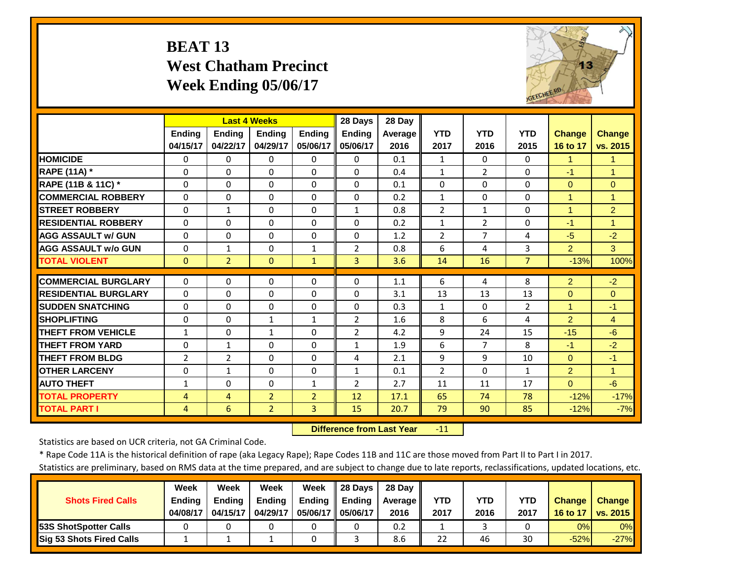# **BEAT 13 West Chatham Precinct Week Ending 05/06/17**



|                             |                | <b>Last 4 Weeks</b> |                |                | 28 Days        | 28 Day  |                |                |                |                      |                |
|-----------------------------|----------------|---------------------|----------------|----------------|----------------|---------|----------------|----------------|----------------|----------------------|----------------|
|                             | <b>Ending</b>  | <b>Endina</b>       | <b>Ending</b>  | <b>Endina</b>  | <b>Ending</b>  | Average | <b>YTD</b>     | <b>YTD</b>     | <b>YTD</b>     | <b>Change</b>        | <b>Change</b>  |
|                             | 04/15/17       | 04/22/17            | 04/29/17       | 05/06/17       | 05/06/17       | 2016    | 2017           | 2016           | 2015           | 16 to 17             | vs. 2015       |
| <b>HOMICIDE</b>             | $\Omega$       | 0                   | $\Omega$       | $\Omega$       | $\Omega$       | 0.1     | $\mathbf{1}$   | 0              | $\Omega$       | 1                    | $\mathbf{1}$   |
| RAPE (11A) *                | $\Omega$       | $\Omega$            | $\Omega$       | $\Omega$       | $\Omega$       | 0.4     | $\mathbf{1}$   | $\overline{2}$ | $\Omega$       | $-1$                 | $\mathbf{1}$   |
| RAPE (11B & 11C) *          | $\Omega$       | $\Omega$            | $\Omega$       | $\Omega$       | $\Omega$       | 0.1     | $\Omega$       | $\Omega$       | $\Omega$       | $\Omega$             | $\Omega$       |
| <b>COMMERCIAL ROBBERY</b>   | $\Omega$       | $\Omega$            | $\Omega$       | $\Omega$       | $\Omega$       | 0.2     | $\mathbf{1}$   | $\Omega$       | $\Omega$       | $\blacktriangleleft$ | 1              |
| <b>STREET ROBBERY</b>       | $\Omega$       | 1                   | $\Omega$       | $\Omega$       | $\mathbf{1}$   | 0.8     | $\overline{2}$ | $\mathbf{1}$   | $\Omega$       | $\overline{1}$       | $\overline{2}$ |
| <b>RESIDENTIAL ROBBERY</b>  | $\Omega$       | 0                   | $\Omega$       | $\Omega$       | $\Omega$       | 0.2     | $\mathbf{1}$   | $\overline{2}$ | $\Omega$       | $-1$                 | 1              |
| <b>AGG ASSAULT w/ GUN</b>   | $\Omega$       | 0                   | $\Omega$       | $\Omega$       | $\Omega$       | 1.2     | $\overline{2}$ | $\overline{7}$ | 4              | $-5$                 | $-2$           |
| <b>AGG ASSAULT w/o GUN</b>  | $\Omega$       | 1                   | $\Omega$       | $\mathbf{1}$   | $\overline{2}$ | 0.8     | 6              | 4              | 3              | 2                    | 3              |
| <b>TOTAL VIOLENT</b>        | $\mathbf{0}$   | $\overline{2}$      | $\Omega$       | $\mathbf{1}$   | 3              | 3.6     | 14             | 16             | $\overline{7}$ | $-13%$               | 100%           |
| <b>COMMERCIAL BURGLARY</b>  | $\Omega$       | 0                   | 0              | 0              | 0              | 1.1     | 6              | 4              | 8              | 2                    | $-2$           |
| <b>RESIDENTIAL BURGLARY</b> | $\Omega$       | 0                   | $\Omega$       | $\Omega$       | $\Omega$       | 3.1     | 13             | 13             | 13             | $\Omega$             | $\Omega$       |
| <b>SUDDEN SNATCHING</b>     | $\Omega$       | 0                   | $\Omega$       | $\Omega$       | $\Omega$       | 0.3     | $\mathbf{1}$   | $\Omega$       | $\overline{2}$ | $\blacktriangleleft$ | $-1$           |
| <b>SHOPLIFTING</b>          | $\Omega$       | 0                   | $\mathbf{1}$   | $\mathbf{1}$   | 2              | 1.6     | 8              | 6              | 4              | 2                    | $\overline{4}$ |
| <b>THEFT FROM VEHICLE</b>   | $\mathbf{1}$   | 0                   | 1              | $\Omega$       | 2              | 4.2     | 9              | 24             | 15             | $-15$                | $-6$           |
| <b>THEFT FROM YARD</b>      | $\Omega$       | 1                   | $\Omega$       | $\Omega$       | $\mathbf{1}$   | 1.9     | 6              | $\overline{7}$ | 8              | $-1$                 | $-2$           |
| <b>THEFT FROM BLDG</b>      | $\overline{2}$ | $\overline{2}$      | $\Omega$       | $\Omega$       | 4              | 2.1     | 9              | 9              | 10             | $\Omega$             | $-1$           |
| <b>OTHER LARCENY</b>        | $\Omega$       | $\mathbf{1}$        | $\Omega$       | $\Omega$       | $\mathbf{1}$   | 0.1     | $\overline{2}$ | $\Omega$       | $\mathbf{1}$   | 2                    | $\mathbf{1}$   |
| <b>AUTO THEFT</b>           | 1              | 0                   | $\Omega$       | $\mathbf{1}$   | $\overline{2}$ | 2.7     | 11             | 11             | 17             | $\Omega$             | $-6$           |
| <b>TOTAL PROPERTY</b>       | 4              | 4                   | $\overline{2}$ | $\overline{2}$ | 12             | 17.1    | 65             | 74             | 78             | $-12%$               | $-17%$         |
| <b>TOTAL PART I</b>         | 4              | 6                   | $\overline{2}$ | 3              | 15             | 20.7    | 79             | 90             | 85             | $-12%$               | $-7%$          |

 **Difference from Last Year** $-11$ 

Statistics are based on UCR criteria, not GA Criminal Code.

\* Rape Code 11A is the historical definition of rape (aka Legacy Rape); Rape Codes 11B and 11C are those moved from Part II to Part I in 2017.

|                               | Week          | Week          | Week          | Week          | 28 Davs       | 28 Dav     |            |      |      |               |                 |
|-------------------------------|---------------|---------------|---------------|---------------|---------------|------------|------------|------|------|---------------|-----------------|
| <b>Shots Fired Calls</b>      | <b>Ending</b> | <b>Endina</b> | <b>Ending</b> | <b>Ending</b> | <b>Ending</b> | Average II | <b>YTD</b> | YTD  | YTD  | <b>Change</b> | <b>Change</b>   |
|                               | 04/08/17      | 04/15/17      | 04/29/17      | 05/06/17 I    | 05/06/17      | 2016       | 2017       | 2016 | 2017 | 16 to 17      | <b>vs. 2015</b> |
| <b>153S ShotSpotter Calls</b> |               |               |               |               |               | 0.2        |            |      |      | 0%            | $0\%$           |
| Sig 53 Shots Fired Calls      |               |               |               |               |               | 8.6        | 22         | 46   | 30   | $-52%$        | $-27%$          |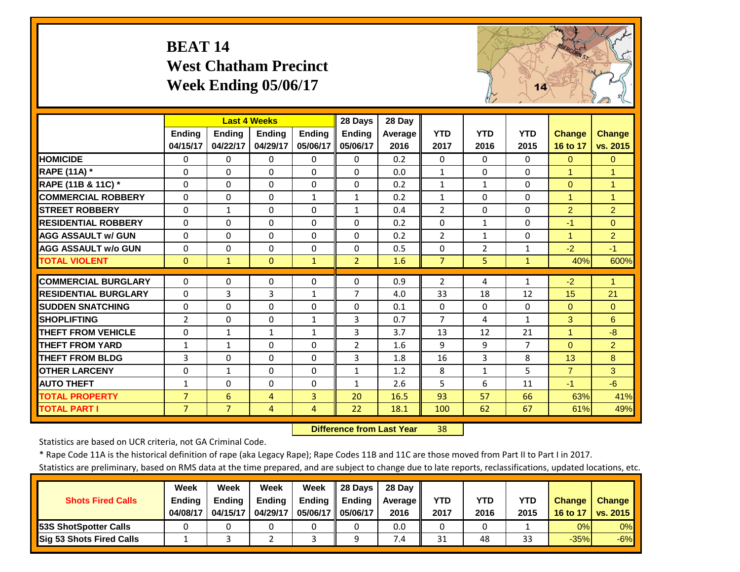# **BEAT 14 West Chatham Precinct Week Ending 05/06/17**



|                             |                | <b>Last 4 Weeks</b> |               |               | 28 Days        | 28 Day         |                |                |              |                |                      |
|-----------------------------|----------------|---------------------|---------------|---------------|----------------|----------------|----------------|----------------|--------------|----------------|----------------------|
|                             | <b>Ending</b>  | <b>Endina</b>       | <b>Endina</b> | <b>Endina</b> | <b>Endina</b>  | <b>Average</b> | <b>YTD</b>     | <b>YTD</b>     | <b>YTD</b>   | <b>Change</b>  | <b>Change</b>        |
|                             | 04/15/17       | 04/22/17            | 04/29/17      | 05/06/17      | 05/06/17       | 2016           | 2017           | 2016           | 2015         | 16 to 17       | vs. 2015             |
| <b>HOMICIDE</b>             | $\Omega$       | 0                   | $\Omega$      | $\Omega$      | $\Omega$       | 0.2            | $\Omega$       | $\Omega$       | 0            | $\Omega$       | $\Omega$             |
| RAPE (11A) *                | $\Omega$       | 0                   | $\Omega$      | $\Omega$      | $\Omega$       | 0.0            | $\mathbf{1}$   | $\Omega$       | $\Omega$     | $\overline{1}$ | 1                    |
| RAPE (11B & 11C) *          | $\Omega$       | 0                   | $\Omega$      | $\Omega$      | $\Omega$       | 0.2            | $\mathbf{1}$   | 1              | $\Omega$     | $\mathbf{0}$   | $\overline{1}$       |
| <b>COMMERCIAL ROBBERY</b>   | $\Omega$       | 0                   | $\Omega$      | $\mathbf{1}$  | $\mathbf{1}$   | 0.2            | $\mathbf{1}$   | $\Omega$       | $\Omega$     | $\overline{1}$ | $\blacktriangleleft$ |
| <b>STREET ROBBERY</b>       | $\Omega$       | $\mathbf{1}$        | $\Omega$      | $\Omega$      | $\mathbf{1}$   | 0.4            | $\overline{2}$ | $\Omega$       | $\Omega$     | $\overline{2}$ | $\overline{2}$       |
| <b>RESIDENTIAL ROBBERY</b>  | $\Omega$       | 0                   | $\Omega$      | $\Omega$      | $\Omega$       | 0.2            | $\Omega$       | $\mathbf{1}$   | $\Omega$     | $-1$           | $\Omega$             |
| <b>AGG ASSAULT W/ GUN</b>   | $\Omega$       | 0                   | $\Omega$      | $\Omega$      | $\Omega$       | 0.2            | $\overline{2}$ | $\mathbf{1}$   | $\Omega$     | 1              | $\overline{2}$       |
| <b>AGG ASSAULT w/o GUN</b>  | $\Omega$       | 0                   | $\Omega$      | $\Omega$      | $\Omega$       | 0.5            | $\Omega$       | $\overline{2}$ | $\mathbf{1}$ | $-2$           | $-1$                 |
| <b>TOTAL VIOLENT</b>        | $\mathbf{0}$   | $\mathbf{1}$        | $\Omega$      | $\mathbf{1}$  | $\overline{2}$ | 1.6            | $\overline{7}$ | 5              | $\mathbf{1}$ | 40%            | 600%                 |
| <b>COMMERCIAL BURGLARY</b>  | $\Omega$       | 0                   | 0             | 0             | $\Omega$       | 0.9            | $\overline{2}$ | 4              | $\mathbf{1}$ | $-2$           | 1                    |
| <b>RESIDENTIAL BURGLARY</b> | $\Omega$       | 3                   | 3             | $\mathbf{1}$  | $\overline{7}$ | 4.0            | 33             | 18             | 12           | 15             | 21                   |
| <b>SUDDEN SNATCHING</b>     | $\Omega$       | 0                   | 0             | $\Omega$      | $\Omega$       | 0.1            | $\Omega$       | $\Omega$       | $\Omega$     | $\mathbf{0}$   | $\Omega$             |
|                             |                |                     |               |               |                |                |                |                |              |                |                      |
| <b>SHOPLIFTING</b>          | $\overline{2}$ | 0                   | $\Omega$      | $\mathbf{1}$  | 3              | 0.7            | $\overline{7}$ | 4              | $\mathbf{1}$ | 3              | 6                    |
| <b>THEFT FROM VEHICLE</b>   | $\Omega$       | $\mathbf{1}$        | $\mathbf{1}$  | $\mathbf{1}$  | 3              | 3.7            | 13             | 12             | 21           | $\overline{1}$ | $-8$                 |
| <b>THEFT FROM YARD</b>      | $\mathbf{1}$   | $\mathbf{1}$        | $\Omega$      | $\Omega$      | $\overline{2}$ | 1.6            | 9              | 9              | 7            | $\Omega$       | $\overline{2}$       |
| <b>THEFT FROM BLDG</b>      | 3              | 0                   | $\Omega$      | $\Omega$      | 3              | 1.8            | 16             | 3              | 8            | 13             | 8                    |
| <b>OTHER LARCENY</b>        | $\Omega$       | $\mathbf{1}$        | $\Omega$      | $\Omega$      | $\mathbf{1}$   | 1.2            | 8              | $\mathbf{1}$   | 5            | $\overline{7}$ | $\mathbf{3}$         |
| <b>AUTO THEFT</b>           | $\mathbf{1}$   | 0                   | $\Omega$      | $\Omega$      | $\mathbf{1}$   | 2.6            | 5              | 6              | 11           | $-1$           | $-6$                 |
| <b>TOTAL PROPERTY</b>       | $\overline{7}$ | 6                   | 4             | 3             | 20             | 16.5           | 93             | 57             | 66           | 63%            | 41%                  |
| <b>TOTAL PART I</b>         | $\overline{7}$ | $\overline{7}$      | 4             | 4             | 22             | 18.1           | 100            | 62             | 67           | 61%            | 49%                  |

 **Difference from Last Year**r 38

Statistics are based on UCR criteria, not GA Criminal Code.

\* Rape Code 11A is the historical definition of rape (aka Legacy Rape); Rape Codes 11B and 11C are those moved from Part II to Part I in 2017.

|                                 | Week          | Week          | Week          | Week          | <b>28 Davs</b> | 28 Dav     |      |      |      |               |               |
|---------------------------------|---------------|---------------|---------------|---------------|----------------|------------|------|------|------|---------------|---------------|
| <b>Shots Fired Calls</b>        | <b>Ending</b> | <b>Ending</b> | <b>Ending</b> | <b>Ending</b> | <b>Ending</b>  | Average II | YTD  | YTD  | YTD  | <b>Change</b> | <b>Change</b> |
|                                 | 04/08/17      | 04/15/17      | 04/29/17      | 05/06/17 I    | 05/06/17       | 2016       | 2017 | 2016 | 2015 | 16 to 17      | vs. 2015      |
| <b>153S ShotSpotter Calls</b>   |               |               |               |               |                | 0.0        |      |      |      | 0%            | $0\%$         |
| <b>Sig 53 Shots Fired Calls</b> |               |               |               |               |                | 7.4        | 31   | 48   | 33   | $-35%$        | $-6%$         |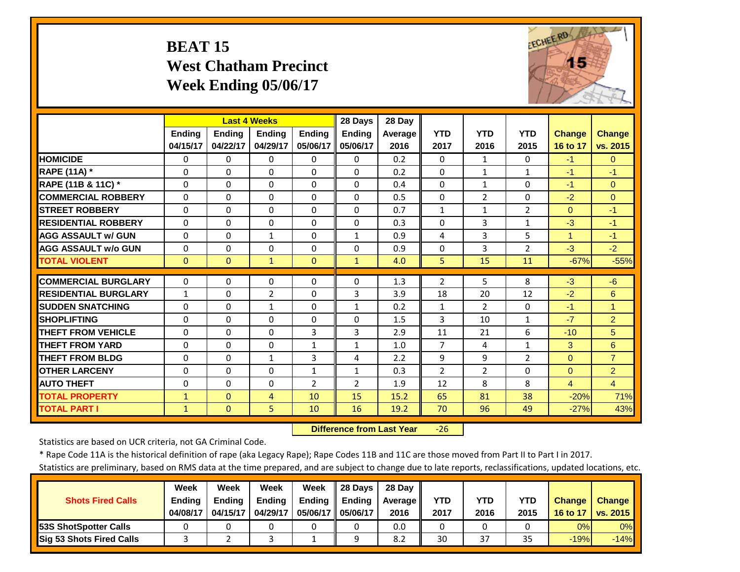# **BEAT 15 West Chatham Precinct Week Ending 05/06/17**



|                             |               | <b>Last 4 Weeks</b> |                |                | 28 Days        | 28 Day         |                |                |                |                |                |
|-----------------------------|---------------|---------------------|----------------|----------------|----------------|----------------|----------------|----------------|----------------|----------------|----------------|
|                             | <b>Ending</b> | <b>Endina</b>       | <b>Endina</b>  | <b>Ending</b>  | <b>Ending</b>  | <b>Average</b> | <b>YTD</b>     | <b>YTD</b>     | <b>YTD</b>     | <b>Change</b>  | <b>Change</b>  |
|                             | 04/15/17      | 04/22/17            | 04/29/17       | 05/06/17       | 05/06/17       | 2016           | 2017           | 2016           | 2015           | 16 to 17       | vs. 2015       |
| <b>HOMICIDE</b>             | $\Omega$      | 0                   | $\Omega$       | 0              | 0              | 0.2            | $\Omega$       | 1              | 0              | $-1$           | $\Omega$       |
| RAPE (11A) *                | $\Omega$      | 0                   | $\Omega$       | $\Omega$       | $\Omega$       | 0.2            | $\Omega$       | $\mathbf{1}$   | $\mathbf{1}$   | $-1$           | $-1$           |
| RAPE (11B & 11C) *          | $\Omega$      | 0                   | $\Omega$       | $\Omega$       | $\Omega$       | 0.4            | $\mathbf{0}$   | $\mathbf{1}$   | $\Omega$       | $-1$           | $\Omega$       |
| <b>COMMERCIAL ROBBERY</b>   | $\Omega$      | 0                   | $\Omega$       | $\Omega$       | $\Omega$       | 0.5            | $\mathbf{0}$   | $\overline{2}$ | $\Omega$       | $-2$           | $\Omega$       |
| <b>STREET ROBBERY</b>       | $\Omega$      | 0                   | 0              | $\Omega$       | $\Omega$       | 0.7            | $\mathbf{1}$   | $\mathbf{1}$   | $\overline{2}$ | $\mathbf{0}$   | $-1$           |
| <b>RESIDENTIAL ROBBERY</b>  | $\Omega$      | 0                   | $\Omega$       | $\Omega$       | $\Omega$       | 0.3            | $\Omega$       | 3              | $\mathbf{1}$   | $-3$           | $-1$           |
| <b>AGG ASSAULT W/ GUN</b>   | $\Omega$      | 0                   | $\mathbf{1}$   | $\Omega$       | $\mathbf{1}$   | 0.9            | 4              | 3              | 5              | $\mathbf{1}$   | $-1$           |
| <b>AGG ASSAULT w/o GUN</b>  | $\Omega$      | 0                   | $\Omega$       | $\Omega$       | $\Omega$       | 0.9            | $\Omega$       | 3              | $\overline{2}$ | $-3$           | $-2$           |
| <b>TOTAL VIOLENT</b>        | $\Omega$      | $\overline{0}$      | $\mathbf{1}$   | $\mathbf{0}$   | $\mathbf{1}$   | 4.0            | 5              | 15             | 11             | $-67%$         | $-55%$         |
|                             |               |                     |                |                |                |                |                |                |                |                |                |
| <b>COMMERCIAL BURGLARY</b>  | $\Omega$      | 0                   | 0              | 0              | $\Omega$       | 1.3            | $\overline{2}$ | 5              | 8              | $-3$           | $-6$           |
| <b>RESIDENTIAL BURGLARY</b> | $\mathbf{1}$  | 0                   | $\overline{2}$ | 0              | 3              | 3.9            | 18             | 20             | 12             | $-2$           | 6              |
| <b>SUDDEN SNATCHING</b>     | $\Omega$      | 0                   | $\mathbf{1}$   | $\Omega$       | $\mathbf{1}$   | 0.2            | $\mathbf{1}$   | $\overline{2}$ | 0              | $-1$           | $\overline{1}$ |
| <b>SHOPLIFTING</b>          | $\Omega$      | 0                   | 0              | $\Omega$       | 0              | 1.5            | 3              | 10             | $\mathbf{1}$   | $-7$           | $\overline{2}$ |
| <b>THEFT FROM VEHICLE</b>   | $\Omega$      | 0                   | $\Omega$       | 3              | 3              | 2.9            | 11             | 21             | 6              | $-10$          | 5              |
| <b>THEFT FROM YARD</b>      | $\Omega$      | 0                   | $\Omega$       | $\mathbf{1}$   | $\mathbf{1}$   | 1.0            | $\overline{7}$ | 4              | $\mathbf{1}$   | 3              | 6              |
| <b>THEFT FROM BLDG</b>      | $\Omega$      | 0                   | $\mathbf{1}$   | 3              | 4              | 2.2            | 9              | 9              | $\overline{2}$ | $\Omega$       | $\overline{7}$ |
| <b>OTHER LARCENY</b>        | $\Omega$      | 0                   | $\Omega$       | $\mathbf{1}$   | $\mathbf{1}$   | 0.3            | $\overline{2}$ | $\overline{2}$ | $\Omega$       | $\Omega$       | $\overline{2}$ |
| <b>AUTO THEFT</b>           | $\Omega$      | 0                   | $\mathbf 0$    | $\overline{2}$ | $\overline{2}$ | 1.9            | 12             | 8              | 8              | $\overline{4}$ | $\overline{4}$ |
| <b>TOTAL PROPERTY</b>       | $\mathbf{1}$  | $\overline{0}$      | 4              | 10             | 15             | 15.2           | 65             | 81             | 38             | $-20%$         | 71%            |
| <b>TOTAL PART I</b>         | $\mathbf{1}$  | $\mathbf{0}$        | 5              | 10             | 16             | 19.2           | 70             | 96             | 49             | $-27%$         | 43%            |

 **Difference from Last Year**‐26

Statistics are based on UCR criteria, not GA Criminal Code.

\* Rape Code 11A is the historical definition of rape (aka Legacy Rape); Rape Codes 11B and 11C are those moved from Part II to Part I in 2017.

|                                 | <b>Week</b>   | Week          | Week          | Week          | <b>28 Davs</b> | 28 Dav     |      |      |      |               |               |
|---------------------------------|---------------|---------------|---------------|---------------|----------------|------------|------|------|------|---------------|---------------|
| <b>Shots Fired Calls</b>        | <b>Ending</b> | <b>Ending</b> | <b>Ending</b> | <b>Ending</b> | <b>Ending</b>  | Average II | YTD  | YTD  | YTD  | <b>Change</b> | <b>Change</b> |
|                                 | 04/08/17      | 04/15/17      | 04/29/17      | 05/06/17 I    | 05/06/17       | 2016       | 2017 | 2016 | 2015 | 16 to 17      | vs. 2015      |
| <b>153S ShotSpotter Calls</b>   |               |               |               |               |                | 0.0        |      |      |      | 0%            | 0%            |
| <b>Sig 53 Shots Fired Calls</b> |               |               |               |               |                | 8.2        | 30   | 37   | 35   | $-19%$        | $-14%$        |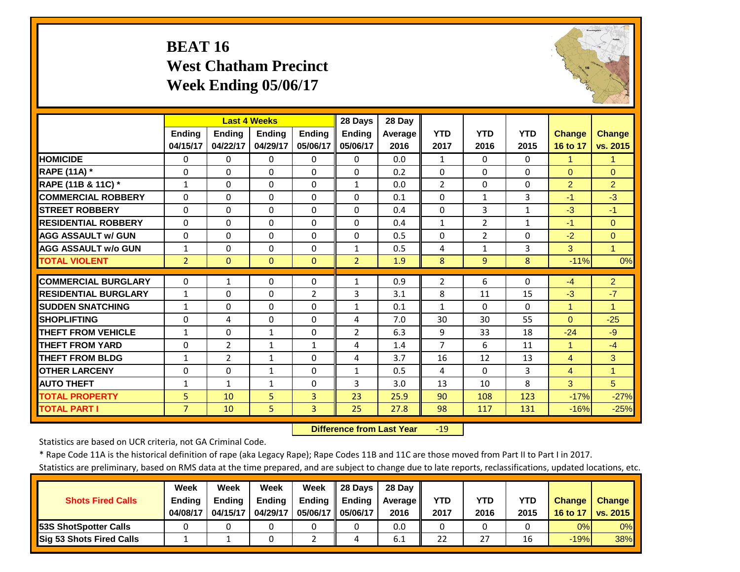# **BEAT 16 West Chatham Precinct Week Ending 05/06/17**



|                             |                | <b>Last 4 Weeks</b> |               |               | 28 Days        | 28 Day  |                |                |              |                      |                      |
|-----------------------------|----------------|---------------------|---------------|---------------|----------------|---------|----------------|----------------|--------------|----------------------|----------------------|
|                             | <b>Ending</b>  | <b>Ending</b>       | <b>Ending</b> | <b>Ending</b> | <b>Ending</b>  | Average | <b>YTD</b>     | <b>YTD</b>     | <b>YTD</b>   | <b>Change</b>        | <b>Change</b>        |
|                             | 04/15/17       | 04/22/17            | 04/29/17      | 05/06/17      | 05/06/17       | 2016    | 2017           | 2016           | 2015         | 16 to 17             | vs. 2015             |
| <b>HOMICIDE</b>             | $\Omega$       | $\Omega$            | $\Omega$      | $\Omega$      | $\Omega$       | 0.0     | $\mathbf{1}$   | $\Omega$       | $\Omega$     | 1                    | 1                    |
| <b>RAPE (11A) *</b>         | $\Omega$       | $\Omega$            | $\Omega$      | $\Omega$      | $\Omega$       | 0.2     | $\Omega$       | $\Omega$       | 0            | $\Omega$             | $\Omega$             |
| RAPE (11B & 11C) *          | $\mathbf{1}$   | $\Omega$            | $\Omega$      | $\Omega$      | $\mathbf{1}$   | 0.0     | $\overline{2}$ | $\Omega$       | $\Omega$     | $\overline{2}$       | $\overline{2}$       |
| <b>COMMERCIAL ROBBERY</b>   | $\Omega$       | $\Omega$            | $\Omega$      | $\Omega$      | $\Omega$       | 0.1     | $\Omega$       | $\mathbf{1}$   | 3            | $-1$                 | $-3$                 |
| <b>STREET ROBBERY</b>       | 0              | $\Omega$            | 0             | $\Omega$      | $\Omega$       | 0.4     | $\mathbf 0$    | 3              | $\mathbf{1}$ | $-3$                 | $-1$                 |
| <b>RESIDENTIAL ROBBERY</b>  | $\Omega$       | $\Omega$            | $\Omega$      | $\Omega$      | $\Omega$       | 0.4     | $\mathbf{1}$   | $\overline{2}$ | $\mathbf{1}$ | $-1$                 | $\Omega$             |
| <b>AGG ASSAULT w/ GUN</b>   | $\Omega$       | 0                   | $\Omega$      | 0             | $\Omega$       | 0.5     | $\Omega$       | $\overline{2}$ | 0            | $-2$                 | $\Omega$             |
| <b>AGG ASSAULT w/o GUN</b>  | $\mathbf{1}$   | $\Omega$            | $\Omega$      | $\Omega$      | $\mathbf{1}$   | 0.5     | 4              | $\mathbf{1}$   | 3            | 3                    | 1                    |
| <b>TOTAL VIOLENT</b>        | $\overline{2}$ | $\Omega$            | $\Omega$      | $\Omega$      | $\overline{2}$ | 1.9     | 8              | 9              | 8            | $-11%$               | 0%                   |
| <b>COMMERCIAL BURGLARY</b>  | $\Omega$       | 1                   | 0             | 0             | $\mathbf{1}$   | 0.9     | $\overline{2}$ | 6              | 0            | $-4$                 | $\overline{2}$       |
| <b>RESIDENTIAL BURGLARY</b> | 1              | 0                   | $\mathbf 0$   | 2             | 3              | 3.1     | 8              | 11             | 15           | $-3$                 | $-7$                 |
| <b>SUDDEN SNATCHING</b>     | $\mathbf{1}$   | $\Omega$            | $\Omega$      | 0             | $\mathbf{1}$   | 0.1     | $\mathbf{1}$   | 0              | $\Omega$     | 1                    | 1                    |
| <b>SHOPLIFTING</b>          | $\Omega$       | 4                   | $\Omega$      | 0             | 4              | 7.0     | 30             | 30             | 55           | $\Omega$             | $-25$                |
| <b>THEFT FROM VEHICLE</b>   | 1              | $\Omega$            | $\mathbf{1}$  | $\Omega$      | 2              | 6.3     | 9              | 33             | 18           | $-24$                | $-9$                 |
| <b>THEFT FROM YARD</b>      | $\Omega$       | $\overline{2}$      | 1             | $\mathbf{1}$  | 4              | 1.4     | $\overline{7}$ | 6              | 11           | $\blacktriangleleft$ | $-4$                 |
| <b>THEFT FROM BLDG</b>      | $\mathbf{1}$   | $\overline{2}$      | $\mathbf{1}$  | $\Omega$      | 4              | 3.7     | 16             | 12             | 13           | 4                    | 3                    |
| <b>OTHER LARCENY</b>        | $\Omega$       | $\Omega$            | $\mathbf{1}$  | $\Omega$      | $\mathbf{1}$   | 0.5     | 4              | $\Omega$       | 3            | $\overline{4}$       | $\blacktriangleleft$ |
| <b>AUTO THEFT</b>           | $\mathbf{1}$   | $\mathbf{1}$        | $\mathbf{1}$  | $\Omega$      | 3              | 3.0     | 13             | 10             | 8            | 3                    | $\overline{5}$       |
| <b>TOTAL PROPERTY</b>       | 5              | 10                  | 5             | 3             | 23             | 25.9    | 90             | 108            | 123          | $-17%$               | $-27%$               |
| <b>TOTAL PART I</b>         | $\overline{7}$ | 10                  | 5             | 3             | 25             | 27.8    | 98             | 117            | 131          | $-16%$               | $-25%$               |
|                             |                |                     |               |               |                |         |                |                |              |                      |                      |

 **Difference from Last Year** $-19$ 

Statistics are based on UCR criteria, not GA Criminal Code.

\* Rape Code 11A is the historical definition of rape (aka Legacy Rape); Rape Codes 11B and 11C are those moved from Part II to Part I in 2017.

|                                 | <b>Week</b>   | Week          | Week          | Week          | <b>28 Davs</b> | 28 Dav     |      |      |      |               |               |
|---------------------------------|---------------|---------------|---------------|---------------|----------------|------------|------|------|------|---------------|---------------|
| <b>Shots Fired Calls</b>        | <b>Ending</b> | <b>Ending</b> | <b>Ending</b> | <b>Ending</b> | <b>Ending</b>  | Average II | YTD  | YTD  | YTD  | <b>Change</b> | <b>Change</b> |
|                                 | 04/08/17      | 04/15/17      | 04/29/17      | 05/06/17 I    | 05/06/17       | 2016       | 2017 | 2016 | 2015 | 16 to 17      | vs. 2015      |
| <b>153S ShotSpotter Calls</b>   |               |               |               |               |                | 0.0        |      |      |      | 0%            | 0%            |
| <b>Sig 53 Shots Fired Calls</b> |               |               |               |               |                | 6.1        | 22   | 27   | 16   | $-19%$        | 38%           |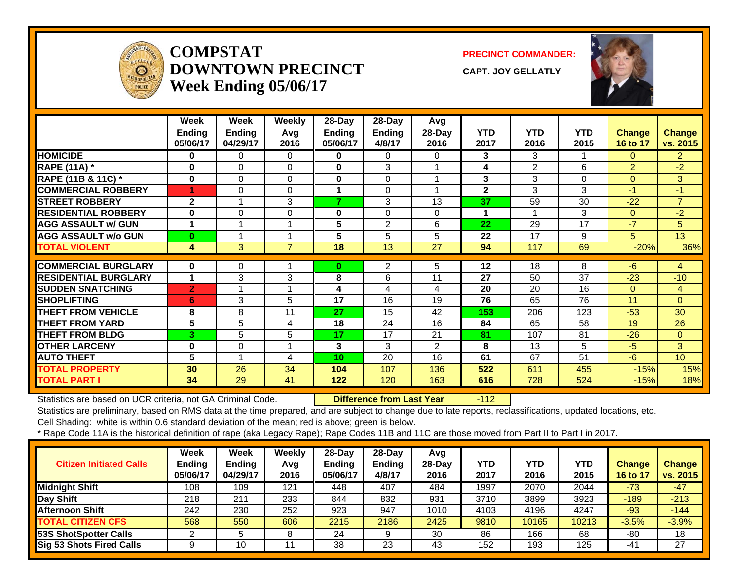

#### **COMPSTATDOWNTOWN PRECINCTWeek Ending 05/06/17**

**PRECINCT COMMANDER:**

**CAPT. JOY GELLATLY**



|                             | Week<br><b>Ending</b><br>05/06/17 | Week<br><b>Ending</b><br>04/29/17 | Weekly<br>Avg<br>2016 | 28-Day<br><b>Ending</b><br>05/06/17 | 28-Day<br><b>Ending</b><br>4/8/17 | Avg<br>28-Day<br>2016 | <b>YTD</b><br>2017 | <b>YTD</b><br>2016 | <b>YTD</b><br>2015 | <b>Change</b><br>16 to 17 | <b>Change</b><br>vs. 2015 |
|-----------------------------|-----------------------------------|-----------------------------------|-----------------------|-------------------------------------|-----------------------------------|-----------------------|--------------------|--------------------|--------------------|---------------------------|---------------------------|
| <b>HOMICIDE</b>             | $\bf{0}$                          | 0                                 | $\Omega$              | 0                                   | 0                                 | 0                     | 3                  | 3                  |                    | 0                         | $\overline{2}$            |
| <b>RAPE (11A) *</b>         | 0                                 | $\Omega$                          | $\mathbf{0}$          | 0                                   | 3                                 | 4                     | 4                  | $\overline{2}$     | 6                  | $\overline{2}$            | $-2$                      |
| RAPE (11B & 11C) *          | $\bf{0}$                          | $\Omega$                          | $\Omega$              | 0                                   | 0                                 |                       | 3                  | 3                  | $\Omega$           | $\Omega$                  | 3                         |
| <b>COMMERCIAL ROBBERY</b>   | 1                                 | $\Omega$                          | $\Omega$              | 1                                   | $\Omega$                          |                       | $\mathbf{2}$       | 3                  | 3                  | $-1$                      | $-1$                      |
| <b>STREET ROBBERY</b>       | $\overline{2}$                    |                                   | 3                     | 7                                   | 3                                 | 13                    | 37                 | 59                 | 30                 | $-22$                     | $\overline{7}$            |
| <b>RESIDENTIAL ROBBERY</b>  | 0                                 | $\Omega$                          | $\Omega$              | 0                                   | 0                                 | 0                     | 1                  |                    | 3                  | $\Omega$                  | $-2$                      |
| <b>AGG ASSAULT w/ GUN</b>   | 1                                 |                                   | $\blacktriangleleft$  | 5                                   | $\overline{2}$                    | 6                     | 22                 | 29                 | 17                 | $-7$                      | 5                         |
| <b>AGG ASSAULT w/o GUN</b>  | 0                                 |                                   | 1                     | 5                                   | 5                                 | 5                     | 22                 | 17                 | 9                  | 5                         | 13                        |
| <b>TOTAL VIOLENT</b>        | 4                                 | 3                                 | 7                     | 18                                  | 13                                | 27                    | 94                 | 117                | 69                 | $-20%$                    | 36%                       |
|                             |                                   |                                   |                       |                                     |                                   |                       |                    |                    |                    |                           |                           |
| <b>COMMERCIAL BURGLARY</b>  | $\bf{0}$                          | 0                                 | 1                     | 0                                   | 2                                 | 5                     | $12 \,$            | 18                 | 8                  | -6                        | 4                         |
| <b>RESIDENTIAL BURGLARY</b> | 1                                 | 3                                 | 3                     | 8                                   | 6                                 | 11                    | 27                 | 50                 | 37                 | $-23$                     | $-10$                     |
| <b>SUDDEN SNATCHING</b>     | $\overline{2}$                    | $\overline{ }$                    | 1                     | 4                                   | 4                                 | 4                     | 20                 | 20                 | 16                 | $\Omega$                  | $\overline{4}$            |
| <b>SHOPLIFTING</b>          | 6                                 | 3                                 | 5                     | 17                                  | 16                                | 19                    | 76                 | 65                 | 76                 | 11                        | $\Omega$                  |
| <b>THEFT FROM VEHICLE</b>   | 8                                 | 8                                 | 11                    | 27                                  | 15                                | 42                    | 153                | 206                | 123                | $-53$                     | 30                        |
| <b>THEFT FROM YARD</b>      | 5                                 | 5                                 | 4                     | 18                                  | 24                                | 16                    | 84                 | 65                 | 58                 | 19                        | 26                        |
| <b>THEFT FROM BLDG</b>      | 3                                 | 5                                 | 5                     | 17                                  | 17                                | 21                    | 81                 | 107                | 81                 | $-26$                     | $\mathbf{0}$              |
| <b>OTHER LARCENY</b>        | 0                                 | 0                                 | 1                     | 3                                   | 3                                 | 2                     | 8                  | 13                 | 5                  | $-5$                      | 3 <sup>1</sup>            |
| <b>AUTO THEFT</b>           | 5                                 | 1                                 | 4                     | 10                                  | 20                                | 16                    | 61                 | 67                 | 51                 | $-6$                      | 10 <sup>°</sup>           |
| <b>TOTAL PROPERTY</b>       | 30                                | 26                                | 34                    | 104                                 | 107                               | 136                   | 522                | 611                | 455                | $-15%$                    | 15%                       |
| <b>TOTAL PART I</b>         | 34                                | 29                                | 41                    | 122                                 | 120                               | 163                   | 616                | 728                | 524                | $-15%$                    | 18%                       |

Statistics are based on UCR criteria, not GA Criminal Code. **Difference from Last Year** -112

Statistics are preliminary, based on RMS data at the time prepared, and are subject to change due to late reports, reclassifications, updated locations, etc.

Cell Shading: white is within 0.6 standard deviation of the mean; red is above; green is below.

| <b>Citizen Initiated Calls</b> | <b>Week</b><br><b>Ending</b><br>05/06/17 | <b>Week</b><br><b>Ending</b><br>04/29/17 | Weekly<br>Avg<br>2016 | $28$ -Day<br><b>Ending</b><br>05/06/17 | $28-Dav$<br><b>Ending</b><br>4/8/17 | Avg<br>28-Day<br>2016 | YTD<br>2017 | <b>YTD</b><br>2016 | YTD<br>2015 | Change<br>16 to 17 | Change<br>vs. 2015 |
|--------------------------------|------------------------------------------|------------------------------------------|-----------------------|----------------------------------------|-------------------------------------|-----------------------|-------------|--------------------|-------------|--------------------|--------------------|
| <b>Midnight Shift</b>          | 108                                      | 109                                      | 121                   | 448                                    | 407                                 | 484                   | 1997        | 2070               | 2044        | $-73$              | $-47$              |
| Day Shift                      | 218                                      | 211                                      | 233                   | 844                                    | 832                                 | 931                   | 3710        | 3899               | 3923        | $-189$             | $-213$             |
| <b>Afternoon Shift</b>         | 242                                      | 230                                      | 252                   | 923                                    | 947                                 | 1010                  | 4103        | 4196               | 4247        | $-93$              | $-144$             |
| <b>TOTAL CITIZEN CFS</b>       | 568                                      | 550                                      | 606                   | 2215                                   | 2186                                | 2425                  | 9810        | 10165              | 10213       | $-3.5%$            | $-3.9%$            |
| <b>53S ShotSpotter Calls</b>   |                                          |                                          | ο                     | 24                                     |                                     | 30                    | 86          | 166                | 68          | -80                | 18                 |
| Sig 53 Shots Fired Calls       | 9                                        | 10                                       |                       | 38                                     | 23                                  | 43                    | 152         | 193                | 125         | -41                | 27                 |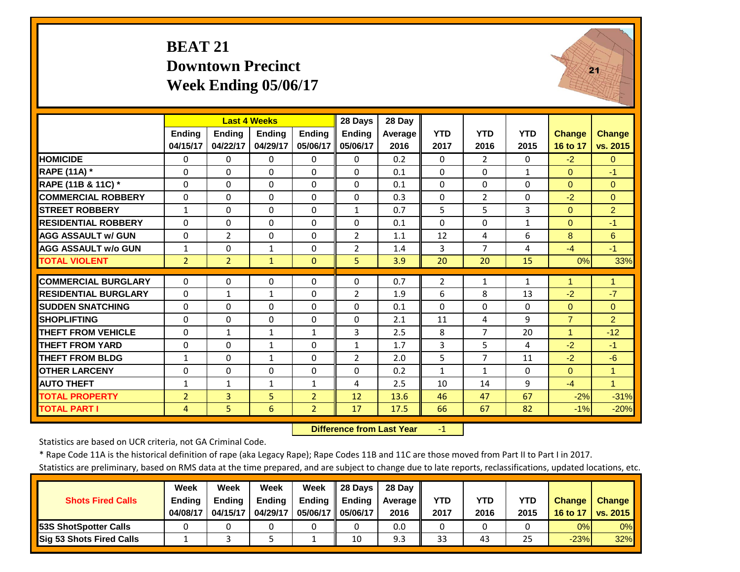#### **BEAT 21 Downtown PrecinctWeek Ending 05/06/17**



|                             |                |                | <b>Last 4 Weeks</b> |                | 28 Days        | 28 Day  |              |                |              |                |                |
|-----------------------------|----------------|----------------|---------------------|----------------|----------------|---------|--------------|----------------|--------------|----------------|----------------|
|                             | <b>Endina</b>  | Ending         | <b>Endina</b>       | <b>Ending</b>  | <b>Ending</b>  | Average | <b>YTD</b>   | <b>YTD</b>     | <b>YTD</b>   | <b>Change</b>  | <b>Change</b>  |
|                             | 04/15/17       | 04/22/17       | 04/29/17            | 05/06/17       | 05/06/17       | 2016    | 2017         | 2016           | 2015         | 16 to 17       | vs. 2015       |
| <b>HOMICIDE</b>             | 0              | $\Omega$       | $\Omega$            | $\Omega$       | 0              | 0.2     | $\Omega$     | $\overline{2}$ | 0            | $-2$           | $\Omega$       |
| <b>RAPE (11A)</b> *         | $\Omega$       | $\Omega$       | $\Omega$            | $\Omega$       | $\Omega$       | 0.1     | $\Omega$     | $\Omega$       | $\mathbf{1}$ | $\Omega$       | $-1$           |
| RAPE (11B & 11C) *          | $\Omega$       | $\Omega$       | $\Omega$            | $\Omega$       | $\Omega$       | 0.1     | $\mathbf 0$  | $\Omega$       | $\Omega$     | $\Omega$       | $\Omega$       |
| <b>COMMERCIAL ROBBERY</b>   | $\Omega$       | $\Omega$       | $\Omega$            | $\Omega$       | $\Omega$       | 0.3     | $\mathbf 0$  | $\overline{2}$ | 0            | $-2$           | $\Omega$       |
| <b>STREET ROBBERY</b>       | $\mathbf{1}$   | $\Omega$       | $\Omega$            | $\mathbf 0$    | $\mathbf{1}$   | 0.7     | 5            | 5              | 3            | $\Omega$       | $\overline{2}$ |
| <b>RESIDENTIAL ROBBERY</b>  | $\Omega$       | $\Omega$       | $\Omega$            | $\Omega$       | $\Omega$       | 0.1     | $\Omega$     | $\Omega$       | $\mathbf{1}$ | $\Omega$       | $-1$           |
| <b>AGG ASSAULT w/ GUN</b>   | $\Omega$       | $\overline{2}$ | $\Omega$            | $\Omega$       | $\overline{2}$ | 1.1     | 12           | 4              | 6            | 8              | 6              |
| <b>AGG ASSAULT w/o GUN</b>  | 1              | $\Omega$       | 1                   | $\Omega$       | 2              | 1.4     | 3            | $\overline{7}$ | 4            | $-4$           | $-1$           |
| <b>TOTAL VIOLENT</b>        | $\overline{2}$ | $\overline{2}$ | $\mathbf{1}$        | $\Omega$       | 5              | 3.9     | 20           | 20             | 15           | 0%             | 33%            |
| <b>COMMERCIAL BURGLARY</b>  | $\Omega$       | $\Omega$       | $\Omega$            | $\Omega$       | 0              | 0.7     | 2            | 1              | $\mathbf{1}$ | 1              | $\mathbf 1$    |
| <b>RESIDENTIAL BURGLARY</b> | $\Omega$       | $\mathbf{1}$   | $\mathbf{1}$        | $\Omega$       | $\overline{2}$ | 1.9     | 6            | 8              | 13           | $-2$           | $-7$           |
| <b>SUDDEN SNATCHING</b>     | $\Omega$       | $\Omega$       | $\Omega$            | $\Omega$       | $\Omega$       | 0.1     | $\Omega$     | $\Omega$       | 0            | $\Omega$       | $\Omega$       |
| <b>SHOPLIFTING</b>          | 0              | $\Omega$       | $\Omega$            | $\mathbf 0$    | $\Omega$       | 2.1     | 11           | 4              | 9            | $\overline{7}$ | $\overline{2}$ |
| <b>THEFT FROM VEHICLE</b>   | $\Omega$       | $\mathbf{1}$   | $\mathbf{1}$        | $\mathbf{1}$   | 3              | 2.5     | 8            | $\overline{7}$ | 20           | $\mathbf 1$    | $-12$          |
| <b>THEFT FROM YARD</b>      | $\Omega$       | $\Omega$       | $\mathbf{1}$        | 0              | 1              | 1.7     | 3            | 5              | 4            | $-2$           | $-1$           |
| <b>THEFT FROM BLDG</b>      | $\mathbf{1}$   | $\Omega$       | 1                   | 0              | $\overline{2}$ | 2.0     | 5            | $\overline{7}$ | 11           | $-2$           | $-6$           |
| <b>OTHER LARCENY</b>        | $\Omega$       | $\Omega$       | $\Omega$            | $\Omega$       | $\Omega$       | 0.2     | $\mathbf{1}$ | $\mathbf{1}$   | $\Omega$     | $\Omega$       | $\mathbf{1}$   |
| <b>AUTO THEFT</b>           | 1              | $\mathbf{1}$   | $\mathbf{1}$        | 1              | 4              | 2.5     | 10           | 14             | 9            | $-4$           | $\mathbf{1}$   |
| <b>TOTAL PROPERTY</b>       | $\overline{2}$ | 3              | 5                   | 2              | 12             | 13.6    | 46           | 47             | 67           | $-2%$          | $-31%$         |
| <b>TOTAL PART I</b>         | 4              | 5              | 6                   | $\overline{2}$ | 17             | 17.5    | 66           | 67             | 82           | $-1%$          | $-20%$         |

 **Difference from Last Year**r – $\mathbf{1}$ 

Statistics are based on UCR criteria, not GA Criminal Code.

\* Rape Code 11A is the historical definition of rape (aka Legacy Rape); Rape Codes 11B and 11C are those moved from Part II to Part I in 2017.

|                               | Week          | Week          | Week          | Week          | 28 Davs       | 28 Dav     |            |      |      |               |                 |
|-------------------------------|---------------|---------------|---------------|---------------|---------------|------------|------------|------|------|---------------|-----------------|
| <b>Shots Fired Calls</b>      | <b>Ending</b> | <b>Endina</b> | <b>Ending</b> | <b>Ending</b> | <b>Ending</b> | Average II | <b>YTD</b> | YTD  | YTD  | <b>Change</b> | <b>Change</b>   |
|                               | 04/08/17      | 04/15/17      | 04/29/17      | 05/06/17 I    | 05/06/17      | 2016       | 2017       | 2016 | 2015 | 16 to 17      | <b>vs. 2015</b> |
| <b>153S ShotSpotter Calls</b> |               |               |               |               |               | 0.0        |            |      |      | 0%            | $0\%$           |
| Sig 53 Shots Fired Calls      |               |               |               |               | 10            | 9.3        | 33         | 43   | 25   | $-23%$        | 32%             |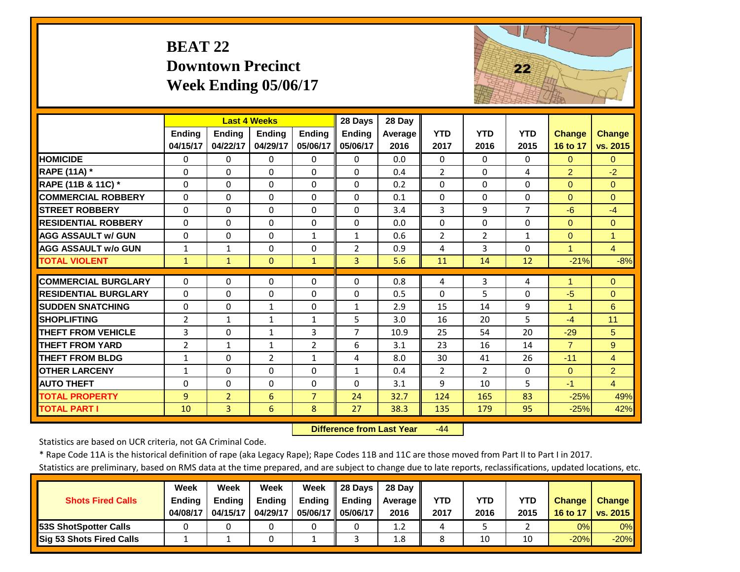# **BEAT 22 Downtown Precinct Week Ending 05/06/17**



|                             |                | <b>Last 4 Weeks</b> |                |                | 28 Days        | 28 Day  |                |                |              |                |                      |
|-----------------------------|----------------|---------------------|----------------|----------------|----------------|---------|----------------|----------------|--------------|----------------|----------------------|
|                             | Ending         | Ending              | Ending         | <b>Endina</b>  | <b>Ending</b>  | Average | <b>YTD</b>     | <b>YTD</b>     | <b>YTD</b>   | <b>Change</b>  | <b>Change</b>        |
|                             | 04/15/17       | 04/22/17            | 04/29/17       | 05/06/17       | 05/06/17       | 2016    | 2017           | 2016           | 2015         | 16 to 17       | vs. 2015             |
| <b>HOMICIDE</b>             | $\Omega$       | 0                   | $\Omega$       | $\Omega$       | $\Omega$       | 0.0     | $\Omega$       | $\Omega$       | $\Omega$     | $\Omega$       | $\Omega$             |
| <b>RAPE (11A) *</b>         | $\Omega$       | 0                   | $\Omega$       | $\Omega$       | $\Omega$       | 0.4     | $\overline{2}$ | $\Omega$       | 4            | $\overline{2}$ | $-2$                 |
| RAPE (11B & 11C) *          | $\Omega$       | 0                   | $\Omega$       | $\Omega$       | $\Omega$       | 0.2     | $\mathbf{0}$   | $\Omega$       | $\Omega$     | $\Omega$       | $\Omega$             |
| <b>COMMERCIAL ROBBERY</b>   | $\Omega$       | 0                   | $\Omega$       | $\Omega$       | $\Omega$       | 0.1     | $\Omega$       | $\Omega$       | $\Omega$     | $\Omega$       | $\Omega$             |
| <b>STREET ROBBERY</b>       | $\Omega$       | 0                   | $\mathbf 0$    | $\Omega$       | $\Omega$       | 3.4     | 3              | 9              | 7            | $-6$           | $-4$                 |
| <b>RESIDENTIAL ROBBERY</b>  | $\Omega$       | 0                   | $\Omega$       | $\Omega$       | $\Omega$       | 0.0     | $\Omega$       | $\Omega$       | $\Omega$     | $\Omega$       | $\Omega$             |
| <b>AGG ASSAULT w/ GUN</b>   | $\Omega$       | 0                   | 0              | $\mathbf{1}$   | $\mathbf{1}$   | 0.6     | $\overline{2}$ | $\overline{2}$ | $\mathbf{1}$ | $\mathbf{0}$   | $\blacktriangleleft$ |
| <b>AGG ASSAULT w/o GUN</b>  | 1              | $\mathbf{1}$        | 0              | $\Omega$       | $\overline{2}$ | 0.9     | 4              | 3              | $\Omega$     |                | $\overline{4}$       |
| <b>TOTAL VIOLENT</b>        | $\mathbf{1}$   | $\mathbf{1}$        | $\Omega$       | $\mathbf{1}$   | 3              | 5.6     | 11             | 14             | 12           | $-21%$         | $-8%$                |
| <b>COMMERCIAL BURGLARY</b>  | $\Omega$       | 0                   | 0              | 0              | 0              | 0.8     | 4              | 3              | 4            |                | $\Omega$             |
| <b>RESIDENTIAL BURGLARY</b> | $\Omega$       | 0                   | $\Omega$       | $\Omega$       | $\Omega$       | 0.5     | $\Omega$       | 5              | $\Omega$     | $-5$           | $\Omega$             |
| <b>SUDDEN SNATCHING</b>     | $\Omega$       | 0                   | 1              | $\Omega$       | $\mathbf{1}$   | 2.9     | 15             | 14             | 9            | 1              | 6                    |
| <b>SHOPLIFTING</b>          | 2              | 1                   | $\mathbf{1}$   | $\mathbf{1}$   | 5              | 3.0     | 16             | 20             | 5.           | $-4$           | 11                   |
| <b>THEFT FROM VEHICLE</b>   | 3              | 0                   | $\mathbf{1}$   | 3              | $\overline{7}$ | 10.9    | 25             | 54             | 20           | $-29$          | 5                    |
| <b>THEFT FROM YARD</b>      | $\overline{2}$ | $\mathbf{1}$        | $\mathbf{1}$   | $\overline{2}$ | 6              | 3.1     | 23             | 16             | 14           | $\overline{7}$ | 9                    |
| <b>THEFT FROM BLDG</b>      | $\mathbf{1}$   | 0                   | $\overline{2}$ | $\mathbf{1}$   | 4              | 8.0     | 30             | 41             | 26           | $-11$          | $\overline{4}$       |
| <b>OTHER LARCENY</b>        | $\mathbf{1}$   | 0                   | $\Omega$       | $\Omega$       | $\mathbf{1}$   | 0.4     | $\overline{2}$ | $\overline{2}$ | $\Omega$     | $\Omega$       | $\overline{2}$       |
| <b>AUTO THEFT</b>           | $\Omega$       | 0                   | $\Omega$       | $\Omega$       | $\Omega$       | 3.1     | 9              | 10             | 5            | $-1$           | $\overline{4}$       |
| <b>TOTAL PROPERTY</b>       | 9              | $\overline{2}$      | 6              | $\overline{7}$ | 24             | 32.7    | 124            | 165            | 83           | $-25%$         | 49%                  |
| <b>TOTAL PART I</b>         | 10             | $\overline{3}$      | 6              | 8              | 27             | 38.3    | 135            | 179            | 95           | $-25%$         | 42%                  |

 **Difference from Last Year** $-44$ 

Statistics are based on UCR criteria, not GA Criminal Code.

\* Rape Code 11A is the historical definition of rape (aka Legacy Rape); Rape Codes 11B and 11C are those moved from Part II to Part I in 2017.

|                                 | <b>Week</b>   | Week          | Week          | Week          | <b>28 Davs</b> | 28 Dav     |      |      |      |               |               |
|---------------------------------|---------------|---------------|---------------|---------------|----------------|------------|------|------|------|---------------|---------------|
| <b>Shots Fired Calls</b>        | <b>Ending</b> | <b>Ending</b> | <b>Ending</b> | <b>Ending</b> | <b>Ending</b>  | Average II | YTD  | YTD  | YTD  | <b>Change</b> | <b>Change</b> |
|                                 | 04/08/17      | 04/15/17      | 04/29/17      | 05/06/17 I    | 05/06/17       | 2016       | 2017 | 2016 | 2015 | 16 to 17      | vs. 2015      |
| <b>153S ShotSpotter Calls</b>   |               |               |               |               |                | 1.2        |      |      |      | 0%            | $0\%$         |
| <b>Sig 53 Shots Fired Calls</b> |               |               |               |               |                | 1.8        |      | 10   | 10   | $-20%$        | $-20%$        |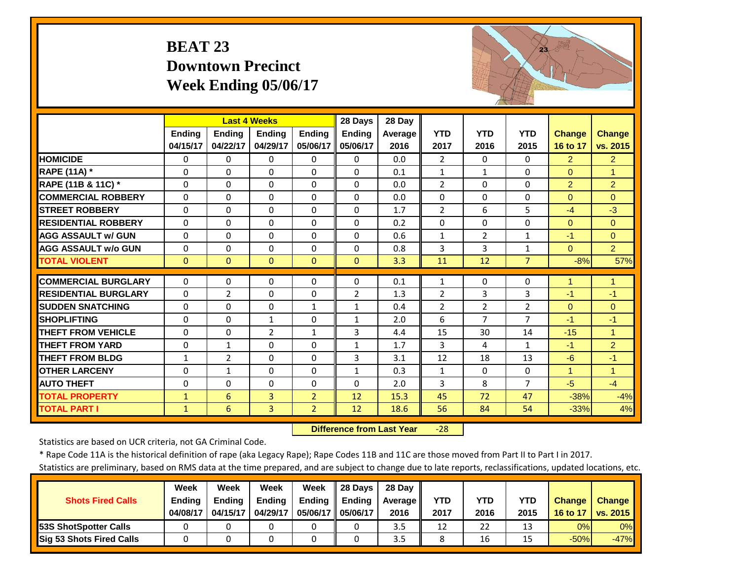# **BEAT 23 Downtown Precinct Week Ending 05/06/17**



|                             |              |                | <b>Last 4 Weeks</b> |                | 28 Days        | 28 Day  |                |                |                |                |                      |
|-----------------------------|--------------|----------------|---------------------|----------------|----------------|---------|----------------|----------------|----------------|----------------|----------------------|
|                             | Ending       | Ending         | Ending              | Ending         | Ending         | Average | <b>YTD</b>     | <b>YTD</b>     | <b>YTD</b>     | <b>Change</b>  | <b>Change</b>        |
|                             | 04/15/17     | 04/22/17       | 04/29/17            | 05/06/17       | 05/06/17       | 2016    | 2017           | 2016           | 2015           | 16 to 17       | vs. 2015             |
| <b>HOMICIDE</b>             | $\Omega$     | 0              | $\Omega$            | $\Omega$       | $\Omega$       | 0.0     | $\overline{2}$ | $\Omega$       | $\Omega$       | $\overline{2}$ | 2 <sup>1</sup>       |
| RAPE (11A) *                | $\Omega$     | $\Omega$       | $\Omega$            | $\Omega$       | $\Omega$       | 0.1     | $\mathbf{1}$   | $\mathbf{1}$   | $\Omega$       | $\Omega$       | $\overline{1}$       |
| RAPE (11B & 11C) *          | $\Omega$     | 0              | $\Omega$            | $\Omega$       | $\Omega$       | 0.0     | $\overline{2}$ | $\Omega$       | $\Omega$       | $\overline{2}$ | $\overline{2}$       |
| <b>COMMERCIAL ROBBERY</b>   | $\Omega$     | 0              | $\Omega$            | $\Omega$       | $\Omega$       | 0.0     | $\Omega$       | $\Omega$       | $\Omega$       | $\Omega$       | $\Omega$             |
| <b>STREET ROBBERY</b>       | $\Omega$     | 0              | $\Omega$            | $\Omega$       | $\Omega$       | 1.7     | $\overline{2}$ | 6              | 5              | $-4$           | $-3$                 |
| <b>RESIDENTIAL ROBBERY</b>  | $\Omega$     | 0              | $\Omega$            | $\Omega$       | $\Omega$       | 0.2     | $\Omega$       | $\Omega$       | $\Omega$       | $\mathbf{0}$   | $\Omega$             |
| <b>AGG ASSAULT w/ GUN</b>   | $\Omega$     | 0              | $\Omega$            | $\Omega$       | $\Omega$       | 0.6     | $\mathbf{1}$   | $\overline{2}$ | $\mathbf{1}$   | $-1$           | $\Omega$             |
| <b>AGG ASSAULT w/o GUN</b>  | $\Omega$     | 0              | $\Omega$            | $\Omega$       | $\Omega$       | 0.8     | 3              | 3              | $\mathbf{1}$   | $\Omega$       | 2                    |
| <b>TOTAL VIOLENT</b>        | $\Omega$     | $\overline{0}$ | $\Omega$            | $\Omega$       | $\Omega$       | 3.3     | 11             | 12             | $\overline{7}$ | $-8%$          | 57%                  |
| <b>COMMERCIAL BURGLARY</b>  | $\Omega$     | 0              | $\Omega$            | $\Omega$       | $\Omega$       | 0.1     | $\mathbf{1}$   | $\Omega$       | $\Omega$       | 1              | 1                    |
| <b>RESIDENTIAL BURGLARY</b> | $\Omega$     | $\overline{2}$ | $\Omega$            | $\Omega$       | $\overline{2}$ | 1.3     | $\overline{2}$ | 3              | 3              | $-1$           | -1                   |
| <b>SUDDEN SNATCHING</b>     | $\Omega$     | 0              | $\Omega$            | $\mathbf{1}$   | $\mathbf{1}$   | 0.4     | $\overline{2}$ | $\overline{2}$ | $\overline{2}$ | $\Omega$       | $\Omega$             |
| <b>SHOPLIFTING</b>          | $\Omega$     | 0              | $\mathbf{1}$        | $\Omega$       | $\mathbf{1}$   | 2.0     | 6              | 7              | 7              | $-1$           | $-1$                 |
| <b>THEFT FROM VEHICLE</b>   | $\Omega$     | 0              | $\overline{2}$      | 1              | 3              | 4.4     | 15             | 30             | 14             | $-15$          | 1                    |
| <b>THEFT FROM YARD</b>      | $\Omega$     | 1              | $\Omega$            | $\Omega$       | $\mathbf{1}$   | 1.7     | 3              | 4              | $\mathbf{1}$   | $-1$           | $\overline{2}$       |
| <b>THEFT FROM BLDG</b>      | 1            | $\overline{2}$ | $\Omega$            | $\Omega$       | 3              | 3.1     | 12             | 18             | 13             | $-6$           | $-1$                 |
| <b>OTHER LARCENY</b>        | $\Omega$     | $\mathbf{1}$   | $\Omega$            | $\Omega$       | $\mathbf{1}$   | 0.3     | $\mathbf{1}$   | $\Omega$       | $\Omega$       | 1              | $\blacktriangleleft$ |
| <b>AUTO THEFT</b>           | $\Omega$     | 0              | $\Omega$            | 0              | $\Omega$       | 2.0     | 3              | 8              | $\overline{7}$ | $-5$           | $-4$                 |
| <b>TOTAL PROPERTY</b>       | $\mathbf{1}$ | 6              | 3                   | $\overline{2}$ | 12             | 15.3    | 45             | 72             | 47             | $-38%$         | $-4%$                |
| <b>TOTAL PART I</b>         | $\mathbf{1}$ | 6              | 3                   | $\overline{2}$ | 12             | 18.6    | 56             | 84             | 54             | $-33%$         | 4%                   |

 **Difference from Last Year**‐28

Statistics are based on UCR criteria, not GA Criminal Code.

\* Rape Code 11A is the historical definition of rape (aka Legacy Rape); Rape Codes 11B and 11C are those moved from Part II to Part I in 2017.

|                                 | <b>Week</b>   | Week          | Week          | Week          | <b>28 Davs</b> | 28 Dav     |      |      |      |               |               |
|---------------------------------|---------------|---------------|---------------|---------------|----------------|------------|------|------|------|---------------|---------------|
| <b>Shots Fired Calls</b>        | <b>Ending</b> | <b>Ending</b> | <b>Ending</b> | <b>Ending</b> | <b>Ending</b>  | Average II | YTD  | YTD  | YTD  | <b>Change</b> | <b>Change</b> |
|                                 | 04/08/17      | 04/15/17      | 04/29/17      | 05/06/17 I    | 05/06/17       | 2016       | 2017 | 2016 | 2015 | 16 to 17      | vs. 2015      |
| <b>153S ShotSpotter Calls</b>   |               |               |               |               |                | 3.5        | 12   | 22   | 13   | 0%            | $0\%$         |
| <b>Sig 53 Shots Fired Calls</b> |               |               |               |               |                | 3.5        |      | 16   |      | $-50%$        | $-47%$        |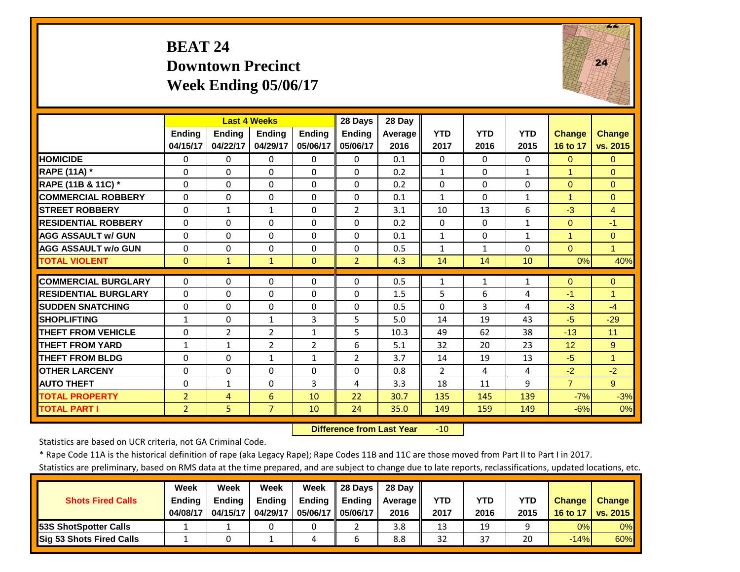#### **BEAT 24 Downtown PrecinctWeek Ending 05/06/17**



|                             |                | <b>Last 4 Weeks</b> |                |                | 28 Days        | 28 Day  |                |              |              |                      |                      |
|-----------------------------|----------------|---------------------|----------------|----------------|----------------|---------|----------------|--------------|--------------|----------------------|----------------------|
|                             | <b>Ending</b>  | <b>Ending</b>       | <b>Ending</b>  | <b>Endina</b>  | <b>Ending</b>  | Average | <b>YTD</b>     | <b>YTD</b>   | <b>YTD</b>   | <b>Change</b>        | <b>Change</b>        |
|                             | 04/15/17       | 04/22/17            | 04/29/17       | 05/06/17       | 05/06/17       | 2016    | 2017           | 2016         | 2015         | 16 to 17             | vs. 2015             |
| <b>HOMICIDE</b>             | $\Omega$       | $\Omega$            | $\Omega$       | $\Omega$       | $\Omega$       | 0.1     | $\Omega$       | $\Omega$     | $\Omega$     | $\Omega$             | $\Omega$             |
| <b>RAPE (11A) *</b>         | $\Omega$       | $\Omega$            | $\Omega$       | $\Omega$       | $\Omega$       | 0.2     | $\mathbf{1}$   | $\Omega$     | $\mathbf{1}$ | $\blacktriangleleft$ | $\Omega$             |
| RAPE (11B & 11C) *          | $\Omega$       | $\overline{0}$      | $\Omega$       | $\Omega$       | $\Omega$       | 0.2     | $\Omega$       | $\Omega$     | $\Omega$     | $\Omega$             | $\Omega$             |
| <b>COMMERCIAL ROBBERY</b>   | $\Omega$       | 0                   | $\mathbf 0$    | 0              | $\Omega$       | 0.1     | $\mathbf{1}$   | $\Omega$     | $\mathbf{1}$ | $\overline{1}$       | $\Omega$             |
| <b>STREET ROBBERY</b>       | 0              | $\mathbf{1}$        | $\mathbf{1}$   | $\Omega$       | $\overline{2}$ | 3.1     | 10             | 13           | 6            | $-3$                 | $\overline{4}$       |
| <b>RESIDENTIAL ROBBERY</b>  | $\Omega$       | $\Omega$            | $\Omega$       | $\Omega$       | $\Omega$       | 0.2     | $\Omega$       | $\Omega$     | $\mathbf{1}$ | $\Omega$             | $-1$                 |
| <b>AGG ASSAULT w/ GUN</b>   | 0              | $\Omega$            | 0              | $\Omega$       | $\Omega$       | 0.1     | $\mathbf{1}$   | $\Omega$     | $\mathbf{1}$ | $\blacktriangleleft$ | $\mathbf{0}$         |
| <b>AGG ASSAULT w/o GUN</b>  | 0              | $\Omega$            | 0              | $\Omega$       | 0              | 0.5     | $\mathbf{1}$   | $\mathbf{1}$ | $\Omega$     | $\Omega$             | $\blacktriangleleft$ |
| <b>TOTAL VIOLENT</b>        | $\Omega$       | $\mathbf{1}$        | $\mathbf{1}$   | $\Omega$       | $\overline{2}$ | 4.3     | 14             | 14           | 10           | 0%                   | 40%                  |
| <b>COMMERCIAL BURGLARY</b>  | $\Omega$       | 0                   | $\Omega$       | 0              | 0              | 0.5     | 1              | $\mathbf{1}$ | $\mathbf{1}$ | $\mathbf{0}$         | $\Omega$             |
| <b>RESIDENTIAL BURGLARY</b> | $\Omega$       | 0                   | $\Omega$       | 0              | $\Omega$       | 1.5     | 5              | 6            | 4            | $-1$                 | 1                    |
| <b>SUDDEN SNATCHING</b>     | $\Omega$       | $\Omega$            | $\Omega$       | $\Omega$       | $\Omega$       | 0.5     | $\Omega$       | 3            | 4            | $-3$                 | $-4$                 |
| <b>SHOPLIFTING</b>          | 1              | $\Omega$            | $\mathbf{1}$   | 3              | 5              | 5.0     | 14             | 19           | 43           | $-5$                 | $-29$                |
| <b>THEFT FROM VEHICLE</b>   | $\Omega$       | $\overline{2}$      | $\overline{2}$ | 1              | 5              | 10.3    | 49             | 62           | 38           | $-13$                | 11                   |
| <b>THEFT FROM YARD</b>      | 1              | $\mathbf{1}$        | $\overline{2}$ | $\overline{2}$ | 6              | 5.1     | 32             | 20           | 23           | 12                   | 9                    |
| <b>THEFT FROM BLDG</b>      | 0              | 0                   | $\mathbf{1}$   | $\mathbf{1}$   | 2              | 3.7     | 14             | 19           | 13           | $-5$                 | $\blacktriangleleft$ |
| <b>OTHER LARCENY</b>        | $\Omega$       | 0                   | $\Omega$       | $\Omega$       | $\Omega$       | 0.8     | $\overline{2}$ | 4            | 4            | $-2$                 | $-2$                 |
| <b>AUTO THEFT</b>           | 0              | $\mathbf{1}$        | $\Omega$       | 3              | 4              | 3.3     | 18             | 11           | 9            | $\overline{7}$       | 9                    |
| <b>TOTAL PROPERTY</b>       | $\overline{2}$ | 4                   | 6              | 10             | 22             | 30.7    | 135            | 145          | 139          | $-7%$                | $-3%$                |
| <b>TOTAL PART I</b>         | $\overline{2}$ | 5                   | $\overline{7}$ | 10             | 24             | 35.0    | 149            | 159          | 149          | $-6%$                | 0%                   |
|                             |                |                     |                |                |                |         |                |              |              |                      |                      |

 **Difference from Last Year**‐10

Statistics are based on UCR criteria, not GA Criminal Code.

\* Rape Code 11A is the historical definition of rape (aka Legacy Rape); Rape Codes 11B and 11C are those moved from Part II to Part I in 2017.

|                               | Week          | Week          | Week          | Week          | 28 Davs       | 28 Dav     |            |      |      |               |                 |
|-------------------------------|---------------|---------------|---------------|---------------|---------------|------------|------------|------|------|---------------|-----------------|
| <b>Shots Fired Calls</b>      | <b>Ending</b> | <b>Endina</b> | <b>Ending</b> | <b>Ending</b> | <b>Ending</b> | Average II | <b>YTD</b> | YTD  | YTD  | <b>Change</b> | <b>Change</b>   |
|                               | 04/08/17      | 04/15/17      | 04/29/17      | 05/06/17 I    | 05/06/17      | 2016       | 2017       | 2016 | 2015 | 16 to 17      | <b>vs. 2015</b> |
| <b>153S ShotSpotter Calls</b> |               |               |               |               |               | 3.8        | 13         | 19   |      | 0%            | $0\%$           |
| Sig 53 Shots Fired Calls      |               |               |               | 4             |               | 8.8        | 32         | 37   | 20   | $-14%$        | 60%             |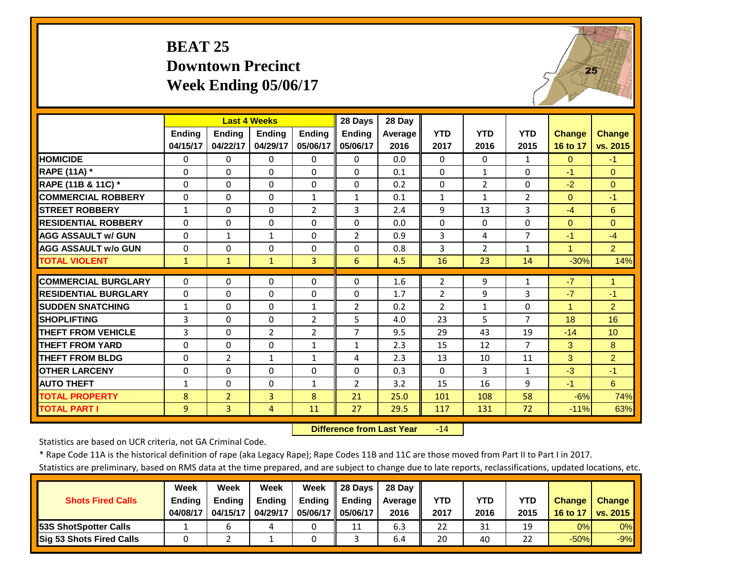#### **BEAT 25 Downtown PrecinctWeek Ending 05/06/17**



|                             |               |                | <b>Last 4 Weeks</b> |                | 28 Days        | 28 Day  |                |                |                |                      |                |
|-----------------------------|---------------|----------------|---------------------|----------------|----------------|---------|----------------|----------------|----------------|----------------------|----------------|
|                             | <b>Ending</b> | <b>Ending</b>  | Ending              | <b>Endina</b>  | <b>Ending</b>  | Average | <b>YTD</b>     | <b>YTD</b>     | <b>YTD</b>     | <b>Change</b>        | <b>Change</b>  |
|                             | 04/15/17      | 04/22/17       | 04/29/17            | 05/06/17       | 05/06/17       | 2016    | 2017           | 2016           | 2015           | 16 to 17             | vs. 2015       |
| <b>HOMICIDE</b>             | $\Omega$      | $\Omega$       | $\Omega$            | 0              | 0              | 0.0     | $\Omega$       | $\Omega$       | $\mathbf{1}$   | $\Omega$             | $-1$           |
| RAPE (11A) *                | $\Omega$      | $\Omega$       | $\Omega$            | $\Omega$       | $\Omega$       | 0.1     | $\Omega$       | $\mathbf{1}$   | $\Omega$       | $-1$                 | $\Omega$       |
| RAPE (11B & 11C) *          | $\Omega$      | $\Omega$       | $\Omega$            | $\Omega$       | $\Omega$       | 0.2     | $\Omega$       | $\overline{2}$ | $\Omega$       | $-2$                 | $\Omega$       |
| <b>COMMERCIAL ROBBERY</b>   | $\mathbf 0$   | $\Omega$       | $\Omega$            | $\mathbf{1}$   | $\mathbf{1}$   | 0.1     | $\mathbf{1}$   | $\mathbf{1}$   | $\overline{2}$ | $\Omega$             | $-1$           |
| <b>STREET ROBBERY</b>       | $\mathbf{1}$  | $\Omega$       | $\Omega$            | $\overline{2}$ | 3              | 2.4     | 9              | 13             | 3              | $-4$                 | 6              |
| <b>RESIDENTIAL ROBBERY</b>  | $\Omega$      | $\Omega$       | $\Omega$            | $\Omega$       | $\Omega$       | 0.0     | $\Omega$       | $\Omega$       | 0              | $\Omega$             | $\Omega$       |
| <b>AGG ASSAULT w/ GUN</b>   | $\Omega$      | 1              | 1                   | $\Omega$       | $\overline{2}$ | 0.9     | 3              | 4              | 7              | $-1$                 | $-4$           |
| <b>AGG ASSAULT w/o GUN</b>  | $\mathbf 0$   | $\Omega$       | $\Omega$            | $\Omega$       | $\Omega$       | 0.8     | $\overline{3}$ | $\overline{2}$ | $\mathbf{1}$   | $\blacktriangleleft$ | $\overline{2}$ |
| <b>TOTAL VIOLENT</b>        | $\mathbf{1}$  | $\mathbf{1}$   | $\mathbf{1}$        | 3              | 6              | 4.5     | 16             | 23             | 14             | $-30%$               | 14%            |
| <b>COMMERCIAL BURGLARY</b>  | $\Omega$      | $\Omega$       | $\Omega$            | 0              | $\Omega$       | 1.6     | $\overline{2}$ | 9              | $\mathbf{1}$   | $-7$                 | 1              |
| <b>RESIDENTIAL BURGLARY</b> | $\Omega$      | $\Omega$       | $\Omega$            | $\Omega$       | $\Omega$       | 1.7     | $\overline{2}$ | 9              | 3              | $-7$                 | $-1$           |
| <b>SUDDEN SNATCHING</b>     | 1             | $\Omega$       | $\Omega$            | $\mathbf{1}$   | $\overline{2}$ | 0.2     | $\overline{2}$ | $\mathbf{1}$   | 0              | 1                    | $\overline{2}$ |
| <b>SHOPLIFTING</b>          | 3             | $\Omega$       | $\Omega$            | $\overline{2}$ | 5              | 4.0     | 23             | 5.             | 7              | 18                   | 16             |
| <b>THEFT FROM VEHICLE</b>   | 3             | $\Omega$       | 2                   | $\overline{2}$ | $\overline{7}$ | 9.5     | 29             | 43             | 19             | $-14$                | 10             |
| <b>THEFT FROM YARD</b>      | $\Omega$      | $\Omega$       | $\Omega$            | $\mathbf{1}$   | $\mathbf{1}$   | 2.3     | 15             | 12             | 7              | 3                    | 8              |
| <b>THEFT FROM BLDG</b>      | $\Omega$      | $\overline{2}$ | $\mathbf{1}$        | $\mathbf{1}$   | 4              | 2.3     | 13             | 10             | 11             | 3                    | $\overline{2}$ |
| <b>OTHER LARCENY</b>        | $\Omega$      | $\Omega$       | $\Omega$            | 0              | $\Omega$       | 0.3     | $\Omega$       | 3              | $\mathbf{1}$   | $-3$                 | $-1$           |
| <b>AUTO THEFT</b>           | $\mathbf{1}$  | $\Omega$       | $\Omega$            | $\mathbf{1}$   | $\overline{2}$ | 3.2     | 15             | 16             | 9              | $-1$                 | $6\phantom{1}$ |
| <b>TOTAL PROPERTY</b>       | 8             | $\overline{2}$ | 3                   | 8              | 21             | 25.0    | 101            | 108            | 58             | $-6%$                | 74%            |
| <b>TOTAL PART I</b>         | 9             | 3              | 4                   | 11             | 27             | 29.5    | 117            | 131            | 72             | $-11%$               | 63%            |

 **Difference from Last Year**r -14

Statistics are based on UCR criteria, not GA Criminal Code.

\* Rape Code 11A is the historical definition of rape (aka Legacy Rape); Rape Codes 11B and 11C are those moved from Part II to Part I in 2017.

|                                 | Week          | Week          | Week          | Week          | 28 Davs       | 28 Dav     |      |      |      |               |               |
|---------------------------------|---------------|---------------|---------------|---------------|---------------|------------|------|------|------|---------------|---------------|
| <b>Shots Fired Calls</b>        | <b>Ending</b> | <b>Ending</b> | <b>Ending</b> | <b>Ending</b> | <b>Ending</b> | Average II | YTD  | YTD  | YTD  | <b>Change</b> | <b>Change</b> |
|                                 | 04/08/17      | 04/15/17      | 04/29/17      | 05/06/17 I    | 05/06/17      | 2016       | 2017 | 2016 | 2015 | 16 to 17      | vs. 2015      |
| <b>153S ShotSpotter Calls</b>   |               |               |               |               | 11            | 6.3        | 22   | 31   | 19   | 0%            | $0\%$         |
| <b>Sig 53 Shots Fired Calls</b> |               |               |               |               |               | 6.4        | 20   | 40   | 22   | $-50%$        | $-9%$         |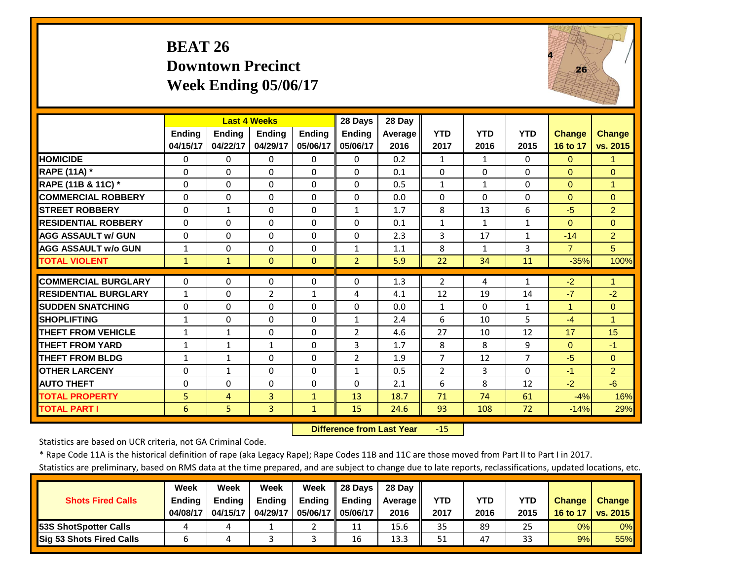#### **BEAT 26 Downtown Precinct Week Ending 05/06/17**



|                             |               | <b>Last 4 Weeks</b> |                |               | 28 Days        | 28 Day  |                |              |                |                |                |
|-----------------------------|---------------|---------------------|----------------|---------------|----------------|---------|----------------|--------------|----------------|----------------|----------------|
|                             | <b>Ending</b> | <b>Ending</b>       | <b>Endina</b>  | <b>Ending</b> | <b>Endina</b>  | Average | <b>YTD</b>     | <b>YTD</b>   | <b>YTD</b>     | <b>Change</b>  | <b>Change</b>  |
|                             | 04/15/17      | 04/22/17            | 04/29/17       | 05/06/17      | 05/06/17       | 2016    | 2017           | 2016         | 2015           | 16 to 17       | vs. 2015       |
| <b>HOMICIDE</b>             | $\Omega$      | $\Omega$            | $\Omega$       | $\Omega$      | $\Omega$       | 0.2     | $\mathbf{1}$   | $\mathbf{1}$ | $\Omega$       | $\Omega$       | 1              |
| <b>RAPE (11A) *</b>         | $\Omega$      | $\Omega$            | $\Omega$       | $\Omega$      | $\Omega$       | 0.1     | $\Omega$       | $\Omega$     | 0              | $\Omega$       | $\Omega$       |
| RAPE (11B & 11C) *          | $\Omega$      | $\Omega$            | $\Omega$       | $\Omega$      | $\Omega$       | 0.5     | $1\,$          | $\mathbf{1}$ | $\Omega$       | $\Omega$       | $\overline{1}$ |
| <b>COMMERCIAL ROBBERY</b>   | $\Omega$      | $\Omega$            | $\Omega$       | $\Omega$      | $\Omega$       | 0.0     | $\Omega$       | $\Omega$     | 0              | $\Omega$       | $\Omega$       |
| <b>STREET ROBBERY</b>       | 0             | 1                   | $\mathbf 0$    | $\mathbf 0$   | $\mathbf{1}$   | 1.7     | 8              | 13           | 6              | $-5$           | 2              |
| <b>RESIDENTIAL ROBBERY</b>  | $\Omega$      | $\Omega$            | $\Omega$       | $\Omega$      | $\Omega$       | 0.1     | $\mathbf{1}$   | 1            | $\mathbf{1}$   | $\Omega$       | $\Omega$       |
| <b>AGG ASSAULT w/ GUN</b>   | $\Omega$      | $\Omega$            | $\Omega$       | $\Omega$      | $\Omega$       | 2.3     | 3              | 17           | $\mathbf{1}$   | $-14$          | $\overline{2}$ |
| <b>AGG ASSAULT w/o GUN</b>  | 1             | $\Omega$            | $\Omega$       | $\Omega$      | 1              | 1.1     | 8              | $\mathbf{1}$ | 3              | $\overline{7}$ | 5              |
| <b>TOTAL VIOLENT</b>        | $\mathbf{1}$  | $\mathbf{1}$        | $\Omega$       | $\Omega$      | $\overline{2}$ | 5.9     | 22             | 34           | 11             | $-35%$         | 100%           |
| <b>COMMERCIAL BURGLARY</b>  | 0             | $\Omega$            | 0              | 0             | 0              | 1.3     | $\overline{2}$ | 4            | $\mathbf{1}$   | $-2$           | 1              |
| <b>RESIDENTIAL BURGLARY</b> | $\mathbf{1}$  | $\Omega$            | $\overline{2}$ | $\mathbf{1}$  | 4              | 4.1     | 12             | 19           | 14             | $-7$           | $-2$           |
| <b>SUDDEN SNATCHING</b>     | $\Omega$      | $\Omega$            | $\Omega$       | $\Omega$      | $\Omega$       | 0.0     | $\mathbf{1}$   | $\Omega$     | $\mathbf{1}$   | 1              | $\Omega$       |
| <b>SHOPLIFTING</b>          | 1             | $\Omega$            | $\Omega$       | $\Omega$      | $\mathbf{1}$   | 2.4     | 6              | 10           | 5.             | $-4$           | 1              |
| <b>THEFT FROM VEHICLE</b>   | 1             | $\mathbf{1}$        | $\Omega$       | $\Omega$      | $\overline{2}$ | 4.6     | 27             | 10           | 12             | 17             | 15             |
| <b>THEFT FROM YARD</b>      | 1             | $\mathbf{1}$        | $\mathbf{1}$   | 0             | 3              | 1.7     | 8              | 8            | 9              | $\Omega$       | $-1$           |
| <b>THEFT FROM BLDG</b>      | $\mathbf{1}$  | $\mathbf{1}$        | $\Omega$       | $\Omega$      | $\overline{2}$ | 1.9     | $\overline{7}$ | 12           | $\overline{7}$ | $-5$           | $\Omega$       |
| <b>OTHER LARCENY</b>        | $\Omega$      | $\mathbf{1}$        | $\Omega$       | $\Omega$      | $\mathbf{1}$   | 0.5     | $\overline{2}$ | 3            | $\Omega$       | $-1$           | $\overline{2}$ |
| <b>AUTO THEFT</b>           | 0             | $\Omega$            | $\Omega$       | $\mathbf 0$   | $\Omega$       | 2.1     | 6              | 8            | 12             | $-2$           | $-6$           |
| <b>TOTAL PROPERTY</b>       | 5             | 4                   | 3              | $\mathbf{1}$  | 13             | 18.7    | 71             | 74           | 61             | $-4%$          | 16%            |
| <b>TOTAL PART I</b>         | 6             | 5                   | 3              | $\mathbf{1}$  | 15             | 24.6    | 93             | 108          | 72             | $-14%$         | 29%            |

 **Difference from Last Year**r -15

Statistics are based on UCR criteria, not GA Criminal Code.

\* Rape Code 11A is the historical definition of rape (aka Legacy Rape); Rape Codes 11B and 11C are those moved from Part II to Part I in 2017.

|                                 | <b>Week</b>   | Week          | <b>Week</b>   | Week          | <b>28 Davs</b> | 28 Dav     |      |      |      |               |               |
|---------------------------------|---------------|---------------|---------------|---------------|----------------|------------|------|------|------|---------------|---------------|
| <b>Shots Fired Calls</b>        | <b>Ending</b> | <b>Ending</b> | <b>Ending</b> | <b>Ending</b> | <b>Ending</b>  | Average II | YTD  | YTD  | YTD  | <b>Change</b> | <b>Change</b> |
|                                 | 04/08/17      | 04/15/17      | 04/29/17      | 05/06/17 I    | 05/06/17       | 2016       | 2017 | 2016 | 2015 | 16 to 17      | vs. 2015      |
| <b>153S ShotSpotter Calls</b>   |               |               |               |               | 11             | 15.6       | 35   | 89   | 25   | 0%            | $0\%$         |
| <b>Sig 53 Shots Fired Calls</b> |               |               |               |               | 16             | 13.3       | 51   | 47   | 33   | 9%            | 55%           |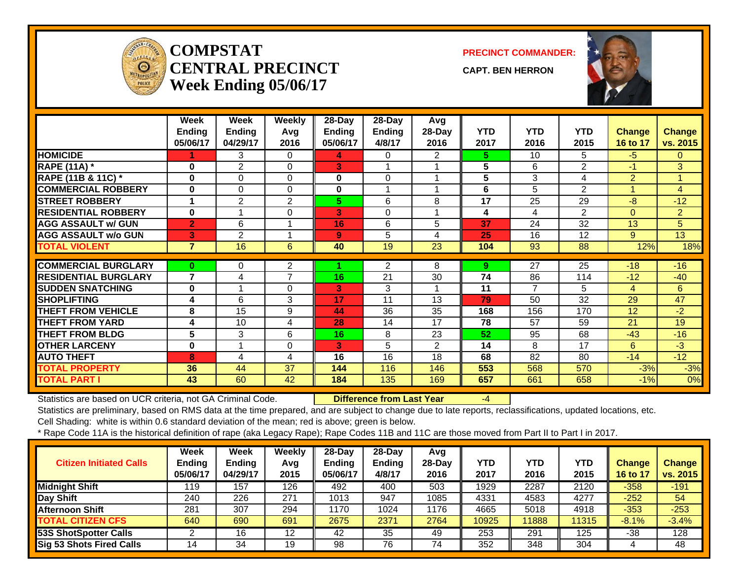

#### **COMPSTATCENTRAL PRECINCTWeek Ending 05/06/17**

**PRECINCT COMMANDER:**

**CAPT. BEN HERRON**



|                               | Week<br><b>Ending</b><br>05/06/17 | Week<br><b>Ending</b><br>04/29/17 | <b>Weekly</b><br>Avg<br>2016 | 28-Day<br><b>Ending</b><br>05/06/17 | 28-Day<br><b>Ending</b><br>4/8/17 | Avg<br>28-Day<br>2016 | <b>YTD</b><br>2017 | <b>YTD</b><br>2016 | <b>YTD</b><br>2015 | <b>Change</b><br>16 to 17 | <b>Change</b><br>vs. 2015 |
|-------------------------------|-----------------------------------|-----------------------------------|------------------------------|-------------------------------------|-----------------------------------|-----------------------|--------------------|--------------------|--------------------|---------------------------|---------------------------|
| <b>HOMICIDE</b>               |                                   | 3                                 | 0                            | 4                                   | 0                                 | 2                     | 5.                 | 10                 | 5                  | $-5$                      | $\mathbf{0}$              |
| <b>RAPE (11A)</b> *           | $\bf{0}$                          | $\overline{2}$                    | $\Omega$                     | 3                                   |                                   |                       | 5                  | 6                  | $\mathbf{2}$       | $-1$                      | 3                         |
| <b>RAPE (11B &amp; 11C)</b> * | 0                                 | 0                                 | $\Omega$                     | 0                                   | 0                                 |                       | 5                  | 3                  | 4                  | $\overline{2}$            | 1                         |
| <b>COMMERCIAL ROBBERY</b>     | $\bf{0}$                          | $\mathbf 0$                       | $\Omega$                     | 0                                   | 1                                 |                       | 6                  | 5                  | $\overline{2}$     | 1                         | $\overline{4}$            |
| <b>STREET ROBBERY</b>         |                                   | $\overline{2}$                    | $\overline{2}$               | 5.                                  | 6                                 | 8                     | 17                 | 25                 | 29                 | $-8$                      | $-12$                     |
| <b>RESIDENTIAL ROBBERY</b>    | $\bf{0}$                          |                                   | $\Omega$                     | 3                                   | 0                                 |                       | 4                  | 4                  | $\overline{2}$     | $\overline{0}$            | $\overline{2}$            |
| <b>AGG ASSAULT w/ GUN</b>     | $\overline{2}$                    | 6                                 | 1                            | 16                                  | 6                                 | 5                     | 37                 | 24                 | 32                 | 13                        | 5 <sup>5</sup>            |
| <b>AGG ASSAULT w/o GUN</b>    | 3                                 | $\overline{2}$                    | $\overline{\mathbf{A}}$      | 9                                   | 5                                 | 4                     | 25                 | 16                 | 12                 | 9                         | 13                        |
| <b>TOTAL VIOLENT</b>          | $\overline{7}$                    | 16                                | 6                            | 40                                  | 19                                | 23                    | 104                | 93                 | 88                 | 12%                       | 18%                       |
|                               |                                   |                                   |                              |                                     |                                   |                       |                    |                    |                    |                           |                           |
| <b>COMMERCIAL BURGLARY</b>    | 0                                 | 0                                 | $\overline{2}$               |                                     | $\overline{2}$                    | 8                     | 9                  | 27                 | 25                 | $-18$                     | $-16$                     |
| <b>RESIDENTIAL BURGLARY</b>   | $\overline{7}$                    | 4                                 | $\overline{7}$               | 16                                  | 21                                | 30                    | 74                 | 86                 | 114                | $-12$                     | $-40$                     |
| <b>SUDDEN SNATCHING</b>       | 0                                 |                                   | $\Omega$                     | 3                                   | 3                                 |                       | 11                 | 7                  | 5                  | 4                         | 6                         |
| <b>SHOPLIFTING</b>            | 4                                 | 6                                 | 3                            | 17                                  | 11                                | 13                    | 79                 | 50                 | 32                 | 29                        | 47                        |
| <b>THEFT FROM VEHICLE</b>     | 8                                 | 15                                | 9                            | 44                                  | 36                                | 35                    | 168                | 156                | 170                | 12                        | $-2$                      |
| <b>THEFT FROM YARD</b>        | 4                                 | 10                                | 4                            | 28                                  | 14                                | 17                    | 78                 | 57                 | 59                 | 21                        | 19                        |
| <b>THEFT FROM BLDG</b>        | 5                                 | 3                                 | 6                            | 16                                  | 8                                 | 23                    | 52 <sub>2</sub>    | 95                 | 68                 | $-43$                     | $-16$                     |
| <b>OTHER LARCENY</b>          | $\bf{0}$                          | $\overline{A}$                    | 0                            | 3                                   | 5                                 | $\overline{2}$        | 14                 | 8                  | 17                 | 6                         | $-3$                      |
| <b>AUTO THEFT</b>             | 8                                 | 4                                 | 4                            | 16                                  | 16                                | 18                    | 68                 | 82                 | 80                 | $-14$                     | $-12$                     |
| <b>TOTAL PROPERTY</b>         | 36                                | 44                                | 37                           | 144                                 | 116                               | 146                   | 553                | 568                | 570                | $-3%$                     | $-3%$                     |
| <b>TOTAL PART I</b>           | 43                                | 60                                | 42                           | 184                                 | 135                               | 169                   | 657                | 661                | 658                | $-1%$                     | $\overline{0\%}$          |

Statistics are based on UCR criteria, not GA Criminal Code. **Difference from Last Year** -4

Statistics are preliminary, based on RMS data at the time prepared, and are subject to change due to late reports, reclassifications, updated locations, etc.

Cell Shading: white is within 0.6 standard deviation of the mean; red is above; green is below.

| <b>Citizen Initiated Calls</b> | Week<br><b>Ending</b><br>05/06/17 | Week<br><b>Ending</b><br>04/29/17 | Weekly<br>Avg<br>2015 | $28$ -Day<br><b>Ending</b><br>05/06/17 | $28$ -Day<br><b>Ending</b><br>4/8/17 | Avg<br>$28$ -Day<br>2016 | YTD<br>2017 | <b>YTD</b><br>2016 | <b>YTD</b><br>2015 | Change<br>16 to 17 | <b>Change</b><br>vs. 2015 |
|--------------------------------|-----------------------------------|-----------------------------------|-----------------------|----------------------------------------|--------------------------------------|--------------------------|-------------|--------------------|--------------------|--------------------|---------------------------|
| <b>Midnight Shift</b>          | 119                               | 157                               | 126                   | 492                                    | 400                                  | 503                      | 1929        | 2287               | 2120               | $-358$             | $-191$                    |
| Day Shift                      | 240                               | 226                               | 271                   | 1013                                   | 947                                  | 1085                     | 4331        | 4583               | 4277               | $-252$             | 54                        |
| <b>Afternoon Shift</b>         | 281                               | 307                               | 294                   | 1170                                   | 1024                                 | 1176                     | 4665        | 5018               | 4918               | $-353$             | $-253$                    |
| <b>TOTAL CITIZEN CFS</b>       | 640                               | 690                               | 691                   | 2675                                   | 2371                                 | 2764                     | 10925       | 11888              | 11315              | $-8.1%$            | $-3.4%$                   |
| 53S ShotSpotter Calls          |                                   | 16                                | 12                    | 42                                     | 35                                   | 49                       | 253         | 291                | 125                | -38                | 128                       |
| Sig 53 Shots Fired Calls       | 14                                | 34                                | 19                    | 98                                     | 76                                   | 74                       | 352         | 348                | 304                |                    | 48                        |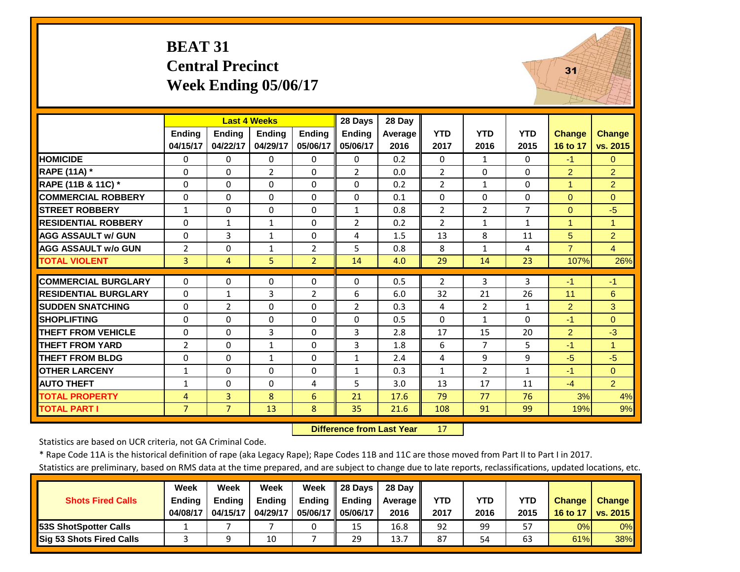#### **BEAT 31 Central Precinct Week Ending 05/06/17**



|                             |                |                | <b>Last 4 Weeks</b> |                | 28 Days        | 28 Day     |                |                |                |                |                      |
|-----------------------------|----------------|----------------|---------------------|----------------|----------------|------------|----------------|----------------|----------------|----------------|----------------------|
|                             | <b>Ending</b>  | <b>Ending</b>  | <b>Endina</b>       | <b>Ending</b>  | <b>Ending</b>  | Average    | <b>YTD</b>     | <b>YTD</b>     | <b>YTD</b>     | <b>Change</b>  | <b>Change</b>        |
|                             | 04/15/17       | 04/22/17       | 04/29/17            | 05/06/17       | 05/06/17       | 2016       | 2017           | 2016           | 2015           | 16 to 17       | vs. 2015             |
| <b>HOMICIDE</b>             | 0              | 0              | $\Omega$            | $\Omega$       | 0              | 0.2        | $\Omega$       | $\mathbf{1}$   | 0              | $-1$           | $\Omega$             |
| <b>RAPE (11A) *</b>         | $\Omega$       | $\Omega$       | $\overline{2}$      | $\Omega$       | $\overline{2}$ | 0.0        | 2              | $\Omega$       | $\Omega$       | $\overline{2}$ | $\overline{2}$       |
| RAPE (11B & 11C) *          | $\Omega$       | $\Omega$       | $\Omega$            | $\Omega$       | $\Omega$       | 0.2        | $\overline{2}$ | $\mathbf{1}$   | $\Omega$       | 1              | $\overline{2}$       |
| <b>COMMERCIAL ROBBERY</b>   | $\Omega$       | $\Omega$       | $\Omega$            | $\Omega$       | $\Omega$       | 0.1        | $\Omega$       | $\Omega$       | $\Omega$       | $\Omega$       | $\Omega$             |
| <b>STREET ROBBERY</b>       | $\mathbf{1}$   | $\Omega$       | 0                   | $\Omega$       | $\mathbf{1}$   | 0.8        | $\overline{2}$ | $\overline{2}$ | $\overline{7}$ | $\mathbf{0}$   | $-5$                 |
| <b>RESIDENTIAL ROBBERY</b>  | $\Omega$       | $\mathbf{1}$   | $\mathbf{1}$        | $\Omega$       | $\overline{2}$ | 0.2        | $\overline{2}$ | $\mathbf{1}$   | $\mathbf{1}$   | $\overline{1}$ | $\overline{1}$       |
| <b>AGG ASSAULT w/ GUN</b>   | $\Omega$       | 3              | $\mathbf{1}$        | $\Omega$       | 4              | 1.5        | 13             | 8              | 11             | 5              | $\overline{2}$       |
| <b>AGG ASSAULT w/o GUN</b>  | $\overline{2}$ | $\Omega$       | $\mathbf{1}$        | 2              | 5              | 0.8        | 8              | $\mathbf{1}$   | 4              | $\overline{7}$ | $\overline{4}$       |
| <b>TOTAL VIOLENT</b>        | $\overline{3}$ | $\overline{4}$ | 5                   | $\overline{2}$ | 14             | 4.0        | 29             | 14             | 23             | 107%           | 26%                  |
| <b>COMMERCIAL BURGLARY</b>  | $\Omega$       | $\Omega$       | $\Omega$            | 0              | $\Omega$       | 0.5        | 2              | 3              | 3              | $-1$           | $-1$                 |
| <b>RESIDENTIAL BURGLARY</b> | $\Omega$       | 1              | 3                   | 2              | 6              | 6.0        | 32             | 21             | 26             | 11             | 6                    |
| <b>SUDDEN SNATCHING</b>     | $\Omega$       | 2              | $\Omega$            | $\Omega$       | $\overline{2}$ | 0.3        | 4              | $\overline{2}$ | $\mathbf{1}$   | $\overline{2}$ | 3                    |
| <b>SHOPLIFTING</b>          |                | $\Omega$       |                     | $\Omega$       |                |            | $\Omega$       | $\mathbf{1}$   | $\Omega$       |                | $\Omega$             |
| <b>THEFT FROM VEHICLE</b>   | $\Omega$       | $\Omega$       | $\Omega$            | $\Omega$       | $\Omega$       | 0.5<br>2.8 |                |                |                | $-1$           | $-3$                 |
|                             | $\Omega$       |                | 3                   |                | 3              |            | 17             | 15             | 20             | $\overline{2}$ |                      |
| <b>THEFT FROM YARD</b>      | $\overline{2}$ | $\Omega$       | $\mathbf{1}$        | $\Omega$       | 3              | 1.8        | 6              | 7              | 5              | $-1$           | $\blacktriangleleft$ |
| <b>THEFT FROM BLDG</b>      | $\Omega$       | $\Omega$       | $\mathbf{1}$        | $\Omega$       | $\mathbf{1}$   | 2.4        | 4              | 9              | 9              | $-5$           | $-5$                 |
| <b>OTHER LARCENY</b>        | $\mathbf{1}$   | $\Omega$       | $\Omega$            | $\Omega$       | $\mathbf{1}$   | 0.3        | $\mathbf{1}$   | $\overline{2}$ | $\mathbf{1}$   | $-1$           | $\Omega$             |
| <b>AUTO THEFT</b>           | $\mathbf{1}$   | $\Omega$       | $\Omega$            | 4              | 5              | 3.0        | 13             | 17             | 11             | $-4$           | 2                    |
| <b>TOTAL PROPERTY</b>       | 4              | 3              | 8                   | 6              | 21             | 17.6       | 79             | 77             | 76             | 3%             | 4%                   |
| <b>TOTAL PART I</b>         | $\overline{7}$ | $\overline{7}$ | 13                  | 8              | 35             | 21.6       | 108            | 91             | 99             | 19%            | 9%                   |

 **Difference from Last Year**17

Statistics are based on UCR criteria, not GA Criminal Code.

\* Rape Code 11A is the historical definition of rape (aka Legacy Rape); Rape Codes 11B and 11C are those moved from Part II to Part I in 2017.

|                                 | Week          | Week          | Week          | Week          | 28 Davs       | 28 Dav     |      |      |            |               |               |
|---------------------------------|---------------|---------------|---------------|---------------|---------------|------------|------|------|------------|---------------|---------------|
| <b>Shots Fired Calls</b>        | <b>Ending</b> | <b>Ending</b> | <b>Ending</b> | <b>Ending</b> | <b>Ending</b> | Average II | YTD  | YTD  | <b>YTD</b> | <b>Change</b> | <b>Change</b> |
|                                 | 04/08/17      | 04/15/17      | 04/29/17      | 05/06/17 I    | 05/06/17      | 2016       | 2017 | 2016 | 2015       | 16 to 17      | vs. 2015      |
| <b>153S ShotSpotter Calls</b>   |               |               |               |               | 15            | 16.8       | 92   | 99   | 57         | 0%            | $0\%$         |
| <b>Sig 53 Shots Fired Calls</b> |               |               | 10            |               | 29            | 13.7       | 87   | 54   | 63         | 61%           | 38%           |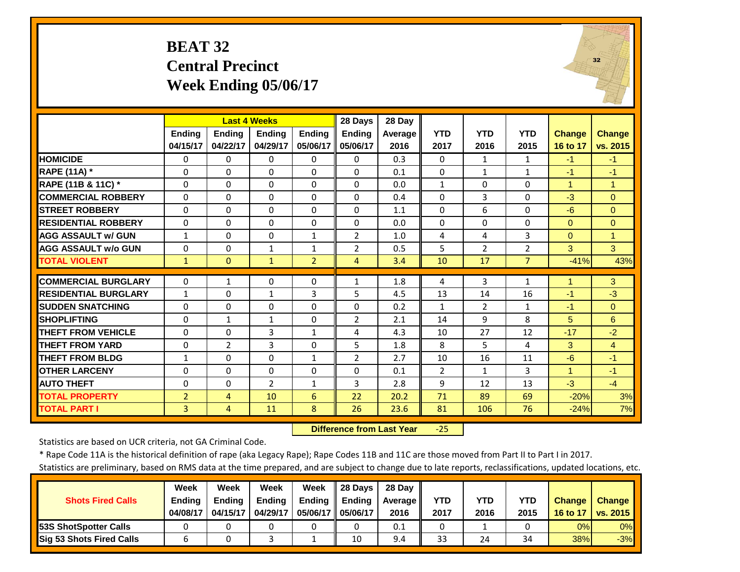#### **BEAT 32 Central Precinct Week Ending 05/06/17**



|                             |                | <b>Last 4 Weeks</b> |                |                | 28 Days        | 28 Day  |                |                |                |                      |                |
|-----------------------------|----------------|---------------------|----------------|----------------|----------------|---------|----------------|----------------|----------------|----------------------|----------------|
|                             | <b>Ending</b>  | <b>Ending</b>       | <b>Endina</b>  | <b>Ending</b>  | <b>Endina</b>  | Average | <b>YTD</b>     | <b>YTD</b>     | <b>YTD</b>     | <b>Change</b>        | <b>Change</b>  |
|                             | 04/15/17       | 04/22/17            | 04/29/17       | 05/06/17       | 05/06/17       | 2016    | 2017           | 2016           | 2015           | 16 to 17             | vs. 2015       |
| <b>HOMICIDE</b>             | $\Omega$       | $\Omega$            | $\Omega$       | $\Omega$       | $\Omega$       | 0.3     | $\Omega$       | $\mathbf{1}$   | $\mathbf{1}$   | $-1$                 | $-1$           |
| <b>RAPE (11A) *</b>         | $\Omega$       | $\Omega$            | $\Omega$       | $\Omega$       | $\Omega$       | 0.1     | $\Omega$       | $\mathbf{1}$   | $\mathbf{1}$   | $-1$                 | $-1$           |
| RAPE (11B & 11C) *          | $\Omega$       | $\Omega$            | $\Omega$       | $\Omega$       | $\Omega$       | 0.0     | $1\,$          | $\Omega$       | $\Omega$       | $\overline{1}$       | $\overline{1}$ |
| <b>COMMERCIAL ROBBERY</b>   | $\Omega$       | $\Omega$            | $\Omega$       | $\Omega$       | $\Omega$       | 0.4     | $\Omega$       | $\overline{3}$ | 0              | $-3$                 | $\Omega$       |
| <b>STREET ROBBERY</b>       | 0              | $\Omega$            | $\mathbf 0$    | $\mathbf 0$    | $\Omega$       | 1.1     | $\Omega$       | 6              | 0              | $-6$                 | $\mathbf{0}$   |
| <b>RESIDENTIAL ROBBERY</b>  | $\Omega$       | $\Omega$            | $\Omega$       | $\Omega$       | $\Omega$       | 0.0     | $\Omega$       | $\Omega$       | 0              | $\Omega$             | $\Omega$       |
| <b>AGG ASSAULT w/ GUN</b>   | 1              | $\Omega$            | $\Omega$       | $\mathbf{1}$   | $\overline{2}$ | 1.0     | 4              | 4              | 3              | $\Omega$             | $\overline{1}$ |
| <b>AGG ASSAULT w/o GUN</b>  | 0              | $\Omega$            | 1              | $\mathbf{1}$   | $\overline{2}$ | 0.5     | 5              | $\overline{2}$ | $\overline{2}$ | 3                    | 3              |
| <b>TOTAL VIOLENT</b>        | $\mathbf{1}$   | $\Omega$            | $\mathbf{1}$   | $\overline{2}$ | 4              | 3.4     | 10             | 17             | $\overline{7}$ | $-41%$               | 43%            |
| <b>COMMERCIAL BURGLARY</b>  | 0              | 1                   | 0              | 0              | $\mathbf{1}$   | 1.8     | 4              | 3              | $\mathbf{1}$   | 1                    | 3              |
| <b>RESIDENTIAL BURGLARY</b> | 1              | $\Omega$            | $\mathbf{1}$   | 3              | 5              | 4.5     | 13             | 14             | 16             | $-1$                 | $-3$           |
| <b>SUDDEN SNATCHING</b>     | $\Omega$       | $\Omega$            | $\Omega$       | $\Omega$       | $\Omega$       | 0.2     | $\mathbf{1}$   | $\overline{2}$ | 1              | $-1$                 | $\Omega$       |
| <b>SHOPLIFTING</b>          | $\Omega$       | $\mathbf{1}$        | $\mathbf{1}$   | $\Omega$       | $\overline{2}$ | 2.1     | 14             | 9              | 8              | 5                    | 6              |
| <b>THEFT FROM VEHICLE</b>   | $\Omega$       | $\Omega$            | 3              | 1              | 4              | 4.3     | 10             | 27             | 12             | $-17$                | $-2$           |
| <b>THEFT FROM YARD</b>      | 0              | $\overline{2}$      | 3              | $\Omega$       | 5              | 1.8     | 8              | 5.             | 4              | 3                    | $\overline{4}$ |
| <b>THEFT FROM BLDG</b>      | 1              | $\Omega$            | $\Omega$       | $\mathbf{1}$   | $\overline{2}$ | 2.7     | 10             | 16             | 11             | $-6$                 | $-1$           |
| <b>OTHER LARCENY</b>        | $\Omega$       | $\Omega$            | $\Omega$       | $\Omega$       | $\Omega$       | 0.1     | $\overline{2}$ | $\mathbf{1}$   | 3              | $\blacktriangleleft$ | $-1$           |
| <b>AUTO THEFT</b>           | 0              | $\Omega$            | $\overline{2}$ | $\mathbf{1}$   | 3              | 2.8     | 9              | 12             | 13             | $-3$                 | $-4$           |
| <b>TOTAL PROPERTY</b>       | $\overline{2}$ | 4                   | 10             | 6              | 22             | 20.2    | 71             | 89             | 69             | $-20%$               | 3%             |
| <b>TOTAL PART I</b>         | $\overline{3}$ | 4                   | 11             | 8              | 26             | 23.6    | 81             | 106            | 76             | $-24%$               | 7%             |

 **Difference from Last Year**‐25

Statistics are based on UCR criteria, not GA Criminal Code.

\* Rape Code 11A is the historical definition of rape (aka Legacy Rape); Rape Codes 11B and 11C are those moved from Part II to Part I in 2017.

|                                 | Week          | Week          | Week          | Week          | 28 Davs       | 28 Day     |      |      |      |               |               |
|---------------------------------|---------------|---------------|---------------|---------------|---------------|------------|------|------|------|---------------|---------------|
| <b>Shots Fired Calls</b>        | <b>Ending</b> | <b>Ending</b> | <b>Ending</b> | <b>Ending</b> | <b>Ending</b> | Average II | YTD  | YTD  | YTD  | <b>Change</b> | <b>Change</b> |
|                                 | 04/08/17      | 04/15/17      | 04/29/17      | 05/06/17 I    | 05/06/17      | 2016       | 2017 | 2016 | 2015 | 16 to 17      | vs. 2015      |
| <b>153S ShotSpotter Calls</b>   |               |               |               |               |               | 0.1        |      |      |      | 0%            | $0\%$         |
| <b>Sig 53 Shots Fired Calls</b> |               |               |               |               | 10            | 9.4        | 33   | 24   | 34   | <b>38%</b>    | $-3%$         |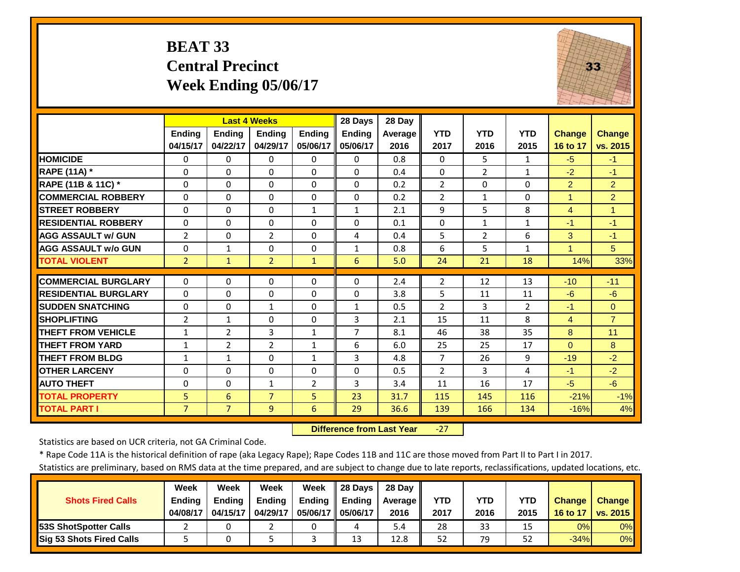#### **BEAT 33 Central Precinct Week Ending 05/06/17**



|                             |                | <b>Last 4 Weeks</b> |                |                | 28 Days        | 28 Day  |                |                |              |                |                |
|-----------------------------|----------------|---------------------|----------------|----------------|----------------|---------|----------------|----------------|--------------|----------------|----------------|
|                             | Ending         | <b>Ending</b>       | Ending         | <b>Endina</b>  | Ending         | Average | <b>YTD</b>     | <b>YTD</b>     | <b>YTD</b>   | <b>Change</b>  | <b>Change</b>  |
|                             | 04/15/17       | 04/22/17            | 04/29/17       | 05/06/17       | 05/06/17       | 2016    | 2017           | 2016           | 2015         | 16 to 17       | vs. 2015       |
| <b>HOMICIDE</b>             | $\Omega$       | 0                   | $\Omega$       | 0              | $\Omega$       | 0.8     | $\Omega$       | 5.             | $\mathbf{1}$ | $-5$           | $-1$           |
| <b>RAPE (11A) *</b>         | $\Omega$       | $\Omega$            | $\Omega$       | $\Omega$       | $\Omega$       | 0.4     | $\mathbf{0}$   | 2              | $\mathbf{1}$ | $-2$           | $-1$           |
| RAPE (11B & 11C) *          | $\Omega$       | $\Omega$            | $\Omega$       | $\Omega$       | $\Omega$       | 0.2     | $\overline{2}$ | $\Omega$       | 0            | 2              | $\overline{2}$ |
| <b>COMMERCIAL ROBBERY</b>   | $\Omega$       | $\Omega$            | $\Omega$       | 0              | $\Omega$       | 0.2     | $\overline{2}$ | $\mathbf{1}$   | 0            | $\overline{1}$ | $\overline{2}$ |
| <b>STREET ROBBERY</b>       | $\Omega$       | $\Omega$            | $\Omega$       | $\mathbf{1}$   | $\mathbf{1}$   | 2.1     | 9              | 5              | 8            | $\overline{4}$ | $\overline{1}$ |
| <b>RESIDENTIAL ROBBERY</b>  | $\Omega$       | 0                   | $\Omega$       | $\Omega$       | $\Omega$       | 0.1     | $\Omega$       | $\mathbf{1}$   | $\mathbf{1}$ | $-1$           | $-1$           |
| <b>AGG ASSAULT w/ GUN</b>   | $\overline{2}$ | 0                   | $\overline{2}$ | $\Omega$       | 4              | 0.4     | 5              | $\overline{2}$ | 6            | 3              | $-1$           |
| <b>AGG ASSAULT w/o GUN</b>  | $\Omega$       | $\mathbf{1}$        | $\Omega$       | 0              | 1              | 0.8     | 6              | 5              | $\mathbf{1}$ | 1              | 5              |
| <b>TOTAL VIOLENT</b>        | $\overline{2}$ | $\mathbf{1}$        | $\overline{2}$ | $\mathbf{1}$   | 6              | 5.0     | 24             | 21             | 18           | 14%            | 33%            |
| <b>COMMERCIAL BURGLARY</b>  | $\Omega$       | 0                   | $\Omega$       | 0              | 0              | 2.4     | $\overline{2}$ | 12             | 13           | $-10$          | $-11$          |
| <b>RESIDENTIAL BURGLARY</b> | $\Omega$       | $\Omega$            | $\Omega$       | 0              | $\Omega$       | 3.8     | 5              | 11             | 11           | $-6$           | $-6$           |
| <b>SUDDEN SNATCHING</b>     | $\Omega$       | $\Omega$            | $\mathbf{1}$   | 0              | 1              | 0.5     | $\overline{2}$ | 3              | 2            | $-1$           | $\Omega$       |
| <b>SHOPLIFTING</b>          | 2              | 1                   | $\Omega$       | $\Omega$       | 3              | 2.1     | 15             | 11             | 8            | $\overline{4}$ | $\overline{7}$ |
| <b>THEFT FROM VEHICLE</b>   | 1              | $\overline{2}$      | 3              | $\mathbf{1}$   | $\overline{7}$ | 8.1     | 46             | 38             | 35           | 8              | 11             |
| <b>THEFT FROM YARD</b>      | 1              | $\overline{2}$      | $\overline{2}$ | $\mathbf{1}$   | 6              | 6.0     | 25             | 25             | 17           | $\Omega$       | 8              |
| <b>THEFT FROM BLDG</b>      | $\mathbf{1}$   | $\mathbf{1}$        | $\Omega$       | $\mathbf{1}$   | 3              | 4.8     | $\overline{7}$ | 26             | 9            | $-19$          | $-2$           |
| <b>OTHER LARCENY</b>        | $\Omega$       | $\Omega$            | $\Omega$       | $\Omega$       | $\Omega$       | 0.5     | $\overline{2}$ | 3              | 4            | $-1$           | $-2$           |
| <b>AUTO THEFT</b>           | $\Omega$       | $\Omega$            | $\mathbf{1}$   | $\overline{2}$ | 3              | 3.4     | 11             | 16             | 17           | $-5$           | $-6$           |
| <b>TOTAL PROPERTY</b>       | 5              | 6                   | $\overline{7}$ | 5              | 23             | 31.7    | 115            | 145            | 116          | $-21%$         | $-1%$          |
| <b>TOTAL PART I</b>         | $\overline{7}$ | $\overline{7}$      | 9              | 6              | 29             | 36.6    | 139            | 166            | 134          | $-16%$         | 4%             |

 **Difference from Last Year**‐27

Statistics are based on UCR criteria, not GA Criminal Code.

\* Rape Code 11A is the historical definition of rape (aka Legacy Rape); Rape Codes 11B and 11C are those moved from Part II to Part I in 2017.

|                                 | Week          | Week          | Week          | Week          | 28 Davs       | 28 Day     |      |      |      |               |               |
|---------------------------------|---------------|---------------|---------------|---------------|---------------|------------|------|------|------|---------------|---------------|
| <b>Shots Fired Calls</b>        | <b>Ending</b> | <b>Ending</b> | <b>Ending</b> | <b>Ending</b> | <b>Ending</b> | Average II | YTD  | YTD  | YTD  | <b>Change</b> | <b>Change</b> |
|                                 | 04/08/17      | 04/15/17      | 04/29/17      | 05/06/17 I    | 05/06/17      | 2016       | 2017 | 2016 | 2015 | 16 to 17      | vs. 2015      |
| <b>153S ShotSpotter Calls</b>   |               |               |               |               | 4             | 5.4        | 28   | 33   | 15   | 0%            | $0\%$         |
| <b>Sig 53 Shots Fired Calls</b> |               |               |               |               | 13            | 12.8       | 52   | 79   | 52   | $-34%$        | $0\%$         |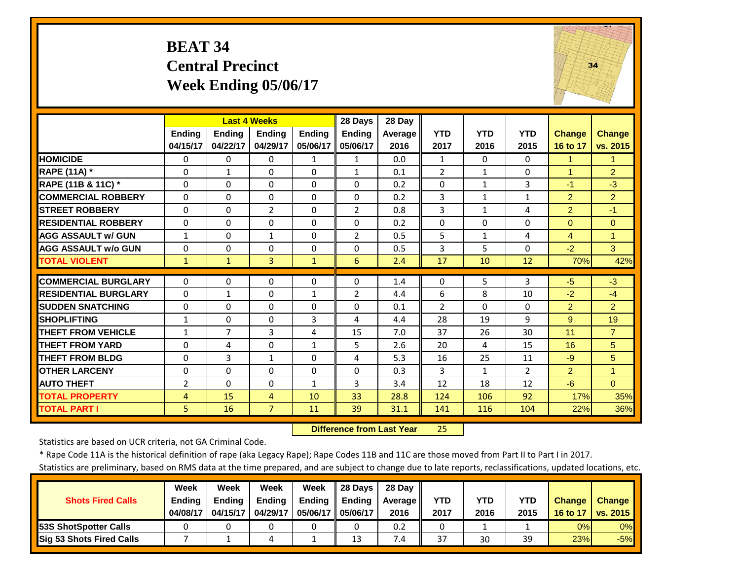#### **BEAT 34 Central Precinct Week Ending 05/06/17**



|                             |                | <b>Last 4 Weeks</b> |                     |               | 28 Days        | 28 Day  |                |              |                |                |                |
|-----------------------------|----------------|---------------------|---------------------|---------------|----------------|---------|----------------|--------------|----------------|----------------|----------------|
|                             | <b>Ending</b>  | Ending              | Ending              | <b>Endina</b> | <b>Ending</b>  | Average | <b>YTD</b>     | <b>YTD</b>   | <b>YTD</b>     | <b>Change</b>  | <b>Change</b>  |
|                             | 04/15/17       | 04/22/17            | 04/29/17            | 05/06/17      | 05/06/17       | 2016    | 2017           | 2016         | 2015           | 16 to 17       | vs. 2015       |
| <b>HOMICIDE</b>             | $\Omega$       | $\Omega$            | $\Omega$            | $\mathbf{1}$  | $\mathbf{1}$   | 0.0     | 1              | $\Omega$     | $\Omega$       | 1              | $\mathbf{1}$   |
| RAPE (11A) *                | $\Omega$       | $\mathbf{1}$        | $\Omega$            | $\Omega$      | $\mathbf{1}$   | 0.1     | $\overline{2}$ | $\mathbf{1}$ | $\Omega$       | $\mathbf{1}$   | $\overline{2}$ |
| RAPE (11B & 11C) *          | $\mathbf 0$    | $\Omega$            | $\Omega$            | $\Omega$      | $\Omega$       | 0.2     | $\Omega$       | $\mathbf{1}$ | 3              | $-1$           | $-3$           |
| <b>COMMERCIAL ROBBERY</b>   | $\Omega$       | $\Omega$            | $\Omega$            | $\Omega$      | $\Omega$       | 0.2     | 3              | $\mathbf{1}$ | $\mathbf{1}$   | $\overline{2}$ | $\overline{2}$ |
| <b>STREET ROBBERY</b>       | $\Omega$       | $\Omega$            | $\overline{2}$      | $\Omega$      | $\overline{2}$ | 0.8     | $\overline{3}$ | $\mathbf{1}$ | 4              | $\overline{2}$ | $-1$           |
| <b>RESIDENTIAL ROBBERY</b>  | $\Omega$       | $\Omega$            | $\Omega$            | $\Omega$      | $\Omega$       | 0.2     | $\Omega$       | $\Omega$     | 0              | $\Omega$       | $\Omega$       |
| <b>AGG ASSAULT w/ GUN</b>   | 1              | $\Omega$            | 1                   | $\Omega$      | $\overline{2}$ | 0.5     | 5              | $\mathbf{1}$ | 4              | $\overline{4}$ | 1              |
| <b>AGG ASSAULT w/o GUN</b>  | 0              | $\Omega$            | $\Omega$            | $\Omega$      | 0              | 0.5     | 3              | 5            | 0              | $-2$           | $\mathbf{3}$   |
| <b>TOTAL VIOLENT</b>        | $\mathbf{1}$   | $\mathbf{1}$        | 3                   | $\mathbf{1}$  | 6              | 2.4     | 17             | 10           | 12             | 70%            | 42%            |
| <b>COMMERCIAL BURGLARY</b>  | $\Omega$       | $\Omega$            | $\Omega$            | $\Omega$      | $\Omega$       | 1.4     | $\Omega$       | 5            | 3              | $-5$           | $-3$           |
| <b>RESIDENTIAL BURGLARY</b> | $\Omega$       | $\mathbf{1}$        | $\Omega$            | $\mathbf{1}$  | $\overline{2}$ | 4.4     | 6              | 8            | 10             | $-2$           | $-4$           |
| <b>SUDDEN SNATCHING</b>     | $\Omega$       | $\Omega$            | $\Omega$            | $\Omega$      | 0              | 0.1     | $\overline{2}$ | $\Omega$     | $\Omega$       | $\overline{2}$ | $\overline{2}$ |
| <b>SHOPLIFTING</b>          | 1              | $\Omega$            | $\Omega$            | 3             | 4              | 4.4     | 28             | 19           | 9              | 9              | 19             |
| <b>THEFT FROM VEHICLE</b>   | 1              | 7                   | 3                   | 4             | 15             | 7.0     | 37             | 26           | 30             | 11             | $\overline{7}$ |
| <b>THEFT FROM YARD</b>      | $\Omega$       | 4                   | $\Omega$            | $\mathbf{1}$  | 5              | 2.6     | 20             | 4            | 15             | 16             | 5              |
| <b>THEFT FROM BLDG</b>      | $\Omega$       | 3                   | $\mathbf{1}$        | $\Omega$      | 4              | 5.3     | 16             | 25           | 11             | $-9$           | 5              |
| <b>OTHER LARCENY</b>        | $\Omega$       | $\Omega$            | $\Omega$            | $\Omega$      | $\Omega$       | 0.3     | 3              | $\mathbf{1}$ | $\overline{2}$ | $\overline{2}$ | $\overline{1}$ |
| <b>AUTO THEFT</b>           | $\overline{2}$ | $\Omega$            | $\Omega$            | $\mathbf{1}$  | 3              | 3.4     | 12             | 18           | 12             | $-6$           | $\Omega$       |
| <b>TOTAL PROPERTY</b>       |                | 15                  |                     | 10            | 33             | 28.8    | 124            | 106          | 92             | 17%            | 35%            |
| <b>TOTAL PART I</b>         | 4<br>5         | 16                  | 4<br>$\overline{7}$ | 11            | 39             | 31.1    | 141            | 116          | 104            | 22%            | 36%            |
|                             |                |                     |                     |               |                |         |                |              |                |                |                |

 **Difference from Last Year**25

Statistics are based on UCR criteria, not GA Criminal Code.

\* Rape Code 11A is the historical definition of rape (aka Legacy Rape); Rape Codes 11B and 11C are those moved from Part II to Part I in 2017.

|                          | Week          | Week          | Week          | Week          | 28 Davs  | 28 Dav     |            |      |            |               |                 |
|--------------------------|---------------|---------------|---------------|---------------|----------|------------|------------|------|------------|---------------|-----------------|
| <b>Shots Fired Calls</b> | <b>Ending</b> | <b>Ending</b> | <b>Ending</b> | <b>Ending</b> | Endina   | Average II | <b>YTD</b> | YTD  | <b>YTD</b> | <b>Change</b> | <b>Change</b>   |
|                          | 04/08/17      | 04/15/17      | 04/29/17      | 05/06/17 II   | 05/06/17 | 2016       | 2017       | 2016 | 2015       | 16 to 17      | <b>VS. 2015</b> |
| 53S ShotSpotter Calls    |               |               |               |               |          | 0.2        |            |      |            | 0%            | $0\%$           |
| Sig 53 Shots Fired Calls |               |               | 4             |               | 13       | 7.4        | 37         | 30   | 39         | 23%           | $-5%$           |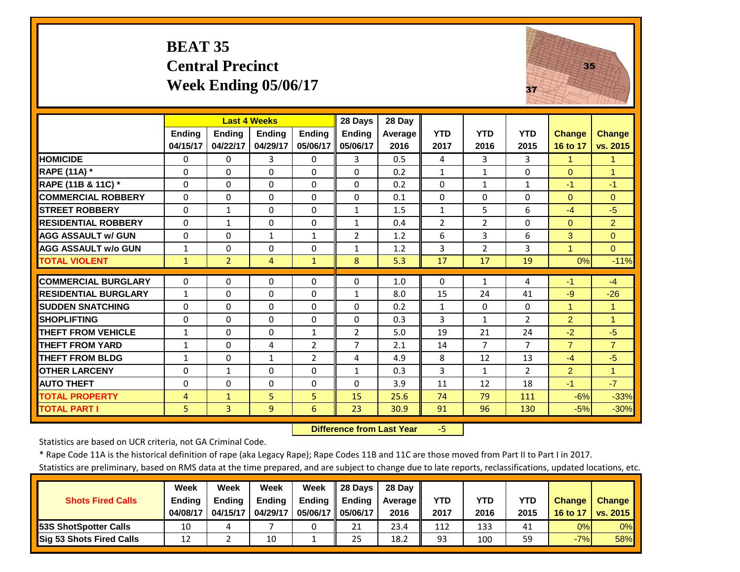#### **BEAT 35 Central Precinct Week Ending 05/06/17**



|                             |                |                | <b>Last 4 Weeks</b> |                | 28 Days        | 28 Day         |                |                |                |                |                      |
|-----------------------------|----------------|----------------|---------------------|----------------|----------------|----------------|----------------|----------------|----------------|----------------|----------------------|
|                             | <b>Ending</b>  | <b>Ending</b>  | <b>Ending</b>       | <b>Ending</b>  | Ending         | <b>Average</b> | <b>YTD</b>     | <b>YTD</b>     | <b>YTD</b>     | <b>Change</b>  | Change               |
|                             | 04/15/17       | 04/22/17       | 04/29/17            | 05/06/17       | 05/06/17       | 2016           | 2017           | 2016           | 2015           | 16 to 17       | vs. 2015             |
| <b>HOMICIDE</b>             | $\Omega$       | 0              | 3                   | $\Omega$       | 3              | 0.5            | 4              | 3              | 3              | $\mathbf{1}$   | $\blacktriangleleft$ |
| <b>RAPE (11A)</b> *         | $\Omega$       | $\Omega$       | $\Omega$            | $\Omega$       | $\Omega$       | 0.2            | $\mathbf{1}$   | $\mathbf{1}$   | $\Omega$       | $\Omega$       | $\blacktriangleleft$ |
| RAPE (11B & 11C) *          | $\mathbf{0}$   | $\Omega$       | $\mathbf{0}$        | $\Omega$       | $\Omega$       | 0.2            | $\Omega$       | $\mathbf{1}$   | $\mathbf{1}$   | $-1$           | $-1$                 |
| <b>COMMERCIAL ROBBERY</b>   | $\mathbf{0}$   | $\Omega$       | $\Omega$            | $\Omega$       | $\Omega$       | 0.1            | $\Omega$       | $\Omega$       | $\Omega$       | $\Omega$       | $\Omega$             |
| <b>STREET ROBBERY</b>       | $\Omega$       | $\mathbf{1}$   | $\Omega$            | $\Omega$       | $\mathbf{1}$   | 1.5            | $\mathbf{1}$   | 5              | 6              | $-4$           | $-5$                 |
| <b>RESIDENTIAL ROBBERY</b>  | $\Omega$       | 1              | $\Omega$            | $\Omega$       | 1              | 0.4            | $\overline{2}$ | $\overline{2}$ | $\Omega$       | $\Omega$       | $\overline{2}$       |
| <b>AGG ASSAULT w/ GUN</b>   | $\mathbf{0}$   | 0              | 1                   | $\mathbf{1}$   | $\overline{2}$ | 1.2            | 6              | 3              | 6              | 3              | $\Omega$             |
| <b>AGG ASSAULT w/o GUN</b>  | $\mathbf{1}$   | 0              | $\Omega$            | 0              | $\mathbf{1}$   | 1.2            | 3              | $\overline{2}$ | 3              | $\overline{1}$ | $\Omega$             |
| <b>TOTAL VIOLENT</b>        | $\mathbf{1}$   | $\overline{2}$ | $\overline{4}$      | $\mathbf{1}$   | 8              | 5.3            | 17             | 17             | 19             | 0%             | $-11%$               |
| <b>COMMERCIAL BURGLARY</b>  | $\mathbf{0}$   | 0              | $\Omega$            | $\Omega$       | $\Omega$       |                | $\Omega$       | $\mathbf{1}$   |                | $-1$           | $-4$                 |
|                             |                |                |                     |                |                | 1.0            |                |                | 4              |                |                      |
| <b>RESIDENTIAL BURGLARY</b> | $\mathbf{1}$   | 0              | $\Omega$            | $\Omega$       | 1              | 8.0            | 15             | 24             | 41             | $-9$           | $-26$                |
| <b>SUDDEN SNATCHING</b>     | $\Omega$       | 0              | $\Omega$            | $\Omega$       | $\Omega$       | 0.2            | $\mathbf{1}$   | $\Omega$       | $\Omega$       |                | 1                    |
| <b>SHOPLIFTING</b>          | $\Omega$       | 0              | $\Omega$            | 0              | $\Omega$       | 0.3            | 3              | $\mathbf{1}$   | $\overline{2}$ | $\overline{2}$ | $\overline{1}$       |
| <b>THEFT FROM VEHICLE</b>   | $\mathbf{1}$   | 0              | $\Omega$            | $\mathbf{1}$   | $\overline{2}$ | 5.0            | 19             | 21             | 24             | $-2$           | $-5$                 |
| <b>THEFT FROM YARD</b>      | 1              | 0              | 4                   | $\overline{2}$ | 7              | 2.1            | 14             | 7              | 7              | $\overline{7}$ | $\overline{7}$       |
| <b>THEFT FROM BLDG</b>      | $\mathbf{1}$   | 0              | $\mathbf{1}$        | $\overline{2}$ | 4              | 4.9            | 8              | 12             | 13             | $-4$           | $-5$                 |
| <b>OTHER LARCENY</b>        | $\Omega$       | $\mathbf{1}$   | $\Omega$            | $\Omega$       | $\mathbf{1}$   | 0.3            | 3              | $\mathbf{1}$   | $\overline{2}$ | 2              | $\blacktriangleleft$ |
| <b>AUTO THEFT</b>           | $\Omega$       | $\Omega$       | $\Omega$            | $\Omega$       | $\Omega$       | 3.9            | 11             | 12             | 18             | $-1$           | $-7$                 |
| <b>TOTAL PROPERTY</b>       | $\overline{4}$ | $\mathbf{1}$   | 5                   | 5              | 15             | 25.6           | 74             | 79             | 111            | $-6%$          | $-33%$               |
| <b>TOTAL PART I</b>         | 5 <sup>1</sup> | $\overline{3}$ | $\overline{9}$      | 6              | 23             | 30.9           | 91             | 96             | 130            | $-5%$          | $-30%$               |

 **Difference from Last Year**‐5

Statistics are based on UCR criteria, not GA Criminal Code.

\* Rape Code 11A is the historical definition of rape (aka Legacy Rape); Rape Codes 11B and 11C are those moved from Part II to Part I in 2017.

|                                 | <b>Week</b>   | Week          | <b>Week</b>   | Week          | 28 Davs       | 28 Day     |      |      |      |               |               |
|---------------------------------|---------------|---------------|---------------|---------------|---------------|------------|------|------|------|---------------|---------------|
| <b>Shots Fired Calls</b>        | <b>Ending</b> | <b>Ending</b> | <b>Ending</b> | <b>Ending</b> | <b>Ending</b> | Average II | YTD  | YTD  | YTD  | <b>Change</b> | <b>Change</b> |
|                                 | 04/08/17      | 04/15/17      | 04/29/17      | 05/06/17 I    | 05/06/17      | 2016       | 2017 | 2016 | 2015 | 16 to 17      | vs. 2015      |
| <b>153S ShotSpotter Calls</b>   | 10            |               |               |               | 21            | 23.4       | 112  | 133  | 41   | 0%            | $0\%$         |
| <b>Sig 53 Shots Fired Calls</b> | 12            |               | 10            |               | 25            | 18.2       | 93   | 100  | 59   | $-7%$         | 58%           |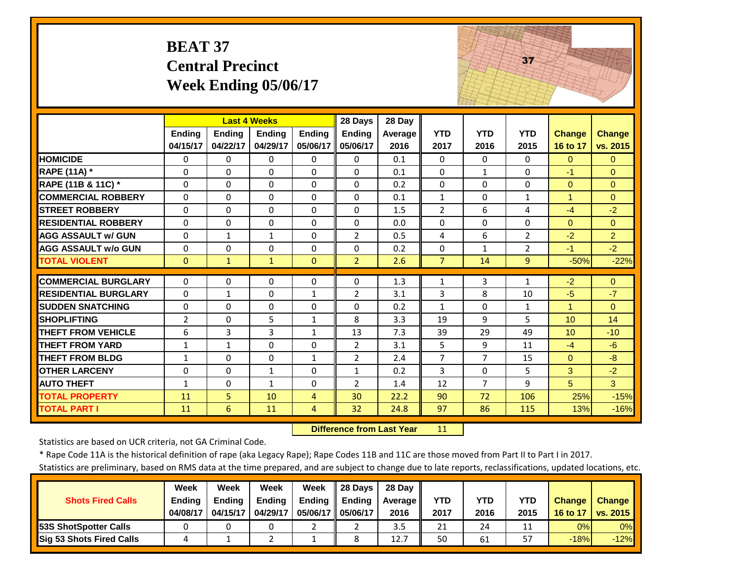# **BEAT 37 Central Precinct Week Ending 05/06/17**



|                             |                |              | <b>Last 4 Weeks</b> |               | 28 Days         | 28 Day         |                |                |                |                      |                |
|-----------------------------|----------------|--------------|---------------------|---------------|-----------------|----------------|----------------|----------------|----------------|----------------------|----------------|
|                             | <b>Ending</b>  | Ending       | <b>Endina</b>       | <b>Ending</b> | Ending          | <b>Average</b> | <b>YTD</b>     | <b>YTD</b>     | <b>YTD</b>     | <b>Change</b>        | <b>Change</b>  |
|                             | 04/15/17       | 04/22/17     | 04/29/17            | 05/06/17      | 05/06/17        | 2016           | 2017           | 2016           | 2015           | 16 to 17             | vs. 2015       |
| <b>HOMICIDE</b>             | $\Omega$       | 0            | $\Omega$            | $\Omega$      | $\Omega$        | 0.1            | $\Omega$       | 0              | $\Omega$       | $\Omega$             | $\Omega$       |
| <b>RAPE (11A) *</b>         | $\Omega$       | 0            | $\Omega$            | $\Omega$      | $\Omega$        | 0.1            | $\Omega$       | $\mathbf{1}$   | $\Omega$       | $-1$                 | $\Omega$       |
| RAPE (11B & 11C) *          | $\Omega$       | 0            | $\Omega$            | $\Omega$      | $\Omega$        | 0.2            | $\Omega$       | $\Omega$       | $\Omega$       | $\Omega$             | $\Omega$       |
| <b>COMMERCIAL ROBBERY</b>   | $\Omega$       | 0            | 0                   | $\Omega$      | $\Omega$        | 0.1            | $\mathbf{1}$   | $\Omega$       | $\mathbf{1}$   | $\mathbf{1}$         | $\Omega$       |
| <b>STREET ROBBERY</b>       | $\Omega$       | 0            | $\Omega$            | $\Omega$      | $\Omega$        | 1.5            | $\overline{2}$ | 6              | 4              | $-4$                 | $-2$           |
| <b>RESIDENTIAL ROBBERY</b>  | $\Omega$       | 0            | $\Omega$            | $\Omega$      | $\Omega$        | 0.0            | $\Omega$       | 0              | $\Omega$       | $\Omega$             | $\Omega$       |
| <b>AGG ASSAULT w/ GUN</b>   | $\Omega$       | $\mathbf{1}$ | $\mathbf{1}$        | $\Omega$      | $\overline{2}$  | 0.5            | $\overline{4}$ | 6              | $\overline{2}$ | $-2$                 | $\overline{2}$ |
| <b>AGG ASSAULT w/o GUN</b>  | $\Omega$       | 0            | $\Omega$            | $\Omega$      | $\Omega$        | 0.2            | $\Omega$       | $\mathbf{1}$   | $\overline{2}$ | $-1$                 | $-2$           |
| <b>TOTAL VIOLENT</b>        | $\mathbf{0}$   | $\mathbf{1}$ | $\mathbf{1}$        | $\mathbf{0}$  | $\overline{2}$  | 2.6            | $\overline{7}$ | 14             | 9              | $-50%$               | $-22%$         |
| <b>COMMERCIAL BURGLARY</b>  | $\Omega$       | 0            | $\Omega$            | $\Omega$      | $\Omega$        | 1.3            | $\mathbf{1}$   | 3              | 1              | $-2$                 | $\Omega$       |
| <b>RESIDENTIAL BURGLARY</b> | $\Omega$       | $\mathbf{1}$ | $\Omega$            | $\mathbf{1}$  | $\overline{2}$  | 3.1            | 3              | 8              | 10             | $-5$                 | $-7$           |
| <b>SUDDEN SNATCHING</b>     | $\Omega$       | 0            | $\Omega$            | $\Omega$      | $\Omega$        | 0.2            | $\mathbf{1}$   | $\Omega$       | $\mathbf{1}$   | $\blacktriangleleft$ | $\Omega$       |
| <b>SHOPLIFTING</b>          | $\overline{2}$ | 0            | 5                   | $\mathbf{1}$  | 8               | 3.3            | 19             | 9              | 5              | 10                   | 14             |
| <b>THEFT FROM VEHICLE</b>   | 6              | 3            | 3                   | $\mathbf{1}$  | 13              | 7.3            | 39             | 29             | 49             | 10 <sup>1</sup>      | $-10$          |
| <b>THEFT FROM YARD</b>      | $\mathbf{1}$   | $\mathbf{1}$ | 0                   | $\Omega$      | $\overline{2}$  | 3.1            | 5              | 9              | 11             | $-4$                 | $-6$           |
| <b>THEFT FROM BLDG</b>      | $\mathbf{1}$   | 0            | $\Omega$            | $\mathbf{1}$  | $\overline{2}$  | 2.4            | $\overline{7}$ | $\overline{7}$ | 15             | $\Omega$             | $-8$           |
| <b>OTHER LARCENY</b>        | $\Omega$       | 0            | $\mathbf{1}$        | $\Omega$      | $\mathbf{1}$    | 0.2            | 3              | $\Omega$       | 5              | 3                    | $-2$           |
| <b>AUTO THEFT</b>           | 1              | 0            | $\mathbf{1}$        | $\Omega$      | $\overline{2}$  | 1.4            | 12             | $\overline{7}$ | 9              | 5                    | 3              |
| <b>TOTAL PROPERTY</b>       | 11             | 5            | 10                  | 4             | 30              | 22.2           | 90             | 72             | 106            | 25%                  | $-15%$         |
|                             |                | 6            |                     |               | 32 <sup>2</sup> |                | 97             | 86             | 115            |                      |                |
| <b>TOTAL PART I</b>         | 11             |              | 11                  | 4             |                 | 24.8           |                |                |                | 13%                  | $-16%$         |

 **Difference from Last Year**11

Statistics are based on UCR criteria, not GA Criminal Code.

\* Rape Code 11A is the historical definition of rape (aka Legacy Rape); Rape Codes 11B and 11C are those moved from Part II to Part I in 2017.

|                                 | Week          | Week          | Week     | Week          | 28 Davs       | 28 Dav     |      |      |      |               |               |
|---------------------------------|---------------|---------------|----------|---------------|---------------|------------|------|------|------|---------------|---------------|
| <b>Shots Fired Calls</b>        | <b>Ending</b> | <b>Ending</b> | Ending   | <b>Ending</b> | <b>Ending</b> | Average II | YTD  | YTD  | YTD  | <b>Change</b> | <b>Change</b> |
|                                 | 04/08/17      | 04/15/17      | 04/29/17 | 05/06/17 I    | 05/06/17      | 2016       | 2017 | 2016 | 2015 | 16 to 17      | vs. 2015      |
| <b>153S ShotSpotter Calls</b>   |               |               |          |               |               | 3.5        | 21   | 24   |      | 0%            | $0\%$         |
| <b>Sig 53 Shots Fired Calls</b> |               |               |          |               |               | 12.7       | 50   | 61   |      | $-18%$        | $-12%$        |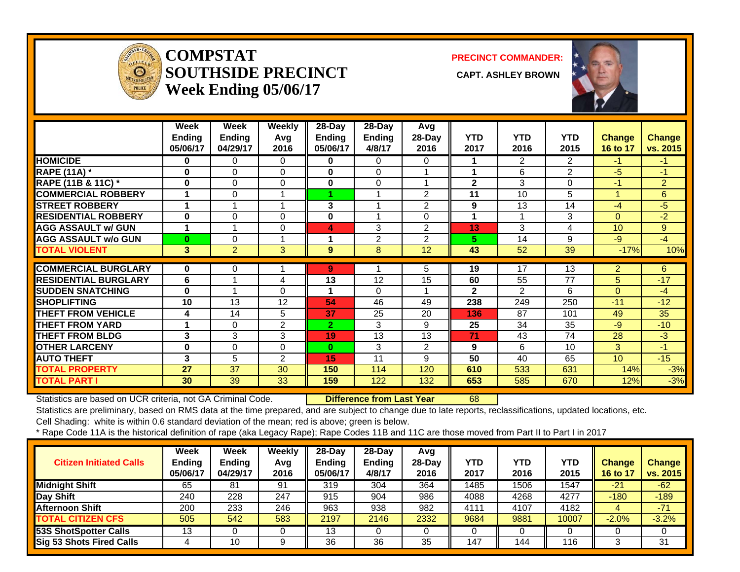

#### **COMPSTATSOUTHSIDE PRECINCT** CAPT. ASHLEY BROWN **Week Ending 05/06/17**

**PRECINCT COMMANDER:**



|                             | Week     | Week           | Weekly         | $28$ -Day      | $28$ -Day      | Avg            |              |                |                |               |                |
|-----------------------------|----------|----------------|----------------|----------------|----------------|----------------|--------------|----------------|----------------|---------------|----------------|
|                             | Ending   | <b>Ending</b>  | Avg            | <b>Ending</b>  | <b>Ending</b>  | 28-Day         | <b>YTD</b>   | <b>YTD</b>     | <b>YTD</b>     | <b>Change</b> | Change         |
|                             | 05/06/17 | 04/29/17       | 2016           | 05/06/17       | 4/8/17         | 2016           | 2017         | 2016           | 2015           | 16 to 17      | vs. 2015       |
| <b>HOMICIDE</b>             | 0        | 0              | 0              | 0              | $\Omega$       | 0              |              | $\overline{2}$ | 2              | $-1$          | $-1$           |
| <b>RAPE (11A)</b> *         | 0        | $\Omega$       | 0              | 0              | 0              |                |              | 6              | 2              | $-5$          | -1             |
| RAPE (11B & 11C) *          | $\bf{0}$ | 0              | 0              | 0              | $\Omega$       |                | $\mathbf{2}$ | 3              | $\Omega$       | $-1$          | $\overline{2}$ |
| <b>COMMERCIAL ROBBERY</b>   | 1        | 0              | 1              |                | 1              | $\overline{2}$ | 11           | 10             | 5              |               | 6              |
| <b>STREET ROBBERY</b>       | 1        |                | 1              | 3              | 1              | $\overline{2}$ | 9            | 13             | 14             | $-4$          | $-5$           |
| <b>RESIDENTIAL ROBBERY</b>  | $\bf{0}$ | 0              | 0              | 0              |                | 0              |              |                | 3              | $\Omega$      | $-2$           |
| <b>AGG ASSAULT w/ GUN</b>   | 1        |                | 0              | 4              | 3              | $\overline{2}$ | 13           | 3              | $\overline{4}$ | 10            | 9              |
| <b>AGG ASSAULT w/o GUN</b>  | $\bf{0}$ | 0              |                | 1              | $\overline{2}$ | 2              | 5.           | 14             | 9              | $-9$          | $-4$           |
| <b>TOTAL VIOLENT</b>        | 3        | $\overline{2}$ | 3              | 9              | 8              | 12             | 43           | 52             | 39             | $-17%$        | 10%            |
|                             |          |                |                |                |                |                |              |                |                |               |                |
| <b>COMMERCIAL BURGLARY</b>  | $\bf{0}$ | 0              |                | 9              |                | 5.             | 19           | 17             | 13             | 2.            | 6              |
| <b>RESIDENTIAL BURGLARY</b> | 6        |                | 4              | 13             | 12             | 15             | 60           | 55             | 77             | 5             | $-17$          |
| <b>SUDDEN SNATCHING</b>     | 0        |                | 0              | 1              | 0              |                | $\mathbf{2}$ | $\overline{2}$ | 6              | $\Omega$      | $-4$           |
| <b>SHOPLIFTING</b>          | 10       | 13             | 12             | 54             | 46             | 49             | 238          | 249            | 250            | $-11$         | $-12$          |
| <b>THEFT FROM VEHICLE</b>   | 4        | 14             | 5              | 37             | 25             | 20             | 136          | 87             | 101            | 49            | 35             |
| <b>THEFT FROM YARD</b>      | 1        | $\Omega$       | 2              | $\overline{2}$ | 3              | 9              | 25           | 34             | 35             | $-9$          | $-10$          |
| <b>THEFT FROM BLDG</b>      | 3        | 3              | 3              | 19             | 13             | 13             | 71           | 43             | 74             | 28            | $-3$           |
| <b>OTHER LARCENY</b>        | 0        | 0              | 0              | $\bf{0}$       | 3              | $\overline{2}$ | 9            | 6              | 10             | 3             | -1             |
| <b>AUTO THEFT</b>           | 3        | 5              | $\overline{2}$ | 15             | 11             | 9              | 50           | 40             | 65             | 10            | $-15$          |
| <b>TOTAL PROPERTY</b>       | 27       | 37             | 30             | 150            | 114            | 120            | 610          | 533            | 631            | 14%           | $-3%$          |
| <b>TOTAL PART I</b>         | 30       | 39             | 33             | 159            | 122            | 132            | 653          | 585            | 670            | 12%           | $-3%$          |

Statistics are based on UCR criteria, not GA Criminal Code. **Difference from Last Year** 68

Statistics are preliminary, based on RMS data at the time prepared, and are subject to change due to late reports, reclassifications, updated locations, etc.

Cell Shading: white is within 0.6 standard deviation of the mean; red is above; green is below.

| <b>Citizen Initiated Calls</b>  | Week<br><b>Ending</b><br>05/06/17 | <b>Week</b><br><b>Ending</b><br>04/29/17 | Weekly<br>Avg<br>2016 | 28-Dav<br><b>Ending</b><br>05/06/17 | $28-Dav$<br><b>Ending</b><br>4/8/17 | Avg<br>$28-Day$<br>2016 | <b>YTD</b><br>2017 | YTD<br>2016 | <b>YTD</b><br>2015 | <b>Change</b><br>16 to 17 | <b>Change</b><br>vs. 2015 |
|---------------------------------|-----------------------------------|------------------------------------------|-----------------------|-------------------------------------|-------------------------------------|-------------------------|--------------------|-------------|--------------------|---------------------------|---------------------------|
| <b>Midnight Shift</b>           | 65                                | 81                                       | 91                    | 319                                 | 304                                 | 364                     | 1485               | 1506        | 1547               | $-21$                     | $-62$                     |
| Day Shift                       | 240                               | 228                                      | 247                   | 915                                 | 904                                 | 986                     | 4088               | 4268        | 4277               | $-180$                    | $-189$                    |
| <b>Afternoon Shift</b>          | 200                               | 233                                      | 246                   | 963                                 | 938                                 | 982                     | 4111               | 4107        | 4182               |                           | $-71$                     |
| <b>TOTAL CITIZEN CFS</b>        | 505                               | 542                                      | 583                   | 2197                                | 2146                                | 2332                    | 9684               | 9881        | 10007              | $-2.0%$                   | $-3.2%$                   |
| 53S ShotSpotter Calls           | 12<br>د ا                         |                                          | υ                     | 13                                  |                                     |                         |                    |             |                    |                           |                           |
| <b>Sig 53 Shots Fired Calls</b> |                                   | 10                                       | 9                     | 36                                  | 36                                  | 35                      | 147                | 144         | 116                |                           | 31                        |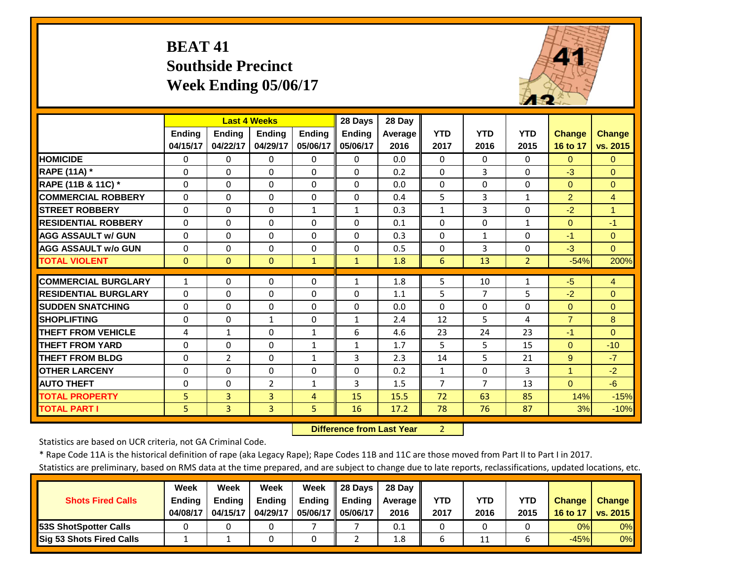# **BEAT 41 Southside Precinct Week Ending 05/06/17**



|                             |               | <b>Last 4 Weeks</b> |                |               | 28 Days       | 28 Day  |                |              |                |                        |                |
|-----------------------------|---------------|---------------------|----------------|---------------|---------------|---------|----------------|--------------|----------------|------------------------|----------------|
|                             | <b>Endina</b> | <b>Ending</b>       | <b>Endina</b>  | <b>Endina</b> | <b>Ending</b> | Average | <b>YTD</b>     | <b>YTD</b>   | <b>YTD</b>     | <b>Change</b>          | <b>Change</b>  |
|                             | 04/15/17      | 04/22/17            | 04/29/17       | 05/06/17      | 05/06/17      | 2016    | 2017           | 2016         | 2015           | 16 to 17               | vs. 2015       |
| <b>HOMICIDE</b>             | $\Omega$      | 0                   | $\Omega$       | $\Omega$      | $\Omega$      | 0.0     | $\Omega$       | $\Omega$     | $\Omega$       | $\Omega$               | $\Omega$       |
| <b>RAPE (11A) *</b>         | $\Omega$      | $\Omega$            | $\Omega$       | $\Omega$      | $\Omega$      | 0.2     | $\mathbf{0}$   | 3            | $\Omega$       | $-3$                   | $\Omega$       |
| RAPE (11B & 11C) *          | $\Omega$      | $\Omega$            | $\Omega$       | $\Omega$      | $\Omega$      | 0.0     | $\mathbf{0}$   | $\Omega$     | $\Omega$       | $\Omega$               | $\Omega$       |
| <b>COMMERCIAL ROBBERY</b>   | $\Omega$      | 0                   | $\Omega$       | $\Omega$      | $\Omega$      | 0.4     | 5              | 3            | $\mathbf{1}$   | $\overline{2}$         | $\overline{4}$ |
| <b>STREET ROBBERY</b>       | $\Omega$      | 0                   | $\Omega$       | $\mathbf{1}$  | $\mathbf{1}$  | 0.3     | $\mathbf{1}$   | 3            | $\Omega$       | $-2$                   | $\overline{1}$ |
| <b>RESIDENTIAL ROBBERY</b>  | $\Omega$      | 0                   | $\Omega$       | $\Omega$      | $\Omega$      | 0.1     | $\Omega$       | $\Omega$     | $\mathbf{1}$   | $\Omega$               | $-1$           |
| <b>AGG ASSAULT W/ GUN</b>   | $\Omega$      | 0                   | $\Omega$       | $\Omega$      | $\Omega$      | 0.3     | $\Omega$       | $\mathbf{1}$ | $\Omega$       | $-1$                   | $\Omega$       |
| <b>AGG ASSAULT w/o GUN</b>  | $\Omega$      | 0                   | $\Omega$       | $\Omega$      | $\Omega$      | 0.5     | $\Omega$       | 3            | $\Omega$       | $-3$                   | $\overline{0}$ |
| <b>TOTAL VIOLENT</b>        | $\Omega$      | $\Omega$            | $\overline{0}$ | $\mathbf{1}$  | $\mathbf{1}$  | 1.8     | 6              | 13           | $\overline{2}$ | $-54%$                 | 200%           |
| <b>COMMERCIAL BURGLARY</b>  | 1             | 0                   | 0              | 0             | 1             | 1.8     | 5              | 10           | 1              | $-5$                   | 4              |
| <b>RESIDENTIAL BURGLARY</b> | $\Omega$      | 0                   | $\Omega$       | 0             | $\Omega$      | 1.1     | 5              | 7            | 5              | $-2$                   | $\Omega$       |
| <b>SUDDEN SNATCHING</b>     | $\Omega$      | 0                   | $\Omega$       | $\Omega$      | $\Omega$      | 0.0     | $\Omega$       | $\Omega$     | $\Omega$       | $\Omega$               | $\Omega$       |
| <b>SHOPLIFTING</b>          |               |                     |                |               |               |         |                |              |                |                        |                |
|                             | $\Omega$      | 0                   | $\mathbf{1}$   | 0             | $\mathbf{1}$  | 2.4     | 12             | 5.           | 4<br>23        | $\overline{7}$<br>$-1$ | 8              |
| <b>THEFT FROM VEHICLE</b>   | 4             | $\mathbf{1}$        | $\Omega$       | $\mathbf{1}$  | 6             | 4.6     | 23             | 24           |                |                        | $\Omega$       |
| <b>THEFT FROM YARD</b>      | $\Omega$      | 0                   | $\Omega$       | $\mathbf{1}$  | $\mathbf{1}$  | 1.7     | 5              | 5            | 15             | $\Omega$               | $-10$          |
| <b>THEFT FROM BLDG</b>      | $\Omega$      | $\overline{2}$      | $\Omega$       | $\mathbf{1}$  | 3             | 2.3     | 14             | 5            | 21             | 9                      | $-7$           |
| <b>OTHER LARCENY</b>        | $\Omega$      | 0                   | $\Omega$       | $\Omega$      | $\Omega$      | 0.2     | $\mathbf{1}$   | $\Omega$     | 3              | $\overline{1}$         | $-2$           |
| <b>AUTO THEFT</b>           | $\Omega$      | 0                   | $\overline{2}$ | $\mathbf{1}$  | 3             | 1.5     | $\overline{7}$ | 7            | 13             | $\Omega$               | $-6$           |
| <b>TOTAL PROPERTY</b>       | 5             | $\overline{3}$      | 3              | 4             | 15            | 15.5    | 72             | 63           | 85             | 14%                    | $-15%$         |
| <b>TOTAL PART I</b>         | 5             | $\overline{3}$      | 3              | 5             | 16            | 17.2    | 78             | 76           | 87             | 3%                     | $-10%$         |

 **Difference from Last Year**2

Statistics are based on UCR criteria, not GA Criminal Code.

\* Rape Code 11A is the historical definition of rape (aka Legacy Rape); Rape Codes 11B and 11C are those moved from Part II to Part I in 2017.

|                                 | <b>Week</b>   | Week          | Week          | Week                | 28 Davs       | 28 Dav     |      |      |      |               |               |
|---------------------------------|---------------|---------------|---------------|---------------------|---------------|------------|------|------|------|---------------|---------------|
| <b>Shots Fired Calls</b>        | <b>Ending</b> | <b>Ending</b> | <b>Ending</b> | <b>Ending</b>       | <b>Ending</b> | Average II | YTD  | YTD  | YTD  | <b>Change</b> | <b>Change</b> |
|                                 | 04/08/17      | 04/15/17      | 04/29/17      | 05/06/17   05/06/17 |               | 2016       | 2017 | 2016 | 2015 | 16 to 17      | vs. 2015      |
| <b>153S ShotSpotter Calls</b>   |               |               |               |                     |               | 0.1        |      |      |      | 0%            | $0\%$         |
| <b>Sig 53 Shots Fired Calls</b> |               |               |               |                     |               | 1.8        |      | 11   |      | $-45%$        | 0%            |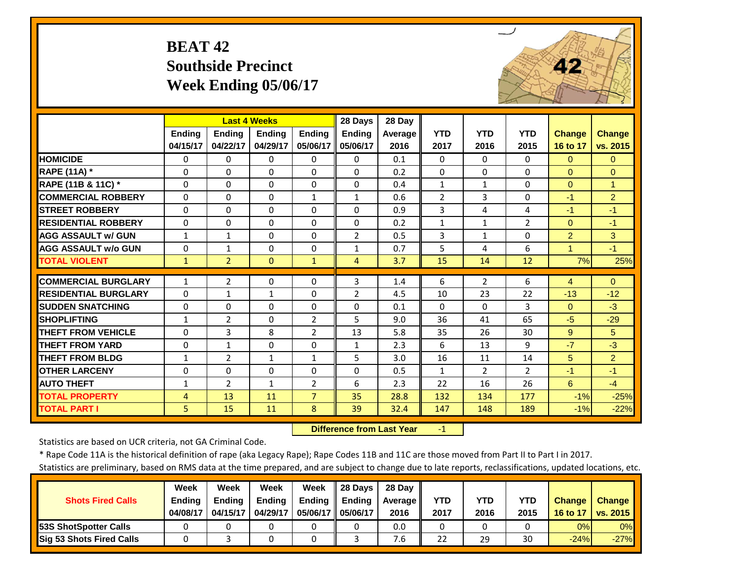# **BEAT 42 Southside Precinct Week Ending 05/06/17**



|                             |               |                | <b>Last 4 Weeks</b> |                | 28 Days       | 28 Day         |                |                |                |                      |                |
|-----------------------------|---------------|----------------|---------------------|----------------|---------------|----------------|----------------|----------------|----------------|----------------------|----------------|
|                             | <b>Ending</b> | <b>Ending</b>  | <b>Ending</b>       | <b>Ending</b>  | <b>Ending</b> | <b>Average</b> | <b>YTD</b>     | <b>YTD</b>     | <b>YTD</b>     | <b>Change</b>        | <b>Change</b>  |
|                             | 04/15/17      | 04/22/17       | 04/29/17            | 05/06/17       | 05/06/17      | 2016           | 2017           | 2016           | 2015           | 16 to 17             | vs. 2015       |
| <b>HOMICIDE</b>             | $\Omega$      | 0              | 0                   | $\Omega$       | 0             | 0.1            | 0              | 0              | 0              | $\Omega$             | $\Omega$       |
| RAPE (11A) *                | $\Omega$      | 0              | $\Omega$            | $\Omega$       | $\Omega$      | 0.2            | $\Omega$       | $\Omega$       | $\Omega$       | $\Omega$             | $\Omega$       |
| RAPE (11B & 11C) *          | $\Omega$      | $\Omega$       | $\Omega$            | $\Omega$       | $\Omega$      | 0.4            | $\mathbf{1}$   | $\mathbf{1}$   | $\Omega$       | $\Omega$             | $\mathbf{1}$   |
| <b>COMMERCIAL ROBBERY</b>   | $\Omega$      | $\Omega$       | $\Omega$            | $\mathbf{1}$   | $\mathbf{1}$  | 0.6            | $\overline{2}$ | 3              | $\Omega$       | $-1$                 | $\overline{2}$ |
| <b>STREET ROBBERY</b>       | $\mathbf 0$   | $\Omega$       | $\Omega$            | $\Omega$       | $\Omega$      | 0.9            | 3              | 4              | 4              | $-1$                 | $-1$           |
| <b>RESIDENTIAL ROBBERY</b>  | $\Omega$      | $\Omega$       | $\Omega$            | $\Omega$       | $\Omega$      | 0.2            | $\mathbf{1}$   | $\mathbf{1}$   | $\overline{2}$ | $\Omega$             | $-1$           |
| <b>AGG ASSAULT w/ GUN</b>   | $\mathbf{1}$  | 1              | $\Omega$            | $\Omega$       | 2             | 0.5            | 3              | $\mathbf{1}$   | $\Omega$       | $\overline{2}$       | 3              |
| <b>AGG ASSAULT w/o GUN</b>  | $\Omega$      | $\mathbf{1}$   | $\Omega$            | $\Omega$       | $\mathbf{1}$  | 0.7            | 5              | 4              | 6              | $\blacktriangleleft$ | $-1$           |
| <b>TOTAL VIOLENT</b>        | $\mathbf{1}$  | $\overline{2}$ | $\Omega$            | $\mathbf{1}$   | 4             | 3.7            | 15             | 14             | 12             | 7%                   | 25%            |
| <b>COMMERCIAL BURGLARY</b>  | 1             | $\overline{2}$ | $\Omega$            | $\Omega$       | 3             | 1.4            | 6              | $\overline{2}$ | 6              | $\overline{4}$       | $\Omega$       |
|                             |               |                |                     |                |               |                |                |                |                |                      |                |
| <b>RESIDENTIAL BURGLARY</b> | $\Omega$      | $\mathbf{1}$   | $\mathbf{1}$        | $\Omega$       | 2             | 4.5            | 10             | 23             | 22             | $-13$                | $-12$          |
| <b>SUDDEN SNATCHING</b>     | $\Omega$      | 0              | $\Omega$            | $\Omega$       | $\Omega$      | 0.1            | $\Omega$       | $\Omega$       | 3              | $\Omega$             | $-3$           |
| <b>SHOPLIFTING</b>          | 1             | $\overline{2}$ | $\Omega$            | $\overline{2}$ | 5             | 9.0            | 36             | 41             | 65             | $-5$                 | $-29$          |
| <b>THEFT FROM VEHICLE</b>   | $\Omega$      | 3              | 8                   | 2              | 13            | 5.8            | 35             | 26             | 30             | 9                    | 5              |
| <b>THEFT FROM YARD</b>      | $\Omega$      | $\mathbf{1}$   | $\Omega$            | $\Omega$       | $\mathbf{1}$  | 2.3            | 6              | 13             | 9              | $-7$                 | $-3$           |
| <b>THEFT FROM BLDG</b>      | $\mathbf{1}$  | $\overline{2}$ | $\mathbf{1}$        | $\mathbf{1}$   | 5             | 3.0            | 16             | 11             | 14             | 5                    | $\overline{2}$ |
| <b>OTHER LARCENY</b>        | $\Omega$      | 0              | $\Omega$            | $\Omega$       | $\Omega$      | 0.5            | $\mathbf{1}$   | $\overline{2}$ | $\overline{2}$ | $-1$                 | $-1$           |
| <b>AUTO THEFT</b>           | $\mathbf{1}$  | $\overline{2}$ | $\mathbf{1}$        | $\overline{2}$ | 6             | 2.3            | 22             | 16             | 26             | 6                    | $-4$           |
| <b>TOTAL PROPERTY</b>       | 4             | 13             | 11                  | $\overline{7}$ | 35            | 28.8           | 132            | 134            | 177            | $-1%$                | $-25%$         |
| <b>TOTAL PART I</b>         | 5             | 15             | 11                  | 8              | 39            | 32.4           | 147            | 148            | 189            | $-1%$                | $-22%$         |

 **Difference from Last Year**r – $\mathbf{1}$ 

Statistics are based on UCR criteria, not GA Criminal Code.

\* Rape Code 11A is the historical definition of rape (aka Legacy Rape); Rape Codes 11B and 11C are those moved from Part II to Part I in 2017.

|                                 | <b>Week</b>   | Week          | Week          | Week          | <b>28 Davs</b> | 28 Dav     |      |      |      |               |               |
|---------------------------------|---------------|---------------|---------------|---------------|----------------|------------|------|------|------|---------------|---------------|
| <b>Shots Fired Calls</b>        | <b>Ending</b> | <b>Ending</b> | <b>Ending</b> | <b>Ending</b> | <b>Ending</b>  | Average II | YTD  | YTD  | YTD  | <b>Change</b> | <b>Change</b> |
|                                 | 04/08/17      | 04/15/17      | 04/29/17      | 05/06/17 I    | 05/06/17       | 2016       | 2017 | 2016 | 2015 | 16 to 17      | vs. 2015      |
| <b>153S ShotSpotter Calls</b>   |               |               |               |               |                | 0.0        |      |      |      | 0%            | 0%            |
| <b>Sig 53 Shots Fired Calls</b> |               |               |               |               |                | 7.6        | 22   | 29   | 30   | $-24%$        | $-27%$        |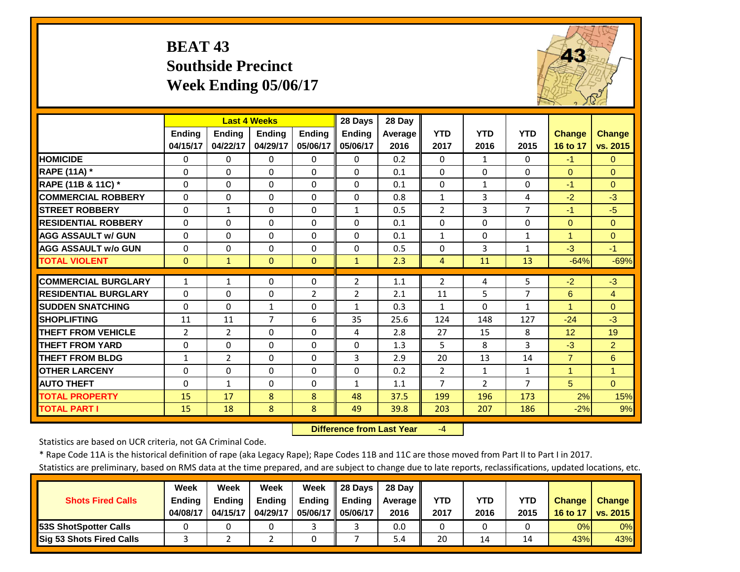#### **BEAT 43 Southside PrecinctWeek Ending 05/06/17**



|                             |                | <b>Last 4 Weeks</b> |               |                | 28 Days        | 28 Day  |                |              |                |                |                      |
|-----------------------------|----------------|---------------------|---------------|----------------|----------------|---------|----------------|--------------|----------------|----------------|----------------------|
|                             | <b>Ending</b>  | <b>Ending</b>       | <b>Endina</b> | <b>Endina</b>  | <b>Ending</b>  | Average | <b>YTD</b>     | <b>YTD</b>   | <b>YTD</b>     | <b>Change</b>  | <b>Change</b>        |
|                             | 04/15/17       | 04/22/17            | 04/29/17      | 05/06/17       | 05/06/17       | 2016    | 2017           | 2016         | 2015           | 16 to 17       | vs. 2015             |
| <b>HOMICIDE</b>             | $\Omega$       | 0                   | $\Omega$      | $\Omega$       | $\Omega$       | 0.2     | $\Omega$       | $\mathbf{1}$ | $\Omega$       | $-1$           | $\Omega$             |
| <b>RAPE (11A)</b> *         | $\Omega$       | $\Omega$            | $\Omega$      | $\Omega$       | $\Omega$       | 0.1     | $\Omega$       | $\Omega$     | $\Omega$       | $\Omega$       | $\Omega$             |
| RAPE (11B & 11C) *          | $\Omega$       | $\Omega$            | $\Omega$      | $\Omega$       | $\Omega$       | 0.1     | $\Omega$       | $\mathbf{1}$ | $\Omega$       | $-1$           | $\Omega$             |
| <b>ICOMMERCIAL ROBBERY</b>  | $\Omega$       | 0                   | $\Omega$      | $\Omega$       | $\Omega$       | 0.8     | $\mathbf{1}$   | 3            | 4              | $-2$           | $-3$                 |
| <b>STREET ROBBERY</b>       | $\Omega$       | 1                   | $\Omega$      | $\Omega$       | $\mathbf{1}$   | 0.5     | $\overline{2}$ | 3            | 7              | $-1$           | $-5$                 |
| <b>RESIDENTIAL ROBBERY</b>  | $\Omega$       | 0                   | $\Omega$      | $\Omega$       | $\Omega$       | 0.1     | $\Omega$       | $\Omega$     | 0              | $\Omega$       | $\Omega$             |
| <b>AGG ASSAULT w/ GUN</b>   | $\Omega$       | 0                   | $\Omega$      | $\Omega$       | $\Omega$       | 0.1     | $\mathbf{1}$   | $\Omega$     | $\mathbf{1}$   | $\overline{1}$ | $\Omega$             |
| <b>AGG ASSAULT w/o GUN</b>  | $\Omega$       | 0                   | $\Omega$      | $\Omega$       | $\Omega$       | 0.5     | $\Omega$       | 3            | $\mathbf{1}$   | $-3$           | $-1$                 |
| <b>TOTAL VIOLENT</b>        | $\Omega$       | 1                   | $\Omega$      | $\mathbf{0}$   | $\mathbf{1}$   | 2.3     | 4              | 11           | 13             | $-64%$         | $-69%$               |
|                             |                |                     |               |                |                |         |                |              |                |                |                      |
| <b>COMMERCIAL BURGLARY</b>  | 1              | 1                   | $\Omega$      | $\Omega$       | $\overline{2}$ | 1.1     | $\overline{2}$ | 4            | 5              | $-2$           | $-3$                 |
| <b>RESIDENTIAL BURGLARY</b> | $\Omega$       | 0                   | $\Omega$      | $\overline{2}$ | $\overline{2}$ | 2.1     | 11             | 5            | 7              | 6              | $\overline{4}$       |
| <b>SUDDEN SNATCHING</b>     | $\Omega$       | 0                   | 1             | $\Omega$       | $\mathbf{1}$   | 0.3     | 1              | $\Omega$     | 1              | 1              | $\Omega$             |
| <b>SHOPLIFTING</b>          | 11             | 11                  | 7             | 6              | 35             | 25.6    | 124            | 148          | 127            | $-24$          | $-3$                 |
| <b>THEFT FROM VEHICLE</b>   | $\overline{2}$ | 2                   | $\Omega$      | $\Omega$       | 4              | 2.8     | 27             | 15           | 8              | 12             | 19                   |
| <b>THEFT FROM YARD</b>      | $\Omega$       | 0                   | $\Omega$      | $\Omega$       | $\Omega$       | 1.3     | 5.             | 8            | 3              | $-3$           | $\overline{2}$       |
| <b>THEFT FROM BLDG</b>      | $\mathbf{1}$   | $\overline{2}$      | $\Omega$      | $\Omega$       | $\overline{3}$ | 2.9     | 20             | 13           | 14             | $\overline{7}$ | 6                    |
| <b>OTHER LARCENY</b>        | $\Omega$       | 0                   | $\Omega$      | $\Omega$       | $\Omega$       | 0.2     | $\overline{2}$ | $\mathbf{1}$ | $\mathbf{1}$   | $\mathbf{1}$   | $\blacktriangleleft$ |
| <b>AUTO THEFT</b>           | $\Omega$       | $\mathbf{1}$        | $\Omega$      | $\Omega$       | $\mathbf{1}$   | 1.1     | $\overline{7}$ | $\mathbf{2}$ | $\overline{7}$ | 5              | $\Omega$             |
| <b>TOTAL PROPERTY</b>       | 15             | 17                  | 8             | 8              | 48             | 37.5    | 199            | 196          | 173            | 2%             | 15%                  |
| <b>TOTAL PART I</b>         | 15             | 18                  | 8             | 8              | 49             | 39.8    | 203            | 207          | 186            | $-2%$          | 9%                   |

 **Difference from Last Year**‐4

Statistics are based on UCR criteria, not GA Criminal Code.

\* Rape Code 11A is the historical definition of rape (aka Legacy Rape); Rape Codes 11B and 11C are those moved from Part II to Part I in 2017.

|                                 | Week          | Week          | Week          | Week                | 28 Days       | 28 Dav     |      |      |      |               |               |
|---------------------------------|---------------|---------------|---------------|---------------------|---------------|------------|------|------|------|---------------|---------------|
| <b>Shots Fired Calls</b>        | <b>Ending</b> | <b>Ending</b> | <b>Ending</b> | <b>Ending</b>       | <b>Ending</b> | Average II | YTD  | YTD  | YTD  | <b>Change</b> | <b>Change</b> |
|                                 | 04/08/17      | 04/15/17      | 04/29/17      | 05/06/17   05/06/17 |               | 2016       | 2017 | 2016 | 2015 | 16 to 17      | vs. 2015      |
| <b>153S ShotSpotter Calls</b>   |               |               |               |                     |               | 0.0        |      |      |      | 0%            | $0\%$         |
| <b>Sig 53 Shots Fired Calls</b> |               |               |               |                     |               | 5.4        | 20   | 14   |      | 43%           | 43%           |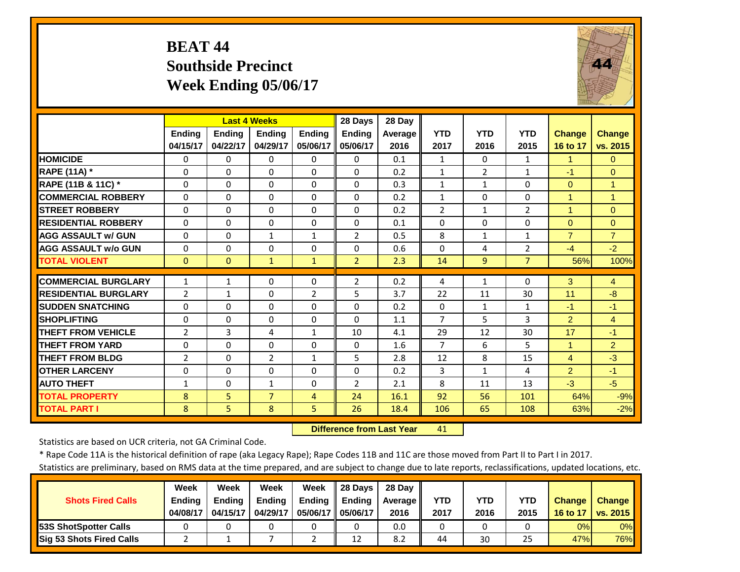#### **BEAT 44 Southside PrecinctWeek Ending 05/06/17**



|                             |                | <b>Last 4 Weeks</b> |                |                | 28 Days        | 28 Day         |                |                |                |                |                |
|-----------------------------|----------------|---------------------|----------------|----------------|----------------|----------------|----------------|----------------|----------------|----------------|----------------|
|                             | <b>Ending</b>  | <b>Ending</b>       | <b>Ending</b>  | <b>Endina</b>  | <b>Endina</b>  | <b>Average</b> | <b>YTD</b>     | <b>YTD</b>     | <b>YTD</b>     | <b>Change</b>  | <b>Change</b>  |
|                             | 04/15/17       | 04/22/17            | 04/29/17       | 05/06/17       | 05/06/17       | 2016           | 2017           | 2016           | 2015           | 16 to 17       | vs. 2015       |
| <b>HOMICIDE</b>             | $\Omega$       | 0                   | $\Omega$       | $\Omega$       | $\Omega$       | 0.1            | $\mathbf{1}$   | $\Omega$       | $\mathbf{1}$   | $\mathbf{1}$   | $\Omega$       |
| <b>RAPE (11A)</b> *         | $\Omega$       | $\Omega$            | $\Omega$       | $\Omega$       | $\Omega$       | 0.2            | $\mathbf{1}$   | $\overline{2}$ | $\mathbf{1}$   | $-1$           | $\Omega$       |
| RAPE (11B & 11C) *          | $\mathbf 0$    | $\Omega$            | $\Omega$       | $\Omega$       | $\mathbf 0$    | 0.3            | $\mathbf{1}$   | $\mathbf{1}$   | $\Omega$       | $\Omega$       | $\overline{1}$ |
| <b>COMMERCIAL ROBBERY</b>   | $\mathbf{0}$   | $\Omega$            | $\Omega$       | $\Omega$       | $\Omega$       | 0.2            | $\mathbf{1}$   | $\Omega$       | $\Omega$       | $\overline{1}$ | $\overline{1}$ |
| <b>STREET ROBBERY</b>       | $\Omega$       | 0                   | $\Omega$       | $\Omega$       | $\Omega$       | 0.2            | $\overline{2}$ | $\mathbf{1}$   | $\overline{2}$ | $\mathbf{1}$   | $\Omega$       |
| <b>RESIDENTIAL ROBBERY</b>  | $\Omega$       | 0                   | $\Omega$       | $\Omega$       | $\Omega$       | 0.1            | $\Omega$       | $\Omega$       | 0              | $\Omega$       | $\Omega$       |
| <b>AGG ASSAULT w/ GUN</b>   | $\Omega$       | 0                   | 1              | $\mathbf{1}$   | $\overline{2}$ | 0.5            | 8              | $\mathbf{1}$   | $\mathbf{1}$   | $\overline{7}$ | $\overline{7}$ |
| <b>AGG ASSAULT w/o GUN</b>  | $\Omega$       | 0                   | $\Omega$       | $\Omega$       | $\Omega$       | 0.6            | $\Omega$       | 4              | $\overline{2}$ | $-4$           | $-2$           |
| <b>TOTAL VIOLENT</b>        | $\Omega$       | $\Omega$            | $\mathbf{1}$   | $\mathbf{1}$   | $\overline{2}$ | 2.3            | 14             | 9              | $\overline{7}$ | 56%            | 100%           |
| <b>COMMERCIAL BURGLARY</b>  | 1              | $\mathbf{1}$        | $\Omega$       | $\Omega$       | $\overline{2}$ | 0.2            |                | $\mathbf{1}$   | $\Omega$       | 3              | $\overline{4}$ |
|                             |                |                     |                |                |                |                | 4              |                |                |                |                |
| <b>RESIDENTIAL BURGLARY</b> | $\overline{2}$ | 1                   | $\Omega$       | $\overline{2}$ | 5              | 3.7            | 22             | 11             | 30             | 11             | $-8$           |
| <b>SUDDEN SNATCHING</b>     | $\Omega$       | 0                   | $\Omega$       | $\Omega$       | $\Omega$       | 0.2            | $\Omega$       | $\mathbf{1}$   | $\mathbf{1}$   | $-1$           | $-1$           |
| <b>SHOPLIFTING</b>          | $\Omega$       | 0                   | $\Omega$       | $\Omega$       | $\Omega$       | 1.1            | $\overline{7}$ | 5              | 3              | 2              | $\overline{4}$ |
| <b>THEFT FROM VEHICLE</b>   | $\overline{2}$ | 3                   | 4              | $\mathbf{1}$   | 10             | 4.1            | 29             | 12             | 30             | 17             | $-1$           |
| <b>THEFT FROM YARD</b>      | $\Omega$       | $\Omega$            | $\Omega$       | $\Omega$       | $\Omega$       | 1.6            | 7              | 6              | 5.             | $\mathbf{1}$   | $\overline{2}$ |
| <b>THEFT FROM BLDG</b>      | $\overline{2}$ | 0                   | $\overline{2}$ | $\mathbf{1}$   | 5              | 2.8            | 12             | 8              | 15             | 4              | $-3$           |
| <b>OTHER LARCENY</b>        | $\Omega$       | 0                   | $\Omega$       | $\Omega$       | $\Omega$       | 0.2            | 3              | $\mathbf{1}$   | 4              | 2              | $-1$           |
| <b>AUTO THEFT</b>           | $\mathbf{1}$   | $\Omega$            | 1              | $\Omega$       | $\overline{2}$ | 2.1            | 8              | 11             | 13             | $-3$           | $-5$           |
| <b>TOTAL PROPERTY</b>       | 8              | 5                   | $\overline{7}$ | $\overline{4}$ | 24             | 16.1           | 92             | 56             | 101            | 64%            | $-9%$          |
| <b>TOTAL PART I</b>         | 8              | 5                   | 8              | 5              | 26             | 18.4           | 106            | 65             | 108            | 63%            | $-2%$          |

 **Difference from Last Year**41

Statistics are based on UCR criteria, not GA Criminal Code.

\* Rape Code 11A is the historical definition of rape (aka Legacy Rape); Rape Codes 11B and 11C are those moved from Part II to Part I in 2017.

|                               | Week          | Week          | Week     | Week          | 28 Days       | 28 Dav     |      |      |            |               |               |
|-------------------------------|---------------|---------------|----------|---------------|---------------|------------|------|------|------------|---------------|---------------|
| <b>Shots Fired Calls</b>      | <b>Ending</b> | <b>Endina</b> | Ending   | <b>Ending</b> | <b>Ending</b> | Average II | YTD  | YTD  | <b>YTD</b> | <b>Change</b> | <b>Change</b> |
|                               | 04/08/17      | 04/15/17      | 04/29/17 | 05/06/17 I    | 05/06/17      | 2016       | 2017 | 2016 | 2015       | 16 to 17      | vs. 2015      |
| <b>153S ShotSpotter Calls</b> |               |               |          |               |               | 0.0        |      |      |            | 0%            | 0%            |
| Sig 53 Shots Fired Calls      |               |               |          |               | 12            | 8.2        | 44   | 30   | 25         | 47%           | <b>76%</b>    |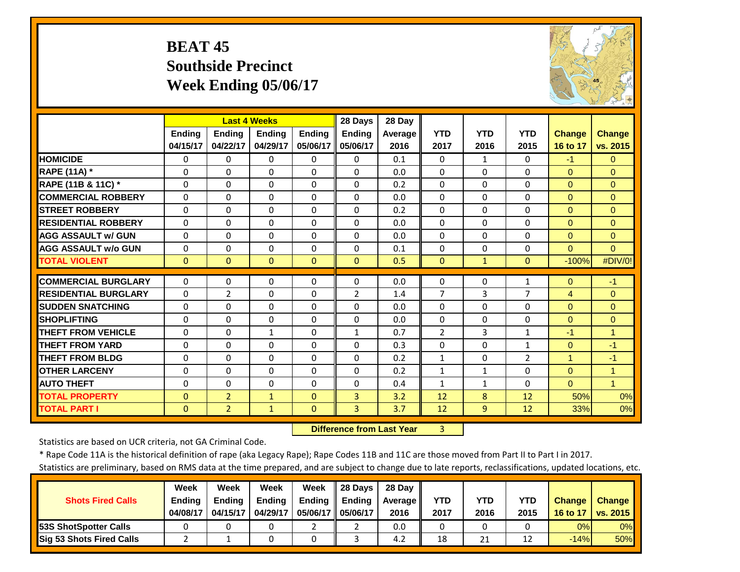#### **BEAT 45 Southside PrecinctWeek Ending 05/06/17**



|                             |          |                | <b>Last 4 Weeks</b> |          | 28 Days        | 28 Day  |                |              |                |               |                      |
|-----------------------------|----------|----------------|---------------------|----------|----------------|---------|----------------|--------------|----------------|---------------|----------------------|
|                             | Ending   | <b>Ending</b>  | Ending              | Ending   | Ending         | Average | <b>YTD</b>     | <b>YTD</b>   | <b>YTD</b>     | <b>Change</b> | <b>Change</b>        |
|                             | 04/15/17 | 04/22/17       | 04/29/17            | 05/06/17 | 05/06/17       | 2016    | 2017           | 2016         | 2015           | 16 to 17      | vs. 2015             |
| <b>HOMICIDE</b>             | $\Omega$ | 0              | $\Omega$            | $\Omega$ | $\Omega$       | 0.1     | $\mathbf{0}$   | $\mathbf{1}$ | $\Omega$       | $-1$          | $\Omega$             |
| RAPE (11A) *                | $\Omega$ | $\Omega$       | $\Omega$            | $\Omega$ | $\Omega$       | 0.0     | $\Omega$       | $\Omega$     | $\Omega$       | $\Omega$      | $\Omega$             |
| RAPE (11B & 11C) *          | $\Omega$ | 0              | $\Omega$            | $\Omega$ | $\Omega$       | 0.2     | $\Omega$       | $\Omega$     | $\Omega$       | $\mathbf{0}$  | $\Omega$             |
| <b>COMMERCIAL ROBBERY</b>   | $\Omega$ | 0              | $\Omega$            | $\Omega$ | $\Omega$       | 0.0     | $\Omega$       | $\Omega$     | $\Omega$       | $\Omega$      | $\Omega$             |
| <b>STREET ROBBERY</b>       | $\Omega$ | 0              | $\Omega$            | $\Omega$ | $\Omega$       | 0.2     | $\Omega$       | $\Omega$     | $\Omega$       | $\Omega$      | $\Omega$             |
| <b>RESIDENTIAL ROBBERY</b>  | $\Omega$ | 0              | $\Omega$            | $\Omega$ | $\Omega$       | 0.0     | $\Omega$       | $\Omega$     | $\Omega$       | $\mathbf{0}$  | $\Omega$             |
| <b>AGG ASSAULT w/ GUN</b>   | $\Omega$ | 0              | $\Omega$            | $\Omega$ | $\Omega$       | 0.0     | $\Omega$       | $\Omega$     | $\Omega$       | $\Omega$      | $\Omega$             |
| <b>AGG ASSAULT w/o GUN</b>  | $\Omega$ | 0              | $\Omega$            | $\Omega$ | $\Omega$       | 0.1     | $\Omega$       | $\Omega$     | $\Omega$       | $\Omega$      | $\Omega$             |
| <b>TOTAL VIOLENT</b>        | $\Omega$ | $\overline{0}$ | $\Omega$            | $\Omega$ | $\Omega$       | 0.5     | $\Omega$       | $\mathbf{1}$ | $\Omega$       | $-100%$       | #DIV/0!              |
| <b>COMMERCIAL BURGLARY</b>  | $\Omega$ | 0              | $\Omega$            | $\Omega$ | $\Omega$       | 0.0     | $\Omega$       | $\Omega$     | $\mathbf{1}$   | $\mathbf{0}$  | $-1$                 |
| <b>RESIDENTIAL BURGLARY</b> | $\Omega$ | $\overline{2}$ | $\Omega$            | $\Omega$ | $\overline{2}$ | 1.4     | $\overline{7}$ | 3            | 7              | 4             | $\Omega$             |
| <b>SUDDEN SNATCHING</b>     | $\Omega$ | 0              | $\Omega$            | $\Omega$ | $\Omega$       | 0.0     | $\mathbf{0}$   | $\Omega$     | $\Omega$       | $\Omega$      | $\Omega$             |
| <b>SHOPLIFTING</b>          | $\Omega$ | 0              | $\Omega$            | $\Omega$ | $\Omega$       | 0.0     | $\Omega$       | $\Omega$     | $\Omega$       | $\Omega$      | $\Omega$             |
| <b>THEFT FROM VEHICLE</b>   | $\Omega$ | 0              | 1                   | $\Omega$ | $\mathbf{1}$   | 0.7     | $\overline{2}$ | 3            | $\mathbf{1}$   | $-1$          | 1                    |
| <b>THEFT FROM YARD</b>      | $\Omega$ | 0              | $\Omega$            | $\Omega$ | $\Omega$       | 0.3     | $\Omega$       | $\Omega$     | $\mathbf{1}$   | $\Omega$      | $-1$                 |
| <b>THEFT FROM BLDG</b>      | $\Omega$ | 0              | $\Omega$            | $\Omega$ | $\Omega$       | 0.2     | $\mathbf{1}$   | $\Omega$     | $\overline{2}$ | 1             | $-1$                 |
| <b>OTHER LARCENY</b>        | $\Omega$ | 0              | $\Omega$            | $\Omega$ | $\Omega$       | 0.2     | $\mathbf{1}$   | 1            | $\Omega$       | $\Omega$      | $\overline{1}$       |
| <b>AUTO THEFT</b>           | $\Omega$ | 0              | $\Omega$            | 0        | $\Omega$       | 0.4     | $\mathbf{1}$   | $\mathbf{1}$ | $\Omega$       | $\Omega$      | $\blacktriangleleft$ |
| <b>TOTAL PROPERTY</b>       | $\Omega$ | $\overline{2}$ | $\mathbf{1}$        | $\Omega$ | 3              | 3.2     | 12             | 8            | 12             | 50%           | 0%                   |
| <b>TOTAL PART I</b>         | $\Omega$ | $\overline{2}$ | $\mathbf{1}$        | $\Omega$ | 3              | 3.7     | 12             | 9            | 12             | 33%           | 0%                   |

 **Difference from Last Year**3

Statistics are based on UCR criteria, not GA Criminal Code.

\* Rape Code 11A is the historical definition of rape (aka Legacy Rape); Rape Codes 11B and 11C are those moved from Part II to Part I in 2017.

|                                 | Week          | Week          | Week          | Week          | 28 Davs       | 28 Dav     |      |      |      |               |               |
|---------------------------------|---------------|---------------|---------------|---------------|---------------|------------|------|------|------|---------------|---------------|
| <b>Shots Fired Calls</b>        | <b>Endina</b> | <b>Endina</b> | <b>Ending</b> | <b>Ending</b> | <b>Ending</b> | Average II | YTD  | YTD  | YTD  | <b>Change</b> | <b>Change</b> |
|                                 | 04/08/17      | 04/15/17      | 04/29/17      | 05/06/17 I    | 05/06/17      | 2016       | 2017 | 2016 | 2015 | 16 to 17      | vs. 2015      |
| <b>153S ShotSpotter Calls</b>   |               |               |               |               |               | 0.0        |      |      |      | 0%            | $0\%$         |
| <b>Sig 53 Shots Fired Calls</b> |               |               |               |               |               | 4.2        | 18   | 21   |      | $-14%$        | 50%           |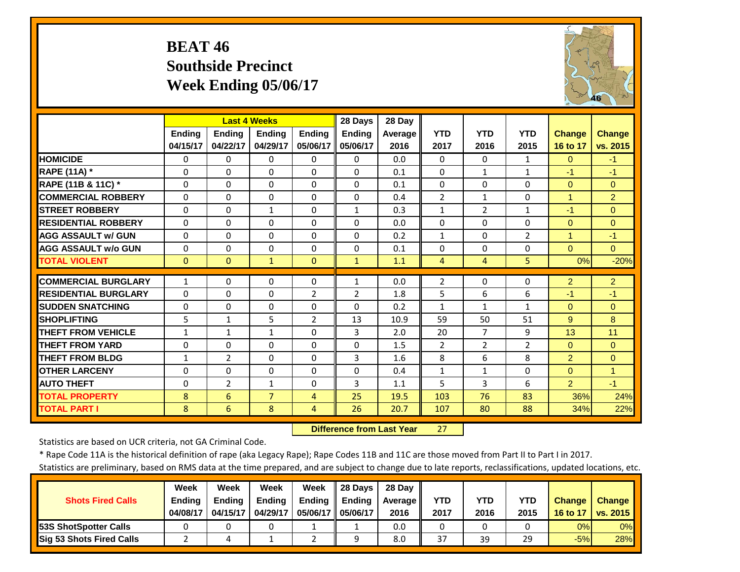#### **BEAT 46 Southside PrecinctWeek Ending 05/06/17**



|                             |               | <b>Last 4 Weeks</b> |                |                | 28 Days        | 28 Day  |                |                |                |                |                |
|-----------------------------|---------------|---------------------|----------------|----------------|----------------|---------|----------------|----------------|----------------|----------------|----------------|
|                             | <b>Ending</b> | <b>Endina</b>       | <b>Endina</b>  | <b>Endina</b>  | <b>Endina</b>  | Average | <b>YTD</b>     | <b>YTD</b>     | <b>YTD</b>     | <b>Change</b>  | <b>Change</b>  |
|                             | 04/15/17      | 04/22/17            | 04/29/17       | 05/06/17       | 05/06/17       | 2016    | 2017           | 2016           | 2015           | 16 to 17       | vs. 2015       |
| <b>HOMICIDE</b>             | $\Omega$      | $\Omega$            | $\Omega$       | $\Omega$       | $\Omega$       | 0.0     | $\Omega$       | 0              | $\mathbf{1}$   | $\Omega$       | $-1$           |
| RAPE (11A) *                | $\Omega$      | $\Omega$            | $\Omega$       | $\Omega$       | 0              | 0.1     | $\Omega$       | $\mathbf{1}$   | $\mathbf{1}$   | $-1$           | $-1$           |
| RAPE (11B & 11C) *          | $\mathbf 0$   | $\Omega$            | $\Omega$       | $\Omega$       | $\Omega$       | 0.1     | $\Omega$       | $\Omega$       | $\Omega$       | $\mathbf{0}$   | $\Omega$       |
| <b>COMMERCIAL ROBBERY</b>   | $\Omega$      | $\Omega$            | $\Omega$       | $\Omega$       | $\Omega$       | 0.4     | $\overline{2}$ | $\mathbf{1}$   | $\Omega$       | $\mathbf{1}$   | $\overline{2}$ |
| <b>STREET ROBBERY</b>       | $\Omega$      | $\Omega$            | $\mathbf{1}$   | $\Omega$       | $\mathbf{1}$   | 0.3     | $\mathbf{1}$   | $\overline{2}$ | $\mathbf{1}$   | $-1$           | $\Omega$       |
| <b>RESIDENTIAL ROBBERY</b>  | $\Omega$      | $\Omega$            | $\Omega$       | $\Omega$       | $\Omega$       | 0.0     | $\Omega$       | $\Omega$       | 0              | $\Omega$       | $\Omega$       |
| <b>AGG ASSAULT W/ GUN</b>   | $\Omega$      | $\Omega$            | $\Omega$       | $\Omega$       | $\Omega$       | 0.2     | $\mathbf{1}$   | $\Omega$       | $\overline{2}$ | $\mathbf{1}$   | $-1$           |
| <b>AGG ASSAULT w/o GUN</b>  | $\Omega$      | $\Omega$            | $\Omega$       | $\Omega$       | 0              | 0.1     | $\Omega$       | $\Omega$       | 0              | $\Omega$       | $\Omega$       |
| <b>TOTAL VIOLENT</b>        | $\mathbf{0}$  | $\Omega$            | $\mathbf{1}$   | $\mathbf{0}$   | $\mathbf{1}$   | 1.1     | 4              | 4              | 5              | 0%             | $-20%$         |
| <b>COMMERCIAL BURGLARY</b>  | $\mathbf{1}$  | $\Omega$            | 0              | 0              | 1              | 0.0     | $\overline{2}$ | $\Omega$       | 0              | 2              | $\overline{2}$ |
| <b>RESIDENTIAL BURGLARY</b> | $\Omega$      | $\Omega$            | $\Omega$       | $\overline{2}$ | $\overline{2}$ | 1.8     | 5              | 6              | 6              | $-1$           | $-1$           |
| <b>SUDDEN SNATCHING</b>     | $\Omega$      | $\Omega$            | $\Omega$       | 0              | 0              | 0.2     | $\mathbf{1}$   | 1              | 1              | $\Omega$       | $\Omega$       |
| <b>SHOPLIFTING</b>          | 5             | $\mathbf{1}$        | 5              | $\overline{2}$ | 13             | 10.9    | 59             | 50             | 51             | 9              | 8              |
| <b>THEFT FROM VEHICLE</b>   | 1             | $\mathbf{1}$        | 1              | $\Omega$       | 3              | 2.0     | 20             | 7              | 9              | 13             | 11             |
| <b>THEFT FROM YARD</b>      | $\Omega$      | $\Omega$            | $\Omega$       | 0              | $\Omega$       | 1.5     | 2              | $\overline{2}$ | $\overline{2}$ | $\Omega$       | $\Omega$       |
| <b>THEFT FROM BLDG</b>      | 1             | $\overline{2}$      | $\Omega$       | 0              | 3              | 1.6     | 8              | 6              | 8              | $\overline{2}$ | $\Omega$       |
| <b>OTHER LARCENY</b>        | $\Omega$      | $\Omega$            | $\Omega$       | $\Omega$       | $\Omega$       | 0.4     | $\mathbf{1}$   | $\mathbf{1}$   | 0              | $\Omega$       | $\overline{1}$ |
| <b>AUTO THEFT</b>           | $\mathbf 0$   | $\overline{2}$      | $\mathbf{1}$   | $\Omega$       | 3              | 1.1     | 5              | 3              | 6              | $\overline{2}$ | $-1$           |
| <b>TOTAL PROPERTY</b>       | 8             | 6                   | $\overline{7}$ | $\overline{4}$ | 25             | 19.5    | 103            | 76             | 83             | 36%            | 24%            |
| <b>TOTAL PART I</b>         | 8             | 6                   | 8              | 4              | 26             | 20.7    | 107            | 80             | 88             | 34%            | 22%            |
|                             |               |                     |                |                |                |         |                |                |                |                |                |

 **Difference from Last Year**r 27

Statistics are based on UCR criteria, not GA Criminal Code.

\* Rape Code 11A is the historical definition of rape (aka Legacy Rape); Rape Codes 11B and 11C are those moved from Part II to Part I in 2017.

|                                 | Week          | Week          | Week          | Week                | 28 Days       | 28 Dav     |      |      |      |               |               |
|---------------------------------|---------------|---------------|---------------|---------------------|---------------|------------|------|------|------|---------------|---------------|
| <b>Shots Fired Calls</b>        | <b>Ending</b> | <b>Ending</b> | <b>Ending</b> | <b>Ending</b>       | <b>Ending</b> | Average II | YTD  | YTD  | YTD  | <b>Change</b> | <b>Change</b> |
|                                 | 04/08/17      | 04/15/17      | 04/29/17      | 05/06/17   05/06/17 |               | 2016       | 2017 | 2016 | 2015 | 16 to 17      | vs. 2015      |
| <b>153S ShotSpotter Calls</b>   |               |               |               |                     |               | 0.0        |      |      |      | 0%            | $0\%$         |
| <b>Sig 53 Shots Fired Calls</b> |               |               |               |                     |               | 8.0        | 37   | 39   | 29   | $-5%$         | 28%           |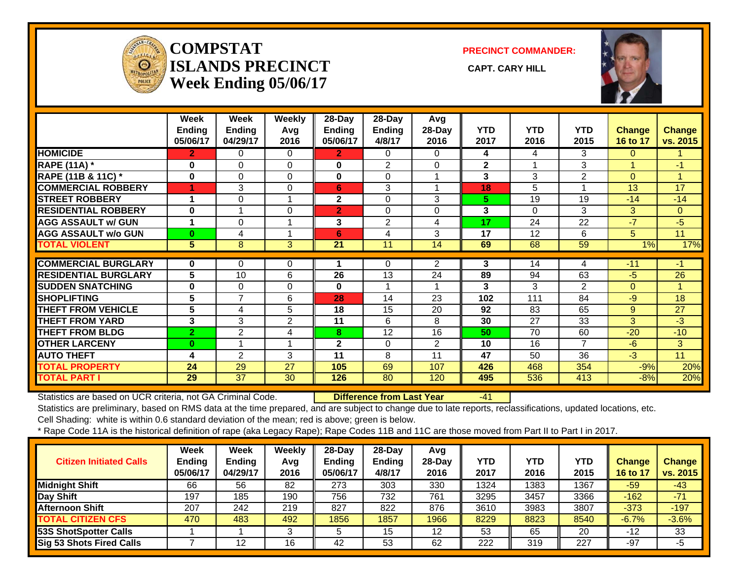

#### **COMPSTATISLANDS PRECINCT** CAPT. CARY HILL **Week Ending 05/06/17**

**PRECINCT COMMANDER:**



|                             | Week<br><b>Ending</b><br>05/06/17 | Week<br>Ending<br>04/29/17 | Weekly<br>Avg<br>2016 | $28-Day$<br><b>Ending</b><br>05/06/17 | $28$ -Day<br><b>Ending</b><br>4/8/17 | Avg<br>28-Day<br>2016 | <b>YTD</b><br>2017 | <b>YTD</b><br>2016 | <b>YTD</b><br>2015 | <b>Change</b><br>16 to 17 | <b>Change</b><br>vs. 2015 |
|-----------------------------|-----------------------------------|----------------------------|-----------------------|---------------------------------------|--------------------------------------|-----------------------|--------------------|--------------------|--------------------|---------------------------|---------------------------|
| <b>HOMICIDE</b>             | $\overline{2}$                    | 0                          | $\Omega$              | $\overline{2}$                        | $\Omega$                             | 0                     | 4                  | 4                  | 3                  | $\mathbf{0}$              |                           |
| <b>RAPE (11A)</b> *         | 0                                 | $\Omega$                   | $\Omega$              | 0                                     | $\overline{2}$                       | 0                     | $\overline{2}$     |                    | 3                  |                           | $-1$                      |
| RAPE (11B & 11C) *          | $\bf{0}$                          | $\Omega$                   | $\Omega$              | $\mathbf{0}$                          | $\Omega$                             |                       | 3                  | 3                  | 2                  | $\Omega$                  | 1                         |
| <b>COMMERCIAL ROBBERY</b>   | 1                                 | 3                          | $\Omega$              | 6                                     | 3                                    |                       | 18                 | 5                  |                    | 13                        | 17                        |
| <b>STREET ROBBERY</b>       |                                   | $\Omega$                   |                       | $\mathbf{2}$                          | $\Omega$                             | 3                     | 5.                 | 19                 | 19                 | $-14$                     | $-14$                     |
| <b>RESIDENTIAL ROBBERY</b>  | $\bf{0}$                          |                            | 0                     | $\overline{2}$                        | $\Omega$                             | $\Omega$              | 3                  | 0                  | 3                  | 3                         | $\Omega$                  |
| <b>AGG ASSAULT w/ GUN</b>   |                                   | $\Omega$                   |                       | 3                                     | $\overline{2}$                       | 4                     | 17                 | 24                 | 22                 | $-7$                      | $-5$                      |
| <b>AGG ASSAULT w/o GUN</b>  | $\bf{0}$                          | 4                          |                       | 6                                     | 4                                    | 3                     | 17                 | 12                 | 6                  | 5                         | 11                        |
| <b>TOTAL VIOLENT</b>        | $5\phantom{.0}$                   | 8                          | 3                     | 21                                    | 11                                   | 14                    | 69                 | 68                 | 59                 | 1%                        | 17%                       |
|                             |                                   |                            |                       |                                       |                                      |                       |                    |                    |                    |                           |                           |
| <b>COMMERCIAL BURGLARY</b>  | $\mathbf 0$                       | 0                          | 0                     |                                       | 0                                    | $\overline{2}$        | 3                  | 14                 | 4                  | $-11$                     | $-1$                      |
| <b>RESIDENTIAL BURGLARY</b> | 5                                 | 10                         | 6                     | 26                                    | 13                                   | 24                    | 89                 | 94                 | 63                 | -5                        | 26                        |
| <b>SUDDEN SNATCHING</b>     | $\bf{0}$                          | $\Omega$                   | $\Omega$              | $\bf{0}$                              |                                      |                       | 3                  | 3                  | 2                  | $\Omega$                  | 1                         |
| <b>SHOPLIFTING</b>          | 5                                 | $\overline{7}$             | 6                     | 28                                    | 14                                   | 23                    | 102                | 111                | 84                 | $-9$                      | 18                        |
| <b>THEFT FROM VEHICLE</b>   | 5                                 | 4                          | 5                     | 18                                    | 15                                   | 20                    | 92                 | 83                 | 65                 | 9                         | 27                        |
| <b>THEFT FROM YARD</b>      | 3                                 | 3                          | $\overline{2}$        | 11                                    | 6                                    | 8                     | 30                 | 27                 | 33                 | 3                         | $-3$                      |
| <b>THEFT FROM BLDG</b>      | $\overline{2}$                    | 2                          | 4                     | 8                                     | 12                                   | 16                    | 50                 | 70                 | 60                 | $-20$                     | $-10$                     |
| <b>OTHER LARCENY</b>        | $\bf{0}$                          |                            |                       | $\mathbf{2}$                          | $\Omega$                             | $\overline{2}$        | 10                 | 16                 | 7                  | -6                        | 3                         |
| <b>AUTO THEFT</b>           | 4                                 | 2                          | 3                     | 11                                    | 8                                    | 11                    | 47                 | 50                 | 36                 | $-3$                      | 11                        |
| <b>TOTAL PROPERTY</b>       | 24                                | 29                         | 27                    | 105                                   | 69                                   | 107                   | 426                | 468                | 354                | $-9%$                     | 20%                       |
| <b>TOTAL PART I</b>         | 29                                | 37                         | 30                    | 126                                   | 80                                   | 120                   | 495                | 536                | 413                | $-8%$                     | 20%                       |

Statistics are based on UCR criteria, not GA Criminal Code. **Difference from Last Year** -41

Statistics are preliminary, based on RMS data at the time prepared, and are subject to change due to late reports, reclassifications, updated locations, etc. Cell Shading: white is within 0.6 standard deviation of the mean; red is above; green is below.

| <b>Citizen Initiated Calls</b>  | Week<br><b>Ending</b><br>05/06/17 | <b>Week</b><br><b>Ending</b><br>04/29/17 | Weekly<br>Avg<br>2016 | $28$ -Day<br><b>Ending</b><br>05/06/17 | 28-Day<br>Ending<br>4/8/17 | Avg<br>28-Dav<br>2016 | <b>YTD</b><br>2017 | <b>YTD</b><br>2016 | <b>YTD</b><br>2015 | <b>Change</b><br>16 to 17 | <b>Change</b><br>vs. 2015 |
|---------------------------------|-----------------------------------|------------------------------------------|-----------------------|----------------------------------------|----------------------------|-----------------------|--------------------|--------------------|--------------------|---------------------------|---------------------------|
| <b>Midnight Shift</b>           | 66                                | 56                                       | 82                    | 273                                    | 303                        | 330                   | 1324               | 1383               | 1367               | $-59$                     | $-43$                     |
| Day Shift                       | 197                               | 185                                      | 190                   | 756                                    | 732                        | 761                   | 3295               | 3457               | 3366               | $-162$                    | $-71$                     |
| <b>Afternoon Shift</b>          | 207                               | 242                                      | 219                   | 827                                    | 822                        | 876                   | 3610               | 3983               | 3807               | $-373$                    | $-197$                    |
| <b>TOTAL CITIZEN CFS</b>        | 470                               | 483                                      | 492                   | 1856                                   | 1857                       | 1966                  | 8229               | 8823               | 8540               | $-6.7%$                   | $-3.6%$                   |
| 53S ShotSpotter Calls           |                                   |                                          | 3                     |                                        | 15                         | 12                    | 53                 | 65                 | 20                 | $-12$                     | 33                        |
| <b>Sig 53 Shots Fired Calls</b> |                                   | 12                                       | 16                    | 42                                     | 53                         | 62                    | 222                | 319                | 227                | -97                       | -5                        |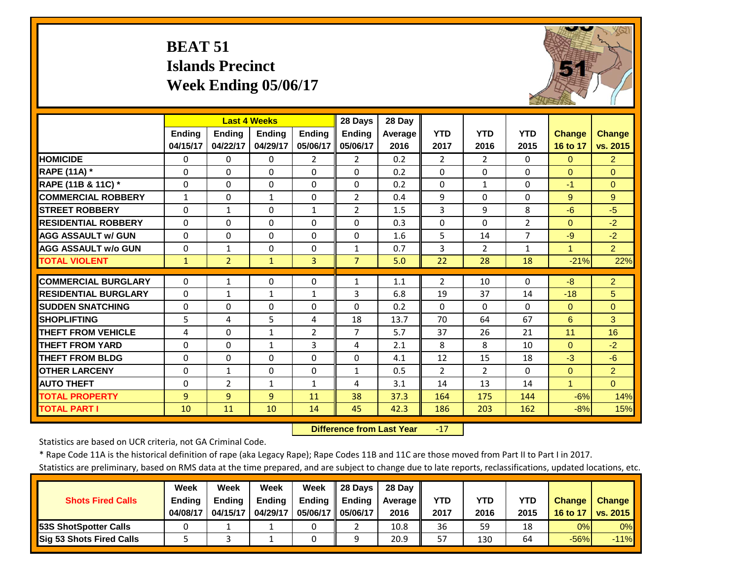# **BEAT 51 Islands Precinct Week Ending 05/06/17**



|                             |               | <b>Last 4 Weeks</b> |               |                | 28 Days        | 28 Day  |                |                |                |                      |                |
|-----------------------------|---------------|---------------------|---------------|----------------|----------------|---------|----------------|----------------|----------------|----------------------|----------------|
|                             | <b>Ending</b> | <b>Ending</b>       | <b>Ending</b> | <b>Endina</b>  | <b>Endina</b>  | Average | <b>YTD</b>     | <b>YTD</b>     | <b>YTD</b>     | <b>Change</b>        | <b>Change</b>  |
|                             | 04/15/17      | 04/22/17            | 04/29/17      | 05/06/17       | 05/06/17       | 2016    | 2017           | 2016           | 2015           | 16 to 17             | vs. 2015       |
| <b>HOMICIDE</b>             | $\Omega$      | 0                   | 0             | $\overline{2}$ | $\overline{2}$ | 0.2     | $\overline{2}$ | $\overline{2}$ | $\Omega$       | $\Omega$             | $\overline{2}$ |
| <b>RAPE (11A) *</b>         | $\Omega$      | $\Omega$            | $\Omega$      | $\Omega$       | $\Omega$       | 0.2     | $\Omega$       | $\Omega$       | $\Omega$       | $\Omega$             | $\Omega$       |
| RAPE (11B & 11C) *          | $\Omega$      | 0                   | $\Omega$      | $\Omega$       | $\Omega$       | 0.2     | $\Omega$       | $\mathbf{1}$   | 0              | $-1$                 | $\Omega$       |
| <b>COMMERCIAL ROBBERY</b>   | 1             | 0                   | $\mathbf{1}$  | 0              | $\overline{2}$ | 0.4     | 9              | $\Omega$       | $\Omega$       | 9                    | 9              |
| <b>STREET ROBBERY</b>       | $\Omega$      | 1                   | $\Omega$      | $\mathbf{1}$   | 2              | 1.5     | 3              | 9              | 8              | $-6$                 | $-5$           |
| <b>RESIDENTIAL ROBBERY</b>  | $\Omega$      | 0                   | $\Omega$      | $\Omega$       | $\Omega$       | 0.3     | $\Omega$       | $\Omega$       | $\overline{2}$ | $\Omega$             | $-2$           |
| <b>AGG ASSAULT w/ GUN</b>   | $\Omega$      | 0                   | $\Omega$      | $\Omega$       | $\Omega$       | 1.6     | 5              | 14             | $\overline{7}$ | $-9$                 | $-2$           |
| <b>AGG ASSAULT w/o GUN</b>  | $\Omega$      | 1                   | $\Omega$      | $\Omega$       | $\mathbf{1}$   | 0.7     | 3              | $\overline{2}$ | $\mathbf{1}$   | 1                    | 2 <sup>1</sup> |
| <b>TOTAL VIOLENT</b>        | $\mathbf{1}$  | $\overline{2}$      | $\mathbf{1}$  | 3              | $\overline{7}$ | 5.0     | 22             | 28             | 18             | $-21%$               | 22%            |
| <b>COMMERCIAL BURGLARY</b>  | $\Omega$      | 1                   | 0             | $\Omega$       | $\mathbf{1}$   | 1.1     | $\overline{2}$ | 10             | $\Omega$       | $-8$                 | $\overline{2}$ |
| <b>RESIDENTIAL BURGLARY</b> | $\mathbf{0}$  | 1                   | 1             | $\mathbf{1}$   | 3              | 6.8     | 19             | 37             | 14             | $-18$                | 5              |
| <b>SUDDEN SNATCHING</b>     | $\Omega$      | 0                   | $\Omega$      | $\Omega$       | $\Omega$       | 0.2     | $\Omega$       | 0              | $\Omega$       | $\Omega$             | $\Omega$       |
| <b>SHOPLIFTING</b>          | 5             | 4                   | 5             | 4              | 18             | 13.7    | 70             | 64             | 67             | 6                    | 3              |
| <b>THEFT FROM VEHICLE</b>   | 4             | 0                   | $\mathbf{1}$  | 2              | $\overline{7}$ | 5.7     | 37             | 26             | 21             | 11                   | 16             |
| <b>THEFT FROM YARD</b>      | $\Omega$      | 0                   | $\mathbf{1}$  | 3              | 4              | 2.1     | 8              | 8              | 10             | $\Omega$             | $-2$           |
| <b>THEFT FROM BLDG</b>      | $\Omega$      | 0                   | $\Omega$      | $\Omega$       | $\Omega$       | 4.1     | 12             | 15             | 18             | $-3$                 | $-6$           |
| <b>OTHER LARCENY</b>        | $\Omega$      | $\mathbf{1}$        | $\Omega$      | $\Omega$       | $\mathbf{1}$   | 0.5     | $\overline{2}$ | $\overline{2}$ | $\Omega$       | $\Omega$             | $\overline{2}$ |
| <b>AUTO THEFT</b>           | $\Omega$      | $\overline{2}$      | $\mathbf{1}$  | $\mathbf{1}$   | 4              | 3.1     | 14             | 13             | 14             | $\blacktriangleleft$ | $\overline{0}$ |
| <b>TOTAL PROPERTY</b>       | 9             | 9                   | 9             | 11             | 38             | 37.3    | 164            | 175            | 144            | $-6%$                | 14%            |
| <b>TOTAL PART I</b>         | 10            | 11                  | 10            | 14             | 45             | 42.3    | 186            | 203            | 162            | $-8%$                | 15%            |
|                             |               |                     |               |                |                |         |                |                |                |                      |                |

 **Difference from Last Year**‐17

Statistics are based on UCR criteria, not GA Criminal Code.

\* Rape Code 11A is the historical definition of rape (aka Legacy Rape); Rape Codes 11B and 11C are those moved from Part II to Part I in 2017.

|                                 | Week          | Week          | Week          | Week          | 28 Days       | 28 Day     |            |      |      |               |                 |
|---------------------------------|---------------|---------------|---------------|---------------|---------------|------------|------------|------|------|---------------|-----------------|
| <b>Shots Fired Calls</b>        | <b>Ending</b> | <b>Ending</b> | <b>Ending</b> | <b>Ending</b> | <b>Endina</b> | Average II | <b>YTD</b> | YTD  | YTD  | <b>Change</b> | <b>Change</b>   |
|                                 | 04/08/17      | 04/15/17      | 04/29/17      | 05/06/17      | 05/06/17      | 2016       | 2017       | 2016 | 2015 | 16 to 17      | <b>vs. 2015</b> |
| <b>153S ShotSpotter Calls</b>   |               |               |               |               |               | 10.8       | 36         | 59   | 18   | 0%            | 0%              |
| <b>Sig 53 Shots Fired Calls</b> |               |               |               |               |               | 20.9       | 57         | 130  | 64   | $-56%$        | $-11%$          |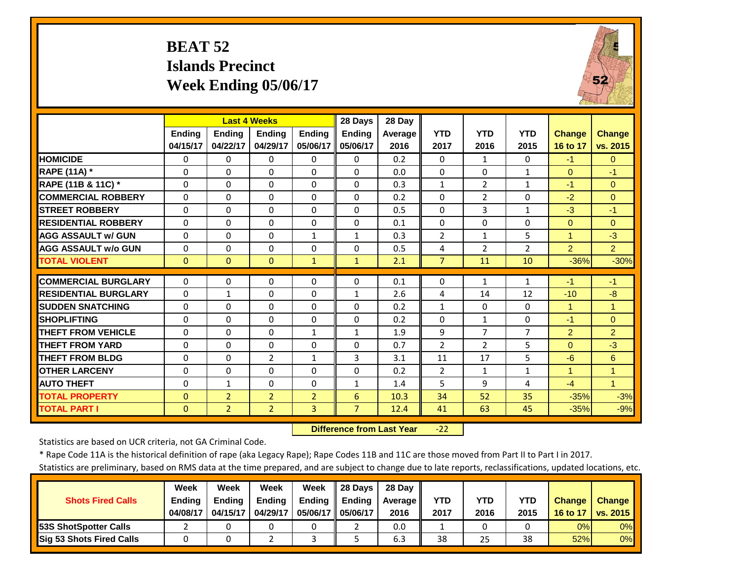# **BEAT 52 Islands Precinct Week Ending 05/06/17**



|                             |              | <b>Last 4 Weeks</b> |                |                | 28 Days        | 28 Day  |                |                |                |                |                |
|-----------------------------|--------------|---------------------|----------------|----------------|----------------|---------|----------------|----------------|----------------|----------------|----------------|
|                             | Ending       | <b>Ending</b>       | <b>Ending</b>  | <b>Ending</b>  | <b>Ending</b>  | Average | <b>YTD</b>     | <b>YTD</b>     | <b>YTD</b>     | <b>Change</b>  | <b>Change</b>  |
|                             | 04/15/17     | 04/22/17            | 04/29/17       | 05/06/17       | 05/06/17       | 2016    | 2017           | 2016           | 2015           | 16 to 17       | vs. 2015       |
| <b>HOMICIDE</b>             | $\Omega$     | $\Omega$            | $\Omega$       | $\Omega$       | $\Omega$       | 0.2     | $\Omega$       | $\mathbf{1}$   | $\Omega$       | $-1$           | $\Omega$       |
| <b>RAPE (11A) *</b>         | $\Omega$     | $\Omega$            | $\Omega$       | $\Omega$       | $\Omega$       | 0.0     | $\Omega$       | $\Omega$       | 1              | $\Omega$       | $-1$           |
| RAPE (11B & 11C) *          | $\Omega$     | $\Omega$            | $\Omega$       | $\Omega$       | $\Omega$       | 0.3     | $\mathbf{1}$   | $\overline{2}$ | 1              | $-1$           | $\Omega$       |
| <b>COMMERCIAL ROBBERY</b>   | $\Omega$     | $\Omega$            | $\Omega$       | $\Omega$       | $\Omega$       | 0.2     | $\Omega$       | $\overline{2}$ | 0              | $-2$           | $\Omega$       |
| <b>STREET ROBBERY</b>       | $\mathbf 0$  | $\Omega$            | $\mathbf 0$    | 0              | $\Omega$       | 0.5     | $\Omega$       | 3              | 1              | $-3$           | $-1$           |
| <b>RESIDENTIAL ROBBERY</b>  | $\Omega$     | $\Omega$            | $\Omega$       | $\Omega$       | $\Omega$       | 0.1     | $\Omega$       | $\Omega$       | 0              | $\Omega$       | $\Omega$       |
| <b>AGG ASSAULT w/ GUN</b>   | 0            | $\Omega$            | 0              | $\mathbf{1}$   | $\mathbf{1}$   | 0.3     | $\overline{2}$ | $\mathbf{1}$   | 5              | $\mathbf{1}$   | $-3$           |
| <b>AGG ASSAULT w/o GUN</b>  | 0            | $\Omega$            | $\Omega$       | 0              | 0              | 0.5     | 4              | 2              | $\overline{2}$ | $\overline{2}$ | $\overline{2}$ |
| <b>TOTAL VIOLENT</b>        | $\mathbf{0}$ | $\Omega$            | $\Omega$       | $\mathbf{1}$   | $\mathbf{1}$   | 2.1     | $\overline{7}$ | 11             | 10             | $-36%$         | $-30%$         |
| <b>COMMERCIAL BURGLARY</b>  | $\Omega$     | $\Omega$            | $\Omega$       | 0              | $\Omega$       | 0.1     | $\Omega$       | $\mathbf{1}$   | 1              | $-1$           | $-1$           |
| <b>RESIDENTIAL BURGLARY</b> | $\Omega$     | 1                   | $\Omega$       | 0              | $\mathbf{1}$   | 2.6     | 4              | 14             | 12             | $-10$          | $-8$           |
| <b>SUDDEN SNATCHING</b>     | 0            | $\Omega$            | $\Omega$       | 0              | 0              | 0.2     | $\mathbf{1}$   | $\Omega$       | 0              | 1              | 1              |
| <b>SHOPLIFTING</b>          | $\Omega$     | $\Omega$            | $\Omega$       | $\Omega$       | 0              | 0.2     | $\Omega$       | $\mathbf{1}$   | 0              | $-1$           | $\Omega$       |
| <b>THEFT FROM VEHICLE</b>   | $\Omega$     | $\Omega$            | $\Omega$       | 1              | $\mathbf{1}$   | 1.9     | 9              | 7              | 7              | $\overline{2}$ | $\overline{2}$ |
| <b>THEFT FROM YARD</b>      | 0            | $\Omega$            | $\Omega$       | $\Omega$       | 0              | 0.7     | $\overline{2}$ | $\overline{2}$ | 5              | $\Omega$       | $-3$           |
| <b>THEFT FROM BLDG</b>      | $\Omega$     | $\Omega$            | $\overline{2}$ | 1              | 3              | 3.1     | 11             | 17             | 5              | $-6$           | 6              |
| <b>OTHER LARCENY</b>        | $\Omega$     | $\Omega$            | $\Omega$       | 0              | 0              | 0.2     | 2              | 1              | $\mathbf{1}$   | 1              | 1              |
| <b>AUTO THEFT</b>           | $\Omega$     | $\mathbf{1}$        | $\Omega$       | 0              | $\mathbf{1}$   | 1.4     | 5              | 9              | 4              | $-4$           | $\mathbf{1}$   |
| <b>TOTAL PROPERTY</b>       | $\Omega$     | $\overline{2}$      | $\overline{2}$ | $\overline{2}$ | 6              | 10.3    | 34             | 52             | 35             | $-35%$         | $-3%$          |
| <b>TOTAL PART I</b>         | $\mathbf{0}$ | $\overline{2}$      | $\overline{2}$ | 3              | $\overline{7}$ | 12.4    | 41             | 63             | 45             | $-35%$         | $-9%$          |

 **Difference from Last Year**‐22

Statistics are based on UCR criteria, not GA Criminal Code.

\* Rape Code 11A is the historical definition of rape (aka Legacy Rape); Rape Codes 11B and 11C are those moved from Part II to Part I in 2017.

|                               | Week          | Week          | Week     | Week          | 28 Days       | 28 Dav     |      |      |            |               |               |
|-------------------------------|---------------|---------------|----------|---------------|---------------|------------|------|------|------------|---------------|---------------|
| <b>Shots Fired Calls</b>      | <b>Ending</b> | <b>Endina</b> | Ending   | <b>Ending</b> | <b>Ending</b> | Average II | YTD  | YTD  | <b>YTD</b> | <b>Change</b> | <b>Change</b> |
|                               | 04/08/17      | 04/15/17      | 04/29/17 | 05/06/17 I    | 05/06/17      | 2016       | 2017 | 2016 | 2015       | 16 to 17      | vs. 2015      |
| <b>153S ShotSpotter Calls</b> |               |               |          |               |               | 0.0        |      |      |            | 0%            | 0%            |
| Sig 53 Shots Fired Calls      |               |               |          |               |               | 6.3        | 38   | 25   | 38         | 52%           | 0%            |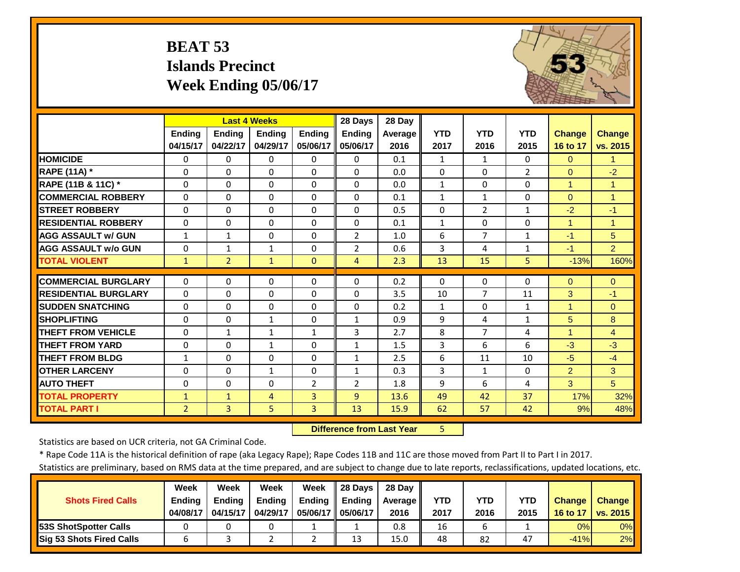# **BEAT 53 Islands Precinct Week Ending 05/06/17**



|                             |                | <b>Last 4 Weeks</b> |                |                | 28 Days        | 28 Day         |              |                |                |                |                      |
|-----------------------------|----------------|---------------------|----------------|----------------|----------------|----------------|--------------|----------------|----------------|----------------|----------------------|
|                             | <b>Ending</b>  | <b>Ending</b>       | <b>Endina</b>  | Ending         | Ending         | <b>Average</b> | <b>YTD</b>   | <b>YTD</b>     | <b>YTD</b>     | <b>Change</b>  | <b>Change</b>        |
|                             | 04/15/17       | 04/22/17            | 04/29/17       | 05/06/17       | 05/06/17       | 2016           | 2017         | 2016           | 2015           | 16 to 17       | vs. 2015             |
| <b>HOMICIDE</b>             | $\mathbf{0}$   | 0                   | $\Omega$       | $\Omega$       | $\Omega$       | 0.1            | $\mathbf{1}$ | $\mathbf{1}$   | $\Omega$       | $\Omega$       | $\blacktriangleleft$ |
| <b>RAPE (11A)</b> *         | $\Omega$       | $\Omega$            | $\Omega$       | $\Omega$       | $\Omega$       | 0.0            | $\Omega$     | $\Omega$       | $\overline{2}$ | $\Omega$       | $-2$                 |
| RAPE (11B & 11C) *          | $\Omega$       | $\Omega$            | $\Omega$       | $\Omega$       | $\Omega$       | 0.0            | $\mathbf{1}$ | $\Omega$       | $\Omega$       | $\mathbf{1}$   | $\overline{1}$       |
| <b>COMMERCIAL ROBBERY</b>   | $\Omega$       | $\Omega$            | $\Omega$       | $\Omega$       | $\Omega$       | 0.1            | $\mathbf{1}$ | $\mathbf{1}$   | $\Omega$       | $\Omega$       | $\overline{1}$       |
| <b>STREET ROBBERY</b>       | $\Omega$       | $\Omega$            | $\Omega$       | $\Omega$       | $\Omega$       | 0.5            | $\Omega$     | $\overline{2}$ | $\mathbf{1}$   | $-2$           | $-1$                 |
| <b>RESIDENTIAL ROBBERY</b>  | $\Omega$       | 0                   | $\Omega$       | $\Omega$       | $\Omega$       | 0.1            | $\mathbf{1}$ | $\Omega$       | 0              | $\overline{1}$ | 1                    |
| <b>AGG ASSAULT w/ GUN</b>   | 1              | 1                   | $\Omega$       | $\Omega$       | $\overline{2}$ | 1.0            | 6            | 7              | $\mathbf{1}$   | $-1$           | 5                    |
| <b>AGG ASSAULT w/o GUN</b>  | $\mathbf{0}$   | $\mathbf 1$         | 1              | $\Omega$       | $\overline{2}$ | 0.6            | 3            | 4              | $\mathbf{1}$   | $-1$           | $\overline{2}$       |
| <b>TOTAL VIOLENT</b>        | $\mathbf{1}$   | $\overline{2}$      | 1              | $\Omega$       | 4              | 2.3            | 13           | 15             | 5              | $-13%$         | 160%                 |
| <b>COMMERCIAL BURGLARY</b>  | $\mathbf{0}$   | 0                   | $\Omega$       | 0              | $\Omega$       | 0.2            | 0            | 0              | 0              | $\mathbf{0}$   | $\mathbf{0}$         |
| <b>RESIDENTIAL BURGLARY</b> |                |                     |                |                |                |                |              | 7              |                |                |                      |
|                             | $\mathbf{0}$   | 0                   | $\Omega$       | $\Omega$       | $\Omega$       | 3.5            | 10           |                | 11             | 3              | $-1$                 |
| <b>SUDDEN SNATCHING</b>     | $\Omega$       | 0                   | $\Omega$       | $\Omega$       | $\Omega$       | 0.2            | $\mathbf{1}$ | 0              | $\mathbf{1}$   |                | $\Omega$             |
| <b>SHOPLIFTING</b>          | $\Omega$       | 0                   | 1              | 0              | 1              | 0.9            | 9            | 4              | 1              | 5              | 8                    |
| <b>THEFT FROM VEHICLE</b>   | $\Omega$       | 1                   | 1              | $\mathbf{1}$   | 3              | 2.7            | 8            | 7              | 4              | 1              | $\overline{4}$       |
| <b>THEFT FROM YARD</b>      | 0              | 0                   | 1              | 0              | $\mathbf{1}$   | 1.5            | 3            | 6              | 6              | $-3$           | $-3$                 |
| <b>THEFT FROM BLDG</b>      | 1              | 0                   | $\Omega$       | $\Omega$       | 1              | 2.5            | 6            | 11             | 10             | $-5$           | $-4$                 |
| <b>OTHER LARCENY</b>        | $\Omega$       | 0                   | $\mathbf{1}$   | $\Omega$       | $\mathbf{1}$   | 0.3            | 3            | $\mathbf{1}$   | $\Omega$       | $\overline{2}$ | 3                    |
| <b>AUTO THEFT</b>           | $\Omega$       | $\Omega$            | $\Omega$       | $\overline{2}$ | $\overline{2}$ | 1.8            | 9            | 6              | 4              | 3              | 5                    |
| <b>TOTAL PROPERTY</b>       | $\mathbf{1}$   | $\mathbf{1}$        | $\overline{4}$ | 3              | $\overline{9}$ | 13.6           | 49           | 42             | 37             | 17%            | 32%                  |
| <b>TOTAL PART I</b>         | $\overline{2}$ | $\overline{3}$      | 5              | 3              | 13             | 15.9           | 62           | 57             | 42             | 9%             | 48%                  |

 **Difference from Last Year**r 5

Statistics are based on UCR criteria, not GA Criminal Code.

\* Rape Code 11A is the historical definition of rape (aka Legacy Rape); Rape Codes 11B and 11C are those moved from Part II to Part I in 2017.

|                                 | Week          | Week          | Week          | Week          | 28 Davs       | 28 Day     |      |      |      |               |               |
|---------------------------------|---------------|---------------|---------------|---------------|---------------|------------|------|------|------|---------------|---------------|
| <b>Shots Fired Calls</b>        | <b>Ending</b> | <b>Ending</b> | <b>Ending</b> | <b>Ending</b> | <b>Ending</b> | Average II | YTD  | YTD  | YTD  | <b>Change</b> | <b>Change</b> |
|                                 | 04/08/17      | 04/15/17      | 04/29/17      | 05/06/17 I    | 05/06/17      | 2016       | 2017 | 2016 | 2015 | 16 to 17      | vs. 2015      |
| <b>153S ShotSpotter Calls</b>   |               |               |               |               |               | 0.8        | 16   |      |      | 0%            | $0\%$         |
| <b>Sig 53 Shots Fired Calls</b> |               |               |               |               | 13            | 15.0       | 48   | 82   | 47   | $-41%$        | 2%            |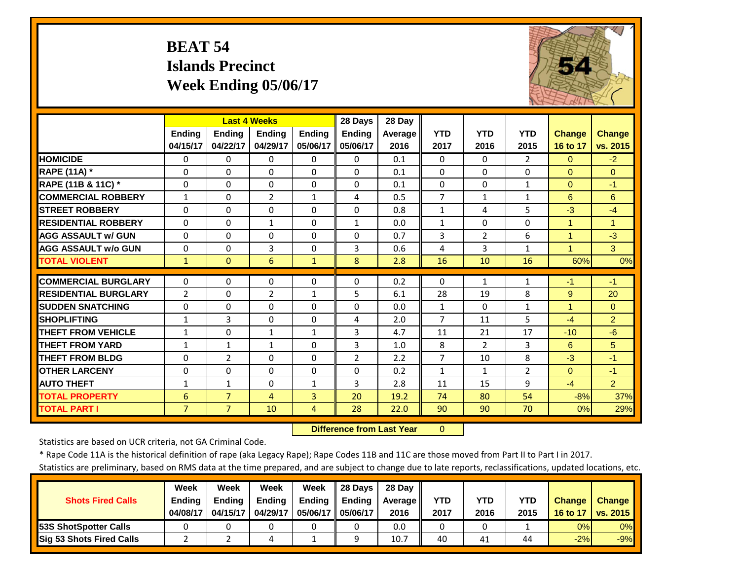# **BEAT 54 Islands Precinct Week Ending 05/06/17**



|                             |                | <b>Last 4 Weeks</b> |                |               | 28 Days        | 28 Day         |                |                |                |                      |                |
|-----------------------------|----------------|---------------------|----------------|---------------|----------------|----------------|----------------|----------------|----------------|----------------------|----------------|
|                             | <b>Ending</b>  | <b>Ending</b>       | Ending         | <b>Ending</b> | <b>Ending</b>  | <b>Average</b> | <b>YTD</b>     | <b>YTD</b>     | <b>YTD</b>     | <b>Change</b>        | <b>Change</b>  |
|                             | 04/15/17       | 04/22/17            | 04/29/17       | 05/06/17      | 05/06/17       | 2016           | 2017           | 2016           | 2015           | 16 to 17             | vs. 2015       |
| <b>HOMICIDE</b>             | $\Omega$       | 0                   | $\Omega$       | $\Omega$      | $\Omega$       | 0.1            | $\Omega$       | 0              | $\overline{2}$ | $\Omega$             | $-2$           |
| <b>RAPE (11A)</b> *         | $\Omega$       | 0                   | $\Omega$       | $\Omega$      | $\Omega$       | 0.1            | $\Omega$       | $\Omega$       | $\Omega$       | $\Omega$             | $\Omega$       |
| RAPE (11B & 11C) *          | $\Omega$       | 0                   | 0              | $\Omega$      | $\Omega$       | 0.1            | $\Omega$       | 0              | $\mathbf{1}$   | $\Omega$             | $-1$           |
| <b>COMMERCIAL ROBBERY</b>   | $\mathbf{1}$   | 0                   | $\overline{2}$ | $\mathbf{1}$  | 4              | 0.5            | $\overline{7}$ | $\mathbf{1}$   | $\mathbf{1}$   | 6                    | 6              |
| <b>STREET ROBBERY</b>       | $\Omega$       | 0                   | $\Omega$       | $\Omega$      | $\Omega$       | 0.8            | $\mathbf{1}$   | 4              | 5              | $-3$                 | $-4$           |
| <b>RESIDENTIAL ROBBERY</b>  | $\Omega$       | 0                   | $\mathbf{1}$   | $\Omega$      | $\mathbf{1}$   | 0.0            | $\mathbf{1}$   | 0              | $\Omega$       | $\blacktriangleleft$ | 1              |
| <b>AGG ASSAULT w/ GUN</b>   | $\Omega$       | 0                   | 0              | $\Omega$      | $\Omega$       | 0.7            | 3              | $\overline{2}$ | 6              | $\blacktriangleleft$ | $-3$           |
| <b>AGG ASSAULT w/o GUN</b>  | $\Omega$       | 0                   | 3              | $\Omega$      | 3              | 0.6            | 4              | 3              | $\mathbf{1}$   | $\overline{1}$       | 3              |
| <b>TOTAL VIOLENT</b>        | $\mathbf{1}$   | $\overline{0}$      | 6              | $\mathbf{1}$  | 8              | 2.8            | 16             | 10             | 16             | 60%                  | 0%             |
| <b>COMMERCIAL BURGLARY</b>  | $\Omega$       | 0                   | 0              | 0             | 0              | 0.2            | 0              | $\mathbf{1}$   | $\mathbf{1}$   | $-1$                 | $-1$           |
| <b>RESIDENTIAL BURGLARY</b> | $\overline{2}$ | 0                   | $\overline{2}$ | $\mathbf{1}$  | 5.             | 6.1            | 28             | 19             | 8              | 9                    | 20             |
|                             |                |                     |                |               |                |                |                |                |                | 1                    |                |
| <b>SUDDEN SNATCHING</b>     | $\Omega$       | 0                   | 0              | $\Omega$      | $\Omega$       | 0.0            | $\mathbf{1}$   | $\Omega$       | $\mathbf{1}$   |                      | $\Omega$       |
| <b>SHOPLIFTING</b>          | 1              | 3                   | 0              | $\Omega$      | 4              | 2.0            | $\overline{7}$ | 11             | 5              | $-4$                 | $\overline{2}$ |
| <b>THEFT FROM VEHICLE</b>   | 1              | 0                   | 1              | $\mathbf{1}$  | 3              | 4.7            | 11             | 21             | 17             | $-10$                | $-6$           |
| <b>THEFT FROM YARD</b>      | $\mathbf{1}$   | $\mathbf{1}$        | 1              | 0             | 3              | 1.0            | 8              | $\overline{2}$ | 3              | 6                    | 5              |
| <b>THEFT FROM BLDG</b>      | $\Omega$       | $\overline{2}$      | $\Omega$       | $\Omega$      | $\overline{2}$ | 2.2            | 7              | 10             | 8              | $-3$                 | $-1$           |
| <b>OTHER LARCENY</b>        | $\Omega$       | 0                   | $\Omega$       | $\Omega$      | $\Omega$       | 0.2            | $\mathbf{1}$   | $\mathbf{1}$   | $\overline{2}$ | $\Omega$             | $-1$           |
| <b>AUTO THEFT</b>           | $\mathbf{1}$   | $\mathbf{1}$        | $\Omega$       | $\mathbf{1}$  | 3              | 2.8            | 11             | 15             | 9              | $-4$                 | $\overline{2}$ |
| <b>TOTAL PROPERTY</b>       | 6              | $\overline{7}$      | 4              | 3             | 20             | 19.2           | 74             | 80             | 54             | $-8%$                | 37%            |
| <b>TOTAL PART I</b>         | $\overline{7}$ | $\overline{7}$      | 10             | 4             | 28             | 22.0           | 90             | 90             | 70             | 0%                   | 29%            |

 **Difference from Last Year**0

Statistics are based on UCR criteria, not GA Criminal Code.

\* Rape Code 11A is the historical definition of rape (aka Legacy Rape); Rape Codes 11B and 11C are those moved from Part II to Part I in 2017.

|                                 | Week          | Week          | <b>Week</b>   | Week          | <b>28 Davs</b> | 28 Dav     |      |      |      |               |               |
|---------------------------------|---------------|---------------|---------------|---------------|----------------|------------|------|------|------|---------------|---------------|
| <b>Shots Fired Calls</b>        | <b>Ending</b> | <b>Ending</b> | <b>Ending</b> | <b>Ending</b> | <b>Ending</b>  | Average II | YTD  | YTD  | YTD  | <b>Change</b> | <b>Change</b> |
|                                 | 04/08/17      | 04/15/17      | 04/29/17      | 05/06/17 I    | 05/06/17       | 2016       | 2017 | 2016 | 2015 | 16 to 17      | vs. 2015      |
| <b>153S ShotSpotter Calls</b>   |               |               |               |               |                | 0.0        |      |      |      | 0%            | $0\%$         |
| <b>Sig 53 Shots Fired Calls</b> |               |               |               |               |                | 10.7       | 40   | 41   | 44   | $-2%$         | $-9%$         |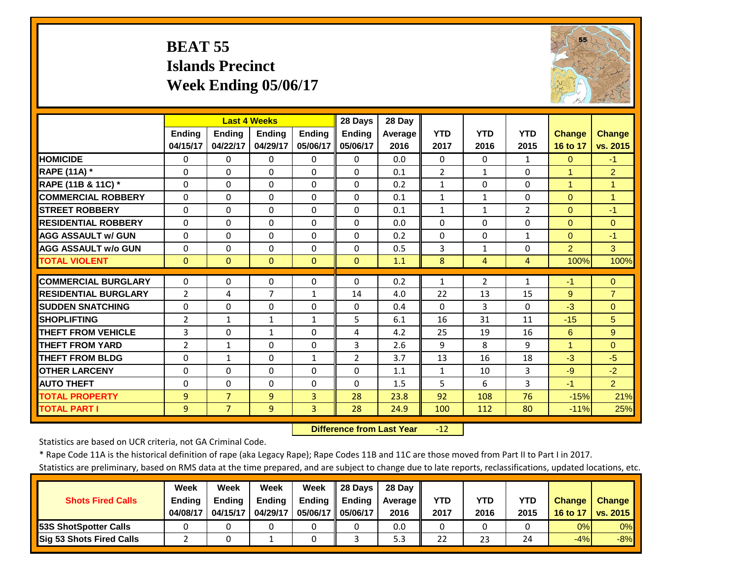#### **BEAT 55 Islands Precinct Week Ending 05/06/17**



|                             |                |                | <b>Last 4 Weeks</b> |               | 28 Days        | 28 Day  |                |                |                |                      |                |
|-----------------------------|----------------|----------------|---------------------|---------------|----------------|---------|----------------|----------------|----------------|----------------------|----------------|
|                             | <b>Ending</b>  | <b>Ending</b>  | <b>Endina</b>       | <b>Endina</b> | <b>Ending</b>  | Average | <b>YTD</b>     | <b>YTD</b>     | <b>YTD</b>     | <b>Change</b>        | <b>Change</b>  |
|                             | 04/15/17       | 04/22/17       | 04/29/17            | 05/06/17      | 05/06/17       | 2016    | 2017           | 2016           | 2015           | 16 to 17             | vs. 2015       |
| <b>HOMICIDE</b>             | $\Omega$       | $\Omega$       | $\Omega$            | $\Omega$      | $\Omega$       | 0.0     | $\Omega$       | $\Omega$       | $\mathbf{1}$   | $\Omega$             | $-1$           |
| <b>RAPE (11A) *</b>         | $\Omega$       | $\Omega$       | $\Omega$            | $\Omega$      | $\Omega$       | 0.1     | $\overline{2}$ | $\mathbf{1}$   | 0              | 1                    | $\overline{2}$ |
| RAPE (11B & 11C) *          | $\Omega$       | $\Omega$       | $\Omega$            | $\Omega$      | $\Omega$       | 0.2     | $\mathbf{1}$   | $\Omega$       | $\Omega$       | $\overline{1}$       | $\mathbf{1}$   |
| <b>COMMERCIAL ROBBERY</b>   | $\Omega$       | $\Omega$       | $\Omega$            | $\Omega$      | $\Omega$       | 0.1     | $\mathbf{1}$   | $\mathbf{1}$   | 0              | $\Omega$             | $\mathbf 1$    |
| <b>STREET ROBBERY</b>       | $\Omega$       | 0              | $\Omega$            | $\Omega$      | $\Omega$       | 0.1     | $\mathbf{1}$   | $\mathbf{1}$   | $\overline{2}$ | $\Omega$             | $-1$           |
| <b>RESIDENTIAL ROBBERY</b>  | $\Omega$       | 0              | $\Omega$            | $\Omega$      | $\Omega$       | 0.0     | $\Omega$       | $\Omega$       | 0              | $\Omega$             | $\Omega$       |
| <b>AGG ASSAULT w/ GUN</b>   | $\Omega$       | $\Omega$       | $\Omega$            | $\Omega$      | $\Omega$       | 0.2     | $\Omega$       | $\Omega$       | $\mathbf{1}$   | $\Omega$             | $-1$           |
| <b>AGG ASSAULT w/o GUN</b>  | $\Omega$       | 0              | $\Omega$            | $\Omega$      | $\Omega$       | 0.5     | 3              | $\mathbf{1}$   | 0              | $\overline{2}$       | 3              |
| <b>TOTAL VIOLENT</b>        | $\mathbf{0}$   | $\Omega$       | $\mathbf{0}$        | $\Omega$      | $\mathbf{0}$   | 1.1     | 8              | 4              | 4              | 100%                 | 100%           |
| <b>COMMERCIAL BURGLARY</b>  | $\Omega$       | 0              | $\mathbf 0$         | 0             | $\Omega$       | 0.2     | $\mathbf{1}$   | $\overline{2}$ | $\mathbf{1}$   | $-1$                 | $\Omega$       |
| <b>RESIDENTIAL BURGLARY</b> |                |                | 7                   |               |                | 4.0     |                | 13             |                |                      |                |
|                             | $\overline{2}$ | 4              |                     | $\mathbf{1}$  | 14             |         | 22             |                | 15             | 9                    | $\overline{7}$ |
| <b>SUDDEN SNATCHING</b>     | $\Omega$       | 0              | $\Omega$            | $\Omega$      | $\Omega$       | 0.4     | $\Omega$       | 3              | 0              | $-3$                 | $\Omega$       |
| <b>SHOPLIFTING</b>          | $\overline{2}$ | $\mathbf{1}$   | $\mathbf{1}$        | $\mathbf{1}$  | 5              | 6.1     | 16             | 31             | 11             | $-15$                | 5              |
| <b>THEFT FROM VEHICLE</b>   | 3              | $\Omega$       | $\mathbf{1}$        | $\Omega$      | 4              | 4.2     | 25             | 19             | 16             | 6                    | 9              |
| <b>THEFT FROM YARD</b>      | $\overline{2}$ | $\mathbf{1}$   | $\Omega$            | $\Omega$      | 3              | 2.6     | 9              | 8              | 9              | $\blacktriangleleft$ | $\Omega$       |
| <b>THEFT FROM BLDG</b>      | $\Omega$       | 1              | $\Omega$            | $\mathbf{1}$  | $\overline{2}$ | 3.7     | 13             | 16             | 18             | $-3$                 | $-5$           |
| <b>OTHER LARCENY</b>        | $\Omega$       | $\Omega$       | $\Omega$            | $\Omega$      | $\Omega$       | 1.1     | $\mathbf{1}$   | 10             | 3              | $-9$                 | $-2$           |
| <b>AUTO THEFT</b>           | $\mathbf 0$    | $\Omega$       | $\Omega$            | $\Omega$      | $\Omega$       | 1.5     | 5              | 6              | 3              | $-1$                 | $\overline{2}$ |
| <b>TOTAL PROPERTY</b>       | 9              | $\overline{7}$ | 9                   | 3             | 28             | 23.8    | 92             | 108            | 76             | $-15%$               | 21%            |
| <b>TOTAL PART I</b>         | $\overline{9}$ | $\overline{7}$ | $\overline{9}$      | 3             | 28             | 24.9    | 100            | 112            | 80             | $-11%$               | 25%            |

 **Difference from Last Year**r -12

Statistics are based on UCR criteria, not GA Criminal Code.

\* Rape Code 11A is the historical definition of rape (aka Legacy Rape); Rape Codes 11B and 11C are those moved from Part II to Part I in 2017.

|                                 | Week          | Week          | Week          | Week          | 28 Davs       | 28 Dav     |      |      |      |               |               |
|---------------------------------|---------------|---------------|---------------|---------------|---------------|------------|------|------|------|---------------|---------------|
| <b>Shots Fired Calls</b>        | <b>Endina</b> | <b>Ending</b> | <b>Ending</b> | <b>Ending</b> | <b>Ending</b> | Average II | YTD  | YTD  | YTD  | <b>Change</b> | <b>Change</b> |
|                                 | 04/08/17      | 04/15/17      | 04/29/17      | 05/06/17 I    | 05/06/17      | 2016       | 2017 | 2016 | 2015 | 16 to 17      | vs. 2015      |
| <b>153S ShotSpotter Calls</b>   |               |               |               |               |               | 0.0        |      |      |      | 0%            | $0\%$         |
| <b>Sig 53 Shots Fired Calls</b> |               |               |               |               |               | 5.3        | 22   | 23   | 24   | $-4%$         | $-8%$         |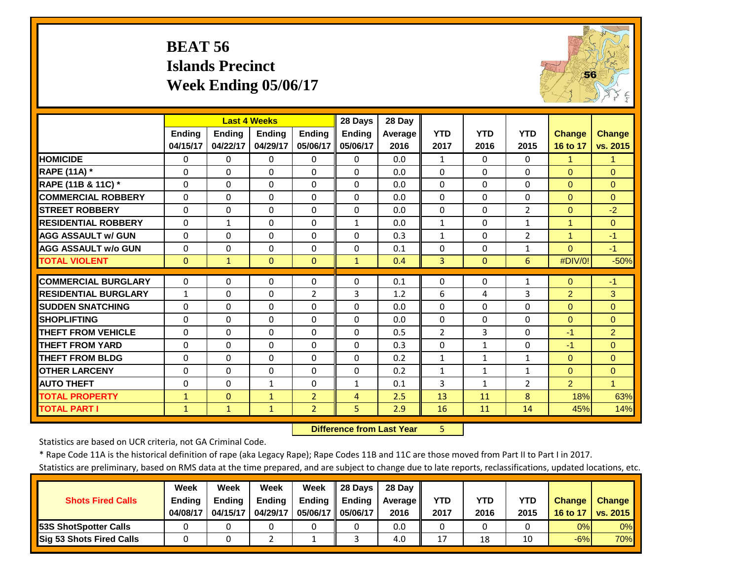# **BEAT 56 Islands Precinct Week Ending 05/06/17**



|                             |               |               | <b>Last 4 Weeks</b> |                | 28 Days        | 28 Day  |                |              |                |                |                |
|-----------------------------|---------------|---------------|---------------------|----------------|----------------|---------|----------------|--------------|----------------|----------------|----------------|
|                             | <b>Ending</b> | <b>Ending</b> | <b>Ending</b>       | Ending         | Ending         | Average | <b>YTD</b>     | <b>YTD</b>   | <b>YTD</b>     | <b>Change</b>  | <b>Change</b>  |
|                             | 04/15/17      | 04/22/17      | 04/29/17            | 05/06/17       | 05/06/17       | 2016    | 2017           | 2016         | 2015           | 16 to 17       | vs. 2015       |
| <b>HOMICIDE</b>             | $\Omega$      | 0             | $\Omega$            | $\Omega$       | $\Omega$       | 0.0     | $\mathbf{1}$   | $\Omega$     | $\Omega$       | $\mathbf{1}$   | $\mathbf{1}$   |
| <b>RAPE (11A) *</b>         | $\Omega$      | $\Omega$      | $\Omega$            | $\Omega$       | $\Omega$       | 0.0     | $\Omega$       | $\Omega$     | $\Omega$       | $\Omega$       | $\Omega$       |
| RAPE (11B & 11C) *          | $\Omega$      | $\Omega$      | $\Omega$            | $\Omega$       | $\Omega$       | 0.0     | $\Omega$       | $\Omega$     | $\Omega$       | $\Omega$       | $\Omega$       |
| <b>COMMERCIAL ROBBERY</b>   | $\Omega$      | $\Omega$      | $\Omega$            | $\Omega$       | $\Omega$       | 0.0     | $\Omega$       | $\Omega$     | $\Omega$       | $\Omega$       | $\Omega$       |
| <b>STREET ROBBERY</b>       | $\Omega$      | $\Omega$      | $\Omega$            | $\Omega$       | $\Omega$       | 0.0     | $\Omega$       | $\Omega$     | $\overline{2}$ | $\mathbf{0}$   | $-2$           |
| <b>RESIDENTIAL ROBBERY</b>  | $\Omega$      | 1             | $\Omega$            | $\Omega$       | $\mathbf{1}$   | 0.0     | $\mathbf{1}$   | $\Omega$     | $\mathbf{1}$   | $\mathbf{1}$   | $\Omega$       |
| <b>AGG ASSAULT w/ GUN</b>   | $\Omega$      | 0             | $\Omega$            | $\Omega$       | $\Omega$       | 0.3     | $\mathbf{1}$   | $\Omega$     | $\overline{2}$ | $\mathbf{1}$   | $-1$           |
| <b>AGG ASSAULT w/o GUN</b>  | $\mathbf{0}$  | 0             | $\Omega$            | $\Omega$       | $\Omega$       | 0.1     | $\Omega$       | $\Omega$     | $\mathbf{1}$   | $\Omega$       | $-1$           |
| <b>TOTAL VIOLENT</b>        | $\mathbf{0}$  | $\mathbf{1}$  | $\Omega$            | $\Omega$       | $\mathbf{1}$   | 0.4     | $\overline{3}$ | $\Omega$     | 6              | #DIV/0!        | $-50%$         |
| <b>COMMERCIAL BURGLARY</b>  | $\Omega$      | 0             | $\Omega$            | $\Omega$       | $\Omega$       | 0.1     | $\Omega$       | $\Omega$     | $\mathbf{1}$   | $\mathbf{0}$   | $-1$           |
| <b>RESIDENTIAL BURGLARY</b> | $\mathbf{1}$  | 0             | $\Omega$            | 2              | 3              | 1.2     | 6              | 4            | 3              | $\overline{2}$ | 3              |
| <b>SUDDEN SNATCHING</b>     | $\Omega$      | 0             | $\Omega$            | 0              | $\Omega$       | 0.0     | $\Omega$       | $\Omega$     | 0              | $\Omega$       | $\Omega$       |
| <b>SHOPLIFTING</b>          | $\mathbf{0}$  | 0             | $\Omega$            | $\Omega$       | $\Omega$       | 0.0     | $\Omega$       | $\Omega$     | $\Omega$       | $\Omega$       | $\Omega$       |
| <b>THEFT FROM VEHICLE</b>   | $\Omega$      | 0             | $\Omega$            | $\Omega$       | $\Omega$       | 0.5     | $\overline{2}$ | 3            | 0              | $-1$           | $\overline{2}$ |
| <b>THEFT FROM YARD</b>      | $\Omega$      | 0             | $\Omega$            | $\Omega$       | $\Omega$       | 0.3     | $\Omega$       | 1            | 0              | $-1$           | $\Omega$       |
| <b>THEFT FROM BLDG</b>      | $\Omega$      | 0             | $\Omega$            | $\Omega$       | $\Omega$       | 0.2     | $\mathbf{1}$   | 1            | $\mathbf{1}$   | $\Omega$       | $\Omega$       |
| <b>OTHER LARCENY</b>        | $\Omega$      | $\Omega$      | $\Omega$            | $\Omega$       | $\Omega$       | 0.2     | $\mathbf{1}$   | $\mathbf{1}$ | $\mathbf{1}$   | $\Omega$       | $\Omega$       |
| <b>AUTO THEFT</b>           | $\mathbf{0}$  | 0             | $\mathbf{1}$        | $\Omega$       | $\mathbf{1}$   | 0.1     | 3              | $\mathbf{1}$ | $\overline{2}$ | $\overline{2}$ | 1              |
| <b>TOTAL PROPERTY</b>       | $\mathbf{1}$  | $\Omega$      | $\mathbf{1}$        | $\overline{2}$ | 4              | 2.5     | 13             | 11           | 8              | 18%            | 63%            |
| <b>TOTAL PART I</b>         | $\mathbf{1}$  | $\mathbf{1}$  | $\mathbf{1}$        | $\overline{2}$ | 5 <sup>1</sup> | 2.9     | 16             | 11           | 14             | 45%            | 14%            |

 **Difference from Last Year**5

Statistics are based on UCR criteria, not GA Criminal Code.

\* Rape Code 11A is the historical definition of rape (aka Legacy Rape); Rape Codes 11B and 11C are those moved from Part II to Part I in 2017.

|                          | Week          | Week          | Week     | Week                | 28 Days       | 28 Dav     |      |      |            |               |               |
|--------------------------|---------------|---------------|----------|---------------------|---------------|------------|------|------|------------|---------------|---------------|
| <b>Shots Fired Calls</b> | <b>Ending</b> | <b>Ending</b> | Ending   | <b>Ending</b>       | <b>Ending</b> | Average II | YTD  | YTD  | <b>YTD</b> | <b>Change</b> | <b>Change</b> |
|                          | 04/08/17      | 04/15/17      | 04/29/17 | 05/06/17   05/06/17 |               | 2016       | 2017 | 2016 | 2015       | 16 to 17      | vs. 2015      |
| 53S ShotSpotter Calls    |               |               |          |                     |               | 0.0        |      |      |            | 0%            | 0%            |
| Sig 53 Shots Fired Calls |               |               |          |                     |               | 4.0        | 17   | 18   |            | $-6%$         | <b>70%</b>    |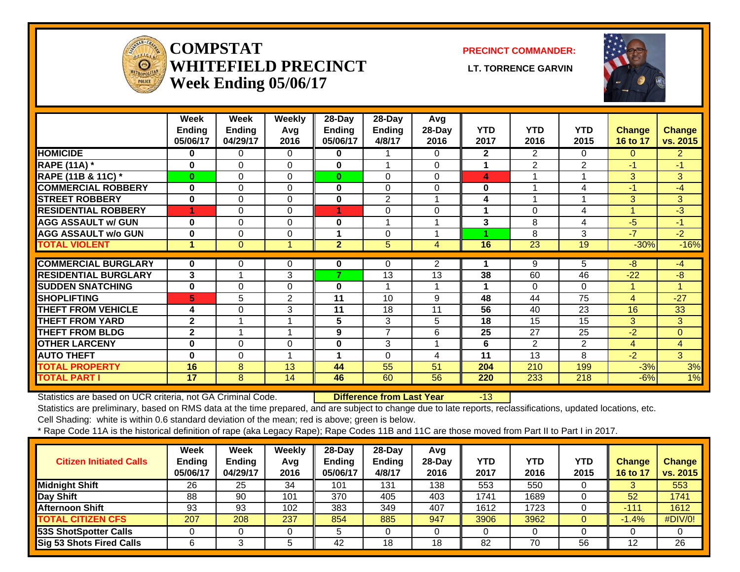

#### **COMPSTATWHITEFIELD PRECINCT LT. TORRENCE GARVINWeek Ending 05/06/17**

**PRECINCT COMMANDER:**



|                             | Week<br><b>Ending</b><br>05/06/17 | Week<br><b>Ending</b><br>04/29/17 | Weekly<br>Avg<br>2016 | 28-Day<br><b>Ending</b><br>05/06/17 | 28-Day<br><b>Ending</b><br>4/8/17 | Avg<br>28-Day<br>2016 | <b>YTD</b><br>2017 | <b>YTD</b><br>2016 | <b>YTD</b><br>2015 | <b>Change</b><br>16 to 17 | <b>Change</b><br>vs. 2015 |
|-----------------------------|-----------------------------------|-----------------------------------|-----------------------|-------------------------------------|-----------------------------------|-----------------------|--------------------|--------------------|--------------------|---------------------------|---------------------------|
| <b>HOMICIDE</b>             | 0                                 | 0                                 | $\Omega$              | 0                                   |                                   | 0                     | $\mathbf{2}$       | $\overline{2}$     | $\Omega$           | $\Omega$                  | $\overline{2}$            |
| <b>RAPE (11A) *</b>         | 0                                 | 0                                 | $\Omega$              | 0                                   | -1                                | 0                     | 1                  | 2                  | $\overline{2}$     | $-1$                      | $-1$                      |
| RAPE (11B & 11C) *          | $\bf{0}$                          | 0                                 | $\Omega$              | $\bf{0}$                            | 0                                 | 0                     | 4                  |                    |                    | 3                         | 3                         |
| <b>COMMERCIAL ROBBERY</b>   | 0                                 | 0                                 | $\Omega$              | 0                                   | 0                                 | 0                     | $\bf{0}$           |                    | 4                  | -1                        | $-4$                      |
| <b>STREET ROBBERY</b>       | $\bf{0}$                          | 0                                 | $\Omega$              | 0                                   | $\overline{2}$                    |                       | 4                  |                    |                    | 3 <sup>1</sup>            | 3                         |
| <b>RESIDENTIAL ROBBERY</b>  | 4                                 | 0                                 | $\Omega$              |                                     | 0                                 | 0                     |                    | 0                  | 4                  |                           | $-3$                      |
| <b>AGG ASSAULT w/ GUN</b>   | 0                                 | 0                                 | $\Omega$              | 0                                   | 4                                 |                       | 3                  | 8                  | 4                  | -5                        | $-1$                      |
| <b>AGG ASSAULT w/o GUN</b>  | 0                                 | 0                                 | $\Omega$              | 1                                   | $\mathbf 0$                       |                       |                    | 8                  | 3                  | $-7$                      | $-2$                      |
| <b>TOTAL VIOLENT</b>        | 1                                 | $\Omega$                          | 1                     | $\overline{2}$                      | 5                                 | 4                     | 16                 | 23                 | 19                 | $-30%$                    | $-16%$                    |
|                             |                                   |                                   |                       |                                     |                                   |                       |                    |                    |                    |                           |                           |
| <b>COMMERCIAL BURGLARY</b>  | $\bf{0}$                          | 0                                 | 0                     | 0                                   | $\Omega$                          | 2                     |                    | 9                  | 5                  | -8                        | $-4$                      |
| <b>RESIDENTIAL BURGLARY</b> | 3                                 |                                   | 3                     | 7                                   | 13                                | 13                    | 38                 | 60                 | 46                 | $-22$                     | $-8$                      |
| <b>SUDDEN SNATCHING</b>     | $\mathbf 0$                       | 0                                 | $\mathbf 0$           | 0                                   | $\overline{\mathbf{A}}$           |                       | -1                 | $\Omega$           | $\Omega$           | 4                         |                           |
| <b>SHOPLIFTING</b>          | 5                                 | 5                                 | $\overline{2}$        | 11                                  | 10                                | 9                     | 48                 | 44                 | 75                 | 4                         | $-27$                     |
| <b>THEFT FROM VEHICLE</b>   | 4                                 | 0                                 | 3                     | 11                                  | 18                                | 11                    | 56                 | 40                 | 23                 | 16                        | 33                        |
| <b>THEFT FROM YARD</b>      | $\mathbf{2}$                      |                                   |                       | 5                                   | 3                                 | 5                     | 18                 | 15                 | 15                 | $\overline{3}$            | 3                         |
| <b>THEFT FROM BLDG</b>      | $\overline{2}$                    |                                   | 1                     | 9                                   | $\overline{7}$                    | 6                     | 25                 | 27                 | 25                 | $-2$                      | $\overline{0}$            |
| <b>OTHER LARCENY</b>        | 0                                 | 0                                 | $\Omega$              | 0                                   | 3                                 |                       | 6                  | $\overline{2}$     | $\overline{2}$     | 4                         | 4                         |
| <b>AUTO THEFT</b>           | 0                                 | 0                                 | 1                     | 1                                   | $\mathbf 0$                       | 4                     | 11                 | 13                 | 8                  | $-2$                      | 3                         |
| <b>TOTAL PROPERTY</b>       | 16                                | 8                                 | 13                    | 44                                  | 55                                | 51                    | 204                | 210                | 199                | $-3%$                     | 3%                        |
| <b>TOTAL PART I</b>         | 17                                | 8                                 | 14                    | 46                                  | 60                                | 56                    | 220                | 233                | 218                | $-6%$                     | 1%                        |

Statistics are based on UCR criteria, not GA Criminal Code. **Difference from Last Year** -13

Statistics are preliminary, based on RMS data at the time prepared, and are subject to change due to late reports, reclassifications, updated locations, etc. Cell Shading: white is within 0.6 standard deviation of the mean; red is above; green is below.

| <b>Citizen Initiated Calls</b>  | Week<br><b>Ending</b><br>05/06/17 | Week<br><b>Ending</b><br>04/29/17 | <b>Weekly</b><br>Avg<br>2016 | $28$ -Day<br><b>Ending</b><br>05/06/17 | $28-Dav$<br>Ending<br>4/8/17 | Avg<br>$28-Day$<br>2016 | YTD<br>2017 | YTD<br>2016 | <b>YTD</b><br>2015 | <b>Change</b><br>16 to 17 | <b>Change</b><br>vs. 2015 |
|---------------------------------|-----------------------------------|-----------------------------------|------------------------------|----------------------------------------|------------------------------|-------------------------|-------------|-------------|--------------------|---------------------------|---------------------------|
| <b>Midnight Shift</b>           | 26                                | 25                                | 34                           | 101                                    | 131                          | 138                     | 553         | 550         |                    |                           | 553                       |
| Day Shift                       | 88                                | 90                                | 101                          | 370                                    | 405                          | 403                     | 1741        | 1689        |                    | 52                        | 1741                      |
| <b>Afternoon Shift</b>          | 93                                | 93                                | 102                          | 383                                    | 349                          | 407                     | 1612        | 1723        |                    | $-111$                    | 1612                      |
| <b>TOTAL CITIZEN CFS</b>        | 207                               | 208                               | 237                          | 854                                    | 885                          | 947                     | 3906        | 3962        |                    | 1.4%                      | #DIV/0!                   |
| <b>53S ShotSpotter Calls</b>    |                                   |                                   |                              |                                        |                              |                         | 0           |             |                    |                           |                           |
| <b>Sig 53 Shots Fired Calls</b> |                                   |                                   |                              | 42                                     | 18                           | 18                      | 82          | 70          | 56                 |                           | 26                        |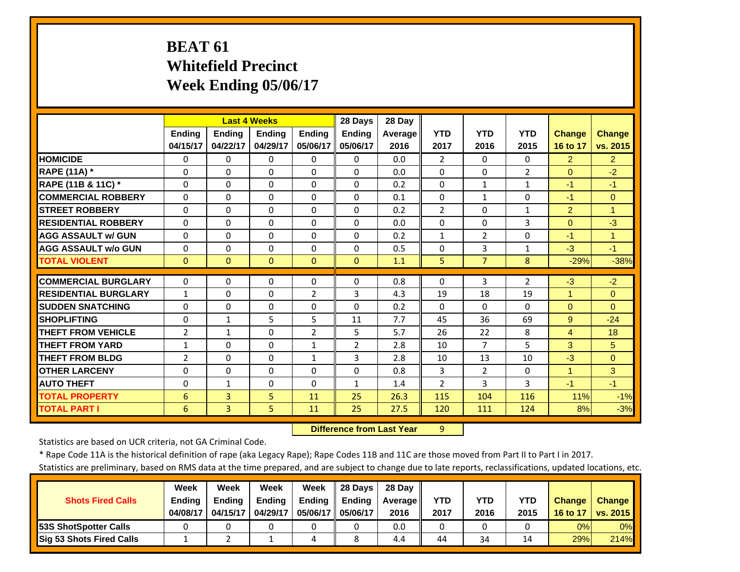# **BEAT 61 Whitefield Precinct Week Ending 05/06/17**

|                             |                | <b>Last 4 Weeks</b> |               |                | 28 Days        | 28 Day         |                |                |                |                |                |
|-----------------------------|----------------|---------------------|---------------|----------------|----------------|----------------|----------------|----------------|----------------|----------------|----------------|
|                             | <b>Ending</b>  | <b>Ending</b>       | <b>Ending</b> | <b>Ending</b>  | <b>Ending</b>  | <b>Average</b> | <b>YTD</b>     | <b>YTD</b>     | <b>YTD</b>     | <b>Change</b>  | <b>Change</b>  |
|                             | 04/15/17       | 04/22/17            | 04/29/17      | 05/06/17       | 05/06/17       | 2016           | 2017           | 2016           | 2015           | 16 to 17       | vs. 2015       |
| <b>HOMICIDE</b>             | 0              | $\Omega$            | $\Omega$      | $\Omega$       | $\Omega$       | 0.0            | $\overline{2}$ | $\Omega$       | $\Omega$       | $\overline{2}$ | $\overline{2}$ |
| <b>RAPE (11A) *</b>         | $\Omega$       | $\Omega$            | $\Omega$      | $\Omega$       | $\Omega$       | 0.0            | $\Omega$       | $\Omega$       | $\overline{2}$ | $\Omega$       | $-2$           |
| RAPE (11B & 11C) *          | $\Omega$       | $\Omega$            | $\Omega$      | $\Omega$       | $\Omega$       | 0.2            | 0              | $\mathbf{1}$   | $\mathbf{1}$   | $-1$           | $-1$           |
| <b>COMMERCIAL ROBBERY</b>   | $\Omega$       | $\Omega$            | $\Omega$      | $\Omega$       | $\Omega$       | 0.1            | $\Omega$       | $\mathbf{1}$   | $\Omega$       | $-1$           | $\Omega$       |
| <b>STREET ROBBERY</b>       | $\Omega$       | $\Omega$            | $\Omega$      | $\Omega$       | $\Omega$       | 0.2            | $\overline{2}$ | $\Omega$       | $\mathbf{1}$   | $\overline{2}$ | $\overline{1}$ |
| <b>RESIDENTIAL ROBBERY</b>  | $\Omega$       | $\Omega$            | $\Omega$      | $\Omega$       | $\Omega$       | 0.0            | $\Omega$       | 0              | 3              | $\Omega$       | $-3$           |
| <b>AGG ASSAULT w/ GUN</b>   | $\Omega$       | $\Omega$            | $\Omega$      | $\Omega$       | $\Omega$       | 0.2            | $\mathbf{1}$   | $\overline{2}$ | $\Omega$       | $-1$           | $\mathbf{1}$   |
| <b>AGG ASSAULT w/o GUN</b>  | $\Omega$       | $\Omega$            | $\Omega$      | $\Omega$       | 0              | 0.5            | $\Omega$       | 3              | 1              | $-3$           | $-1$           |
| <b>TOTAL VIOLENT</b>        | $\mathbf{0}$   | $\Omega$            | $\Omega$      | $\Omega$       | $\Omega$       | 1.1            | 5              | $\overline{7}$ | 8              | $-29%$         | $-38%$         |
|                             |                |                     |               |                |                |                |                |                |                |                |                |
| <b>COMMERCIAL BURGLARY</b>  | $\Omega$       | $\Omega$            | $\Omega$      | $\Omega$       | $\Omega$       | 0.8            | 0              | 3              | $\overline{2}$ | $-3$           | $-2$           |
| <b>RESIDENTIAL BURGLARY</b> | $\mathbf{1}$   | $\Omega$            | $\Omega$      | $\overline{2}$ | 3              | 4.3            | 19             | 18             | 19             | $\mathbf{1}$   | $\Omega$       |
| <b>SUDDEN SNATCHING</b>     | 0              | $\Omega$            | $\Omega$      | $\Omega$       | $\Omega$       | 0.2            | $\Omega$       | $\Omega$       | $\Omega$       | $\Omega$       | $\Omega$       |
| <b>SHOPLIFTING</b>          | $\Omega$       | $\mathbf{1}$        | 5             | 5              | 11             | 7.7            | 45             | 36             | 69             | 9              | $-24$          |
| <b>THEFT FROM VEHICLE</b>   | $\overline{2}$ | $\mathbf{1}$        | $\Omega$      | $\overline{2}$ | 5              | 5.7            | 26             | 22             | 8              | 4              | 18             |
| <b>THEFT FROM YARD</b>      | $\mathbf{1}$   | $\Omega$            | $\Omega$      | $\mathbf{1}$   | $\overline{2}$ | 2.8            | 10             | $\overline{7}$ | 5              | 3              | 5              |
| <b>THEFT FROM BLDG</b>      | 2              | $\Omega$            | $\Omega$      | 1              | 3              | 2.8            | 10             | 13             | 10             | $-3$           | $\Omega$       |
| <b>OTHER LARCENY</b>        | $\Omega$       | $\Omega$            | $\Omega$      | $\Omega$       | $\Omega$       | 0.8            | 3              | $\overline{2}$ | $\Omega$       | $\mathbf{1}$   | 3              |
| <b>AUTO THEFT</b>           | $\Omega$       | $\mathbf{1}$        | $\Omega$      | $\Omega$       | $\mathbf{1}$   | 1.4            | 2              | 3              | 3              | $-1$           | $-1$           |
| <b>TOTAL PROPERTY</b>       | 6              | 3                   | 5             | 11             | 25             | 26.3           | 115            | 104            | 116            | 11%            | $-1%$          |
| <b>TOTAL PART I</b>         | 6              | $\overline{3}$      | 5             | 11             | 25             | 27.5           | 120            | 111            | 124            | 8%             | $-3%$          |

 **Difference from Last Year**9

Statistics are based on UCR criteria, not GA Criminal Code.

\* Rape Code 11A is the historical definition of rape (aka Legacy Rape); Rape Codes 11B and 11C are those moved from Part II to Part I in 2017.

|                               | Week          | Week          | Week          | Week          | 28 Davs       | 28 Dav         |            |      |            |               |                 |
|-------------------------------|---------------|---------------|---------------|---------------|---------------|----------------|------------|------|------------|---------------|-----------------|
| <b>Shots Fired Calls</b>      | <b>Ending</b> | <b>Ending</b> | <b>Ending</b> | <b>Ending</b> | <b>Ending</b> | <b>Average</b> | <b>YTD</b> | YTD  | <b>YTD</b> | <b>Change</b> | <b>Change</b>   |
|                               | 04/08/17      | 04/15/17      | 04/29/17      | 05/06/17      | 05/06/17      | 2016           | 2017       | 2016 | 2015       | 16 to 17      | <b>vs. 2015</b> |
| <b>153S ShotSpotter Calls</b> |               |               |               |               |               | 0.0            |            |      |            | 0%            | $0\%$           |
| Sig 53 Shots Fired Calls      |               |               |               | ப             |               | 4.4            | 44         | 34   |            | 29%           | 214%            |